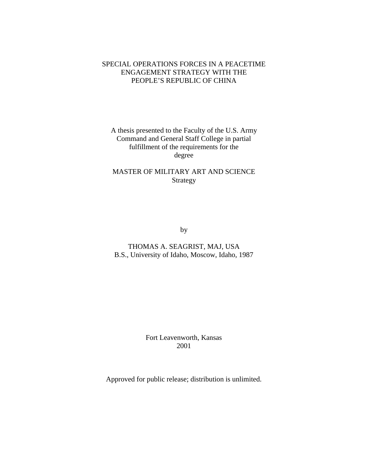# SPECIAL OPERATIONS FORCES IN A PEACETIME ENGAGEMENT STRATEGY WITH THE PEOPLE'S REPUBLIC OF CHINA

# A thesis presented to the Faculty of the U.S. Army Command and General Staff College in partial fulfillment of the requirements for the degree

# MASTER OF MILITARY ART AND SCIENCE Strategy

by

THOMAS A. SEAGRIST, MAJ, USA B.S., University of Idaho, Moscow, Idaho, 1987

> Fort Leavenworth, Kansas 2001

Approved for public release; distribution is unlimited.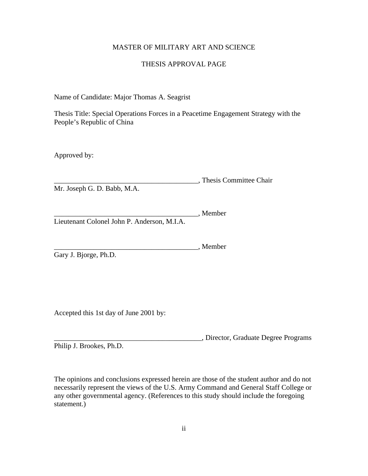## MASTER OF MILITARY ART AND SCIENCE

## THESIS APPROVAL PAGE

Name of Candidate: Major Thomas A. Seagrist

Thesis Title: Special Operations Forces in a Peacetime Engagement Strategy with the People's Republic of China

Approved by:

\_\_\_\_\_\_\_\_\_\_\_\_\_\_\_\_\_\_\_\_\_\_\_\_\_\_\_\_\_\_\_\_\_\_\_\_\_\_\_\_, Thesis Committee Chair Mr. Joseph G. D. Babb, M.A.

\_\_\_\_\_\_\_\_\_\_\_\_\_\_\_\_\_\_\_\_\_\_\_\_\_\_\_\_\_\_\_\_\_\_\_\_\_\_\_\_, Member Lieutenant Colonel John P. Anderson, M.I.A.

\_\_\_\_\_\_\_\_\_\_\_\_\_\_\_\_\_\_\_\_\_\_\_\_\_\_\_\_\_\_\_\_\_\_\_\_\_\_\_\_, Member

Gary J. Bjorge, Ph.D.

Accepted this 1st day of June 2001 by:

\_\_\_\_\_\_\_\_\_\_\_\_\_\_\_\_\_\_\_\_\_\_\_\_\_\_\_\_\_\_\_\_\_\_\_\_\_\_\_\_\_, Director, Graduate Degree Programs Philip J. Brookes, Ph.D.

The opinions and conclusions expressed herein are those of the student author and do not necessarily represent the views of the U.S. Army Command and General Staff College or any other governmental agency. (References to this study should include the foregoing statement.)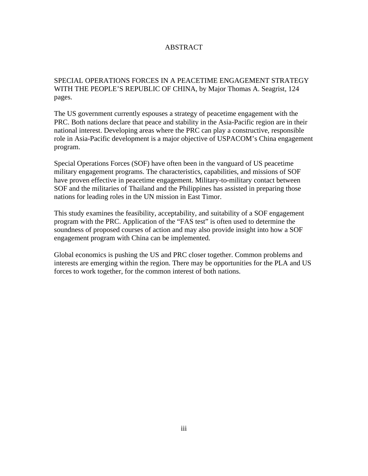## ABSTRACT

# SPECIAL OPERATIONS FORCES IN A PEACETIME ENGAGEMENT STRATEGY WITH THE PEOPLE'S REPUBLIC OF CHINA, by Major Thomas A. Seagrist, 124 pages.

The US government currently espouses a strategy of peacetime engagement with the PRC. Both nations declare that peace and stability in the Asia-Pacific region are in their national interest. Developing areas where the PRC can play a constructive, responsible role in Asia-Pacific development is a major objective of USPACOM's China engagement program.

Special Operations Forces (SOF) have often been in the vanguard of US peacetime military engagement programs. The characteristics, capabilities, and missions of SOF have proven effective in peacetime engagement. Military-to-military contact between SOF and the militaries of Thailand and the Philippines has assisted in preparing those nations for leading roles in the UN mission in East Timor.

This study examines the feasibility, acceptability, and suitability of a SOF engagement program with the PRC. Application of the "FAS test" is often used to determine the soundness of proposed courses of action and may also provide insight into how a SOF engagement program with China can be implemented.

Global economics is pushing the US and PRC closer together. Common problems and interests are emerging within the region. There may be opportunities for the PLA and US forces to work together, for the common interest of both nations.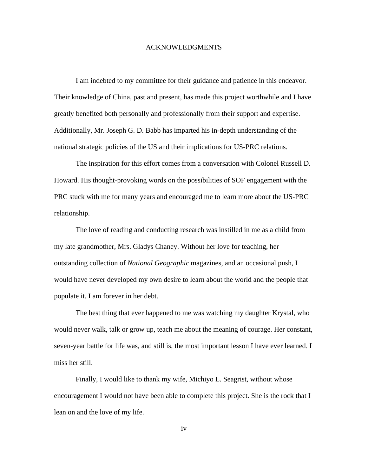### ACKNOWLEDGMENTS

I am indebted to my committee for their guidance and patience in this endeavor. Their knowledge of China, past and present, has made this project worthwhile and I have greatly benefited both personally and professionally from their support and expertise. Additionally, Mr. Joseph G. D. Babb has imparted his in-depth understanding of the national strategic policies of the US and their implications for US-PRC relations.

The inspiration for this effort comes from a conversation with Colonel Russell D. Howard. His thought-provoking words on the possibilities of SOF engagement with the PRC stuck with me for many years and encouraged me to learn more about the US-PRC relationship.

The love of reading and conducting research was instilled in me as a child from my late grandmother, Mrs. Gladys Chaney. Without her love for teaching, her outstanding collection of *National Geographic* magazines, and an occasional push, I would have never developed my own desire to learn about the world and the people that populate it. I am forever in her debt.

The best thing that ever happened to me was watching my daughter Krystal, who would never walk, talk or grow up, teach me about the meaning of courage. Her constant, seven-year battle for life was, and still is, the most important lesson I have ever learned. I miss her still.

Finally, I would like to thank my wife, Michiyo L. Seagrist, without whose encouragement I would not have been able to complete this project. She is the rock that I lean on and the love of my life.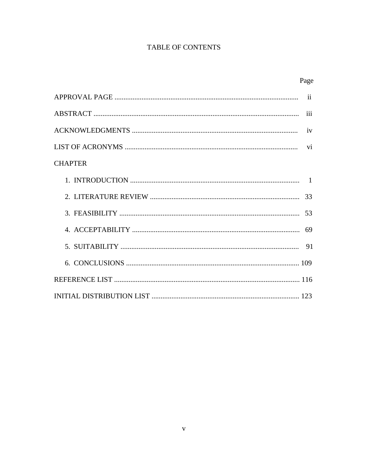# **TABLE OF CONTENTS**

| <b>CHAPTER</b> |  |
|----------------|--|
|                |  |
|                |  |
|                |  |
|                |  |
|                |  |
|                |  |
|                |  |
|                |  |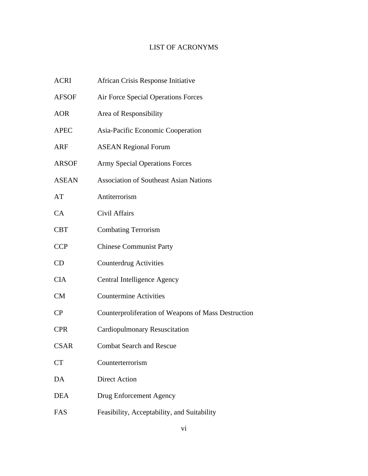# LIST OF ACRONYMS

| ACRI         | African Crisis Response Initiative                  |
|--------------|-----------------------------------------------------|
| <b>AFSOF</b> | Air Force Special Operations Forces                 |
| <b>AOR</b>   | Area of Responsibility                              |
| <b>APEC</b>  | Asia-Pacific Economic Cooperation                   |
| ARF          | <b>ASEAN Regional Forum</b>                         |
| <b>ARSOF</b> | <b>Army Special Operations Forces</b>               |
| <b>ASEAN</b> | <b>Association of Southeast Asian Nations</b>       |
| AT           | Antiterrorism                                       |
| CA           | Civil Affairs                                       |
| <b>CBT</b>   | <b>Combating Terrorism</b>                          |
| <b>CCP</b>   | <b>Chinese Communist Party</b>                      |
| CD           | Counterdrug Activities                              |
| <b>CIA</b>   | Central Intelligence Agency                         |
| CM           | <b>Countermine Activities</b>                       |
| CP           | Counterproliferation of Weapons of Mass Destruction |
| <b>CPR</b>   | <b>Cardiopulmonary Resuscitation</b>                |
| CSAR         | <b>Combat Search and Rescue</b>                     |
| <b>CT</b>    | Counterterrorism                                    |
| DA           | <b>Direct Action</b>                                |
| <b>DEA</b>   | <b>Drug Enforcement Agency</b>                      |
| FAS          | Feasibility, Acceptability, and Suitability         |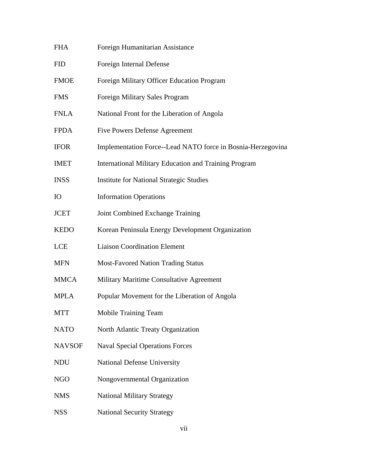| <b>FHA</b>    | Foreign Humanitarian Assistance                             |
|---------------|-------------------------------------------------------------|
| <b>FID</b>    | Foreign Internal Defense                                    |
| <b>FMOE</b>   | Foreign Military Officer Education Program                  |
| <b>FMS</b>    | Foreign Military Sales Program                              |
| <b>FNLA</b>   | National Front for the Liberation of Angola                 |
| <b>FPDA</b>   | <b>Five Powers Defense Agreement</b>                        |
| <b>IFOR</b>   | Implementation Force--Lead NATO force in Bosnia-Herzegovina |
| <b>IMET</b>   | International Military Education and Training Program       |
| <b>INSS</b>   | <b>Institute for National Strategic Studies</b>             |
| <b>IO</b>     | <b>Information Operations</b>                               |
| <b>JCET</b>   | Joint Combined Exchange Training                            |
| <b>KEDO</b>   | Korean Peninsula Energy Development Organization            |
| <b>LCE</b>    | <b>Liaison Coordination Element</b>                         |
| <b>MFN</b>    | <b>Most-Favored Nation Trading Status</b>                   |
| <b>MMCA</b>   | Military Maritime Consultative Agreement                    |
| <b>MPLA</b>   | Popular Movement for the Liberation of Angola               |
| <b>MTT</b>    | Mobile Training Team                                        |
| <b>NATO</b>   | North Atlantic Treaty Organization                          |
| <b>NAVSOF</b> | <b>Naval Special Operations Forces</b>                      |
| <b>NDU</b>    | National Defense University                                 |
| <b>NGO</b>    | Nongovernmental Organization                                |
| <b>NMS</b>    | <b>National Military Strategy</b>                           |
| <b>NSS</b>    | <b>National Security Strategy</b>                           |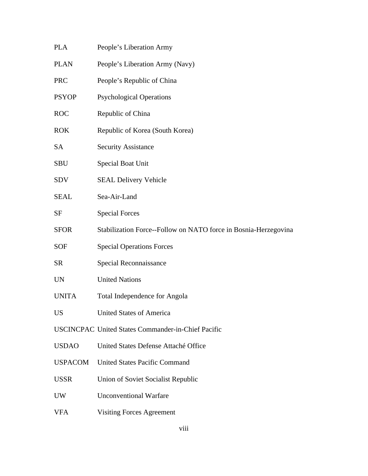- PLA People's Liberation Army PLAN People's Liberation Army (Navy)
- PRC People's Republic of China
- PSYOP Psychological Operations
- ROC Republic of China
- ROK Republic of Korea (South Korea)
- SA Security Assistance
- SBU Special Boat Unit
- SDV SEAL Delivery Vehicle
- SEAL Sea-Air-Land
- SF Special Forces
- SFOR Stabilization Force--Follow on NATO force in Bosnia-Herzegovina
- SOF Special Operations Forces
- SR Special Reconnaissance
- UN United Nations
- UNITA Total Independence for Angola
- US United States of America
- USCINCPAC United States Commander-in-Chief Pacific
- USDAO United States Defense Attaché Office
- USPACOM United States Pacific Command
- USSR Union of Soviet Socialist Republic
- UW Unconventional Warfare
- VFA Visiting Forces Agreement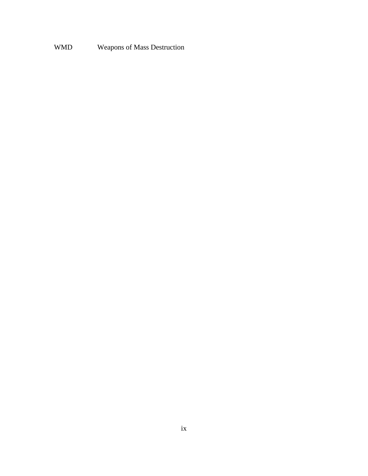# WMD Weapons of Mass Destruction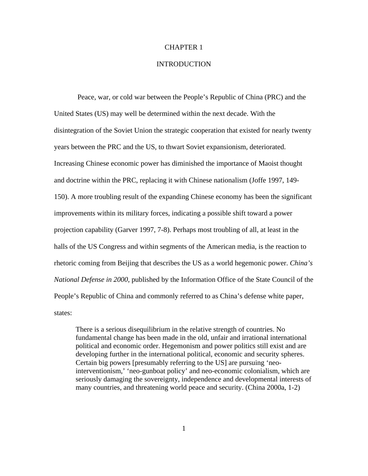## CHAPTER 1

## **INTRODUCTION**

 Peace, war, or cold war between the People's Republic of China (PRC) and the United States (US) may well be determined within the next decade. With the disintegration of the Soviet Union the strategic cooperation that existed for nearly twenty years between the PRC and the US, to thwart Soviet expansionism, deteriorated. Increasing Chinese economic power has diminished the importance of Maoist thought and doctrine within the PRC, replacing it with Chinese nationalism (Joffe 1997, 149 150). A more troubling result of the expanding Chinese economy has been the significant improvements within its military forces, indicating a possible shift toward a power projection capability (Garver 1997, 7-8). Perhaps most troubling of all, at least in the halls of the US Congress and within segments of the American media, is the reaction to rhetoric coming from Beijing that describes the US as a world hegemonic power. *China's National Defense in 2000*, published by the Information Office of the State Council of the People's Republic of China and commonly referred to as China's defense white paper, states:

There is a serious disequilibrium in the relative strength of countries. No fundamental change has been made in the old, unfair and irrational international political and economic order. Hegemonism and power politics still exist and are developing further in the international political, economic and security spheres. Certain big powers [presumably referring to the US] are pursuing 'neointerventionism,' 'neo-gunboat policy' and neo-economic colonialism, which are seriously damaging the sovereignty, independence and developmental interests of many countries, and threatening world peace and security. (China 2000a, 1-2)

1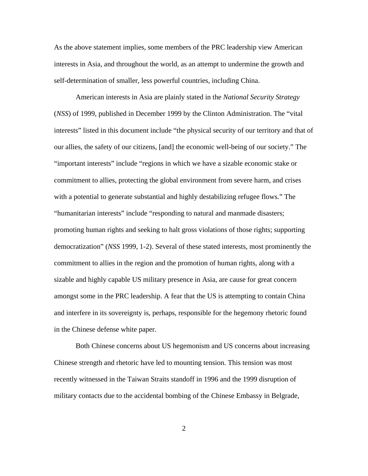As the above statement implies, some members of the PRC leadership view American interests in Asia, and throughout the world, as an attempt to undermine the growth and self-determination of smaller, less powerful countries, including China.

American interests in Asia are plainly stated in the *National Security Strategy*  (*NSS*) of 1999, published in December 1999 by the Clinton Administration. The "vital interests" listed in this document include "the physical security of our territory and that of our allies, the safety of our citizens, [and] the economic well-being of our society." The "important interests" include "regions in which we have a sizable economic stake or commitment to allies, protecting the global environment from severe harm, and crises with a potential to generate substantial and highly destabilizing refugee flows." The "humanitarian interests" include "responding to natural and manmade disasters; promoting human rights and seeking to halt gross violations of those rights; supporting democratization" (*NSS* 1999, 1-2). Several of these stated interests, most prominently the commitment to allies in the region and the promotion of human rights, along with a sizable and highly capable US military presence in Asia, are cause for great concern amongst some in the PRC leadership. A fear that the US is attempting to contain China and interfere in its sovereignty is, perhaps, responsible for the hegemony rhetoric found in the Chinese defense white paper.

Both Chinese concerns about US hegemonism and US concerns about increasing Chinese strength and rhetoric have led to mounting tension. This tension was most recently witnessed in the Taiwan Straits standoff in 1996 and the 1999 disruption of military contacts due to the accidental bombing of the Chinese Embassy in Belgrade,

2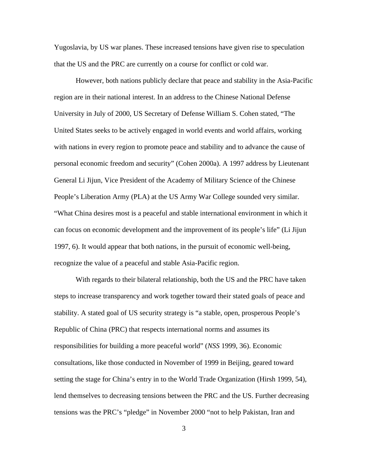Yugoslavia, by US war planes. These increased tensions have given rise to speculation that the US and the PRC are currently on a course for conflict or cold war.

However, both nations publicly declare that peace and stability in the Asia-Pacific region are in their national interest. In an address to the Chinese National Defense University in July of 2000, US Secretary of Defense William S. Cohen stated, "The United States seeks to be actively engaged in world events and world affairs, working with nations in every region to promote peace and stability and to advance the cause of personal economic freedom and security" (Cohen 2000a). A 1997 address by Lieutenant General Li Jijun, Vice President of the Academy of Military Science of the Chinese People's Liberation Army (PLA) at the US Army War College sounded very similar. "What China desires most is a peaceful and stable international environment in which it can focus on economic development and the improvement of its people's life" (Li Jijun 1997, 6). It would appear that both nations, in the pursuit of economic well-being, recognize the value of a peaceful and stable Asia-Pacific region.

With regards to their bilateral relationship, both the US and the PRC have taken steps to increase transparency and work together toward their stated goals of peace and stability. A stated goal of US security strategy is "a stable, open, prosperous People's Republic of China (PRC) that respects international norms and assumes its responsibilities for building a more peaceful world" (*NSS* 1999, 36). Economic consultations, like those conducted in November of 1999 in Beijing, geared toward setting the stage for China's entry in to the World Trade Organization (Hirsh 1999, 54), lend themselves to decreasing tensions between the PRC and the US. Further decreasing tensions was the PRC's "pledge" in November 2000 "not to help Pakistan, Iran and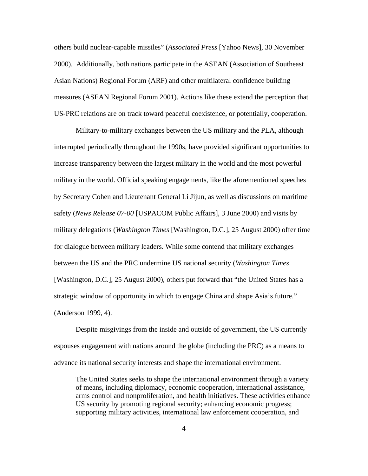others build nuclear-capable missiles" (*Associated Press* [Yahoo News], 30 November 2000). Additionally, both nations participate in the ASEAN (Association of Southeast Asian Nations) Regional Forum (ARF) and other multilateral confidence building measures (ASEAN Regional Forum 2001). Actions like these extend the perception that US-PRC relations are on track toward peaceful coexistence, or potentially, cooperation.

Military-to-military exchanges between the US military and the PLA, although interrupted periodically throughout the 1990s, have provided significant opportunities to increase transparency between the largest military in the world and the most powerful military in the world. Official speaking engagements, like the aforementioned speeches by Secretary Cohen and Lieutenant General Li Jijun, as well as discussions on maritime safety (*News Release 07-00* [USPACOM Public Affairs], 3 June 2000) and visits by military delegations (*Washington Times* [Washington, D.C.], 25 August 2000) offer time for dialogue between military leaders. While some contend that military exchanges between the US and the PRC undermine US national security (*Washington Times*  [Washington, D.C.], 25 August 2000), others put forward that "the United States has a strategic window of opportunity in which to engage China and shape Asia's future." (Anderson 1999, 4).

Despite misgivings from the inside and outside of government, the US currently espouses engagement with nations around the globe (including the PRC) as a means to advance its national security interests and shape the international environment.

The United States seeks to shape the international environment through a variety of means, including diplomacy, economic cooperation, international assistance, arms control and nonproliferation, and health initiatives. These activities enhance US security by promoting regional security; enhancing economic progress; supporting military activities, international law enforcement cooperation, and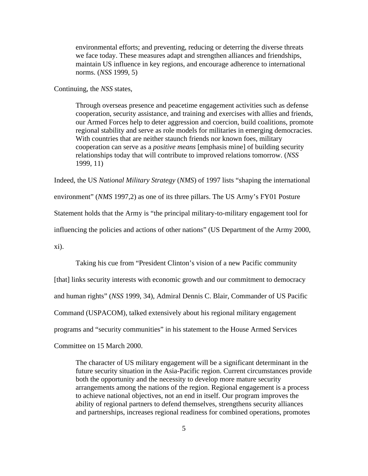environmental efforts; and preventing, reducing or deterring the diverse threats we face today. These measures adapt and strengthen alliances and friendships, maintain US influence in key regions, and encourage adherence to international norms. (*NSS* 1999, 5)

Continuing, the *NSS* states,

Through overseas presence and peacetime engagement activities such as defense cooperation, security assistance, and training and exercises with allies and friends, our Armed Forces help to deter aggression and coercion, build coalitions, promote regional stability and serve as role models for militaries in emerging democracies. With countries that are neither staunch friends nor known foes, military cooperation can serve as a *positive means* [emphasis mine] of building security relationships today that will contribute to improved relations tomorrow. (*NSS*  1999, 11)

Indeed, the US *National Military Strategy* (*NMS*) of 1997 lists "shaping the international environment" (*NMS* 1997,2) as one of its three pillars. The US Army's FY01 Posture Statement holds that the Army is "the principal military-to-military engagement tool for influencing the policies and actions of other nations" (US Department of the Army 2000, xi).

Taking his cue from "President Clinton's vision of a new Pacific community [that] links security interests with economic growth and our commitment to democracy and human rights" (*NSS* 1999, 34), Admiral Dennis C. Blair, Commander of US Pacific Command (USPACOM), talked extensively about his regional military engagement programs and "security communities" in his statement to the House Armed Services Committee on 15 March 2000.

The character of US military engagement will be a significant determinant in the future security situation in the Asia-Pacific region. Current circumstances provide both the opportunity and the necessity to develop more mature security arrangements among the nations of the region. Regional engagement is a process to achieve national objectives, not an end in itself. Our program improves the ability of regional partners to defend themselves, strengthens security alliances and partnerships, increases regional readiness for combined operations, promotes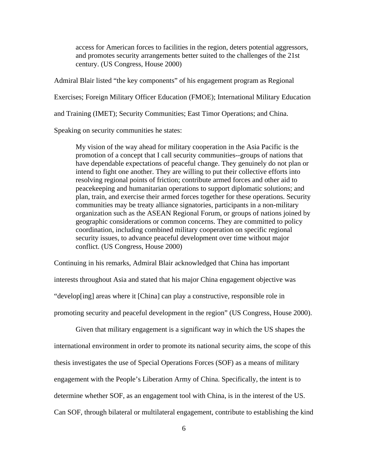access for American forces to facilities in the region, deters potential aggressors, and promotes security arrangements better suited to the challenges of the 21st century. (US Congress, House 2000)

Admiral Blair listed "the key components" of his engagement program as Regional Exercises; Foreign Military Officer Education (FMOE); International Military Education and Training (IMET); Security Communities; East Timor Operations; and China.

Speaking on security communities he states:

My vision of the way ahead for military cooperation in the Asia Pacific is the promotion of a concept that I call security communities--groups of nations that have dependable expectations of peaceful change. They genuinely do not plan or intend to fight one another. They are willing to put their collective efforts into resolving regional points of friction; contribute armed forces and other aid to peacekeeping and humanitarian operations to support diplomatic solutions; and plan, train, and exercise their armed forces together for these operations. Security communities may be treaty alliance signatories, participants in a non-military organization such as the ASEAN Regional Forum, or groups of nations joined by geographic considerations or common concerns. They are committed to policy coordination, including combined military cooperation on specific regional security issues, to advance peaceful development over time without major conflict. (US Congress, House 2000)

Continuing in his remarks, Admiral Blair acknowledged that China has important interests throughout Asia and stated that his major China engagement objective was "develop[ing] areas where it [China] can play a constructive, responsible role in promoting security and peaceful development in the region" (US Congress, House 2000).

Given that military engagement is a significant way in which the US shapes the international environment in order to promote its national security aims, the scope of this thesis investigates the use of Special Operations Forces (SOF) as a means of military engagement with the People's Liberation Army of China. Specifically, the intent is to determine whether SOF, as an engagement tool with China, is in the interest of the US. Can SOF, through bilateral or multilateral engagement, contribute to establishing the kind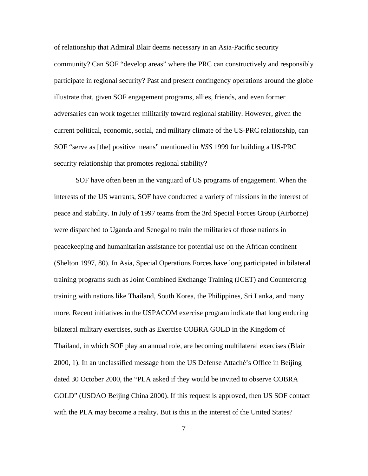of relationship that Admiral Blair deems necessary in an Asia-Pacific security community? Can SOF "develop areas" where the PRC can constructively and responsibly participate in regional security? Past and present contingency operations around the globe illustrate that, given SOF engagement programs, allies, friends, and even former adversaries can work together militarily toward regional stability. However, given the current political, economic, social, and military climate of the US-PRC relationship, can SOF "serve as [the] positive means" mentioned in *NSS* 1999 for building a US-PRC security relationship that promotes regional stability?

SOF have often been in the vanguard of US programs of engagement. When the interests of the US warrants, SOF have conducted a variety of missions in the interest of peace and stability. In July of 1997 teams from the 3rd Special Forces Group (Airborne) were dispatched to Uganda and Senegal to train the militaries of those nations in peacekeeping and humanitarian assistance for potential use on the African continent (Shelton 1997, 80). In Asia, Special Operations Forces have long participated in bilateral training programs such as Joint Combined Exchange Training (JCET) and Counterdrug training with nations like Thailand, South Korea, the Philippines, Sri Lanka, and many more. Recent initiatives in the USPACOM exercise program indicate that long enduring bilateral military exercises, such as Exercise COBRA GOLD in the Kingdom of Thailand, in which SOF play an annual role, are becoming multilateral exercises (Blair 2000, 1). In an unclassified message from the US Defense Attaché's Office in Beijing dated 30 October 2000, the "PLA asked if they would be invited to observe COBRA GOLD" (USDAO Beijing China 2000). If this request is approved, then US SOF contact with the PLA may become a reality. But is this in the interest of the United States?

7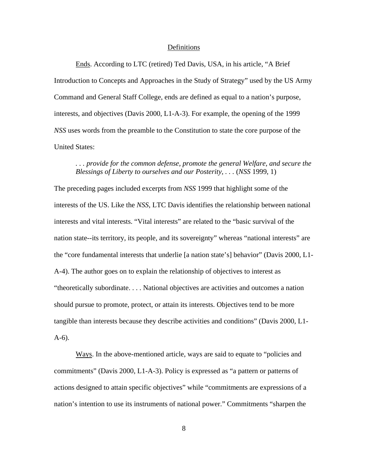#### Definitions

Ends. According to LTC (retired) Ted Davis, USA, in his article, "A Brief Introduction to Concepts and Approaches in the Study of Strategy" used by the US Army Command and General Staff College, ends are defined as equal to a nation's purpose, interests, and objectives (Davis 2000, L1-A-3). For example, the opening of the 1999 *NSS* uses words from the preamble to the Constitution to state the core purpose of the United States:

## *. . . provide for the common defense, promote the general Welfare, and secure the Blessings of Liberty to ourselves and our Posterity, . . .* (*NSS* 1999, 1)

The preceding pages included excerpts from *NSS* 1999 that highlight some of the interests of the US. Like the *NSS*, LTC Davis identifies the relationship between national interests and vital interests. "Vital interests" are related to the "basic survival of the nation state--its territory, its people, and its sovereignty" whereas "national interests" are the "core fundamental interests that underlie [a nation state's] behavior" (Davis 2000, L1 A-4). The author goes on to explain the relationship of objectives to interest as "theoretically subordinate. . . . National objectives are activities and outcomes a nation should pursue to promote, protect, or attain its interests. Objectives tend to be more tangible than interests because they describe activities and conditions" (Davis 2000, L1 A-6).

Ways. In the above-mentioned article, ways are said to equate to "policies and commitments" (Davis 2000, L1-A-3). Policy is expressed as "a pattern or patterns of actions designed to attain specific objectives" while "commitments are expressions of a nation's intention to use its instruments of national power." Commitments "sharpen the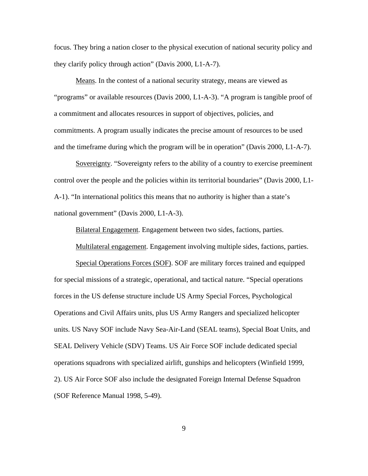focus. They bring a nation closer to the physical execution of national security policy and they clarify policy through action" (Davis 2000, L1-A-7).

Means. In the contest of a national security strategy, means are viewed as "programs" or available resources (Davis 2000, L1-A-3). "A program is tangible proof of a commitment and allocates resources in support of objectives, policies, and commitments. A program usually indicates the precise amount of resources to be used and the timeframe during which the program will be in operation" (Davis 2000, L1-A-7).

Sovereignty. "Sovereignty refers to the ability of a country to exercise preeminent control over the people and the policies within its territorial boundaries" (Davis 2000, L1 A-1). "In international politics this means that no authority is higher than a state's national government" (Davis 2000, L1-A-3).

Bilateral Engagement. Engagement between two sides, factions, parties.

Multilateral engagement. Engagement involving multiple sides, factions, parties.

Special Operations Forces (SOF). SOF are military forces trained and equipped for special missions of a strategic, operational, and tactical nature. "Special operations forces in the US defense structure include US Army Special Forces, Psychological Operations and Civil Affairs units, plus US Army Rangers and specialized helicopter units. US Navy SOF include Navy Sea-Air-Land (SEAL teams), Special Boat Units, and SEAL Delivery Vehicle (SDV) Teams. US Air Force SOF include dedicated special operations squadrons with specialized airlift, gunships and helicopters (Winfield 1999, 2). US Air Force SOF also include the designated Foreign Internal Defense Squadron (SOF Reference Manual 1998, 5-49).

9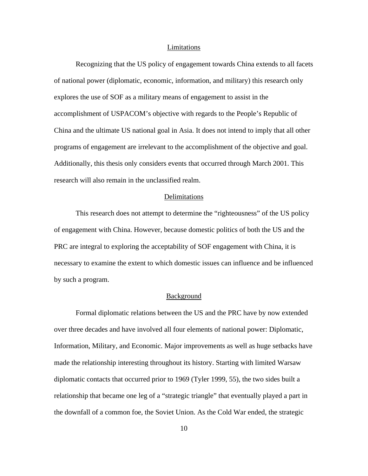#### Limitations

Recognizing that the US policy of engagement towards China extends to all facets of national power (diplomatic, economic, information, and military) this research only explores the use of SOF as a military means of engagement to assist in the accomplishment of USPACOM's objective with regards to the People's Republic of China and the ultimate US national goal in Asia. It does not intend to imply that all other programs of engagement are irrelevant to the accomplishment of the objective and goal. Additionally, this thesis only considers events that occurred through March 2001. This research will also remain in the unclassified realm.

## Delimitations

This research does not attempt to determine the "righteousness" of the US policy of engagement with China. However, because domestic politics of both the US and the PRC are integral to exploring the acceptability of SOF engagement with China, it is necessary to examine the extent to which domestic issues can influence and be influenced by such a program.

### Background

Formal diplomatic relations between the US and the PRC have by now extended over three decades and have involved all four elements of national power: Diplomatic, Information, Military, and Economic. Major improvements as well as huge setbacks have made the relationship interesting throughout its history. Starting with limited Warsaw diplomatic contacts that occurred prior to 1969 (Tyler 1999, 55), the two sides built a relationship that became one leg of a "strategic triangle" that eventually played a part in the downfall of a common foe, the Soviet Union. As the Cold War ended, the strategic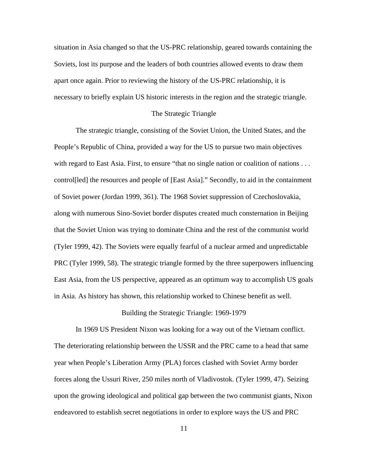situation in Asia changed so that the US-PRC relationship, geared towards containing the Soviets, lost its purpose and the leaders of both countries allowed events to draw them apart once again. Prior to reviewing the history of the US-PRC relationship, it is necessary to briefly explain US historic interests in the region and the strategic triangle.

#### The Strategic Triangle

The strategic triangle, consisting of the Soviet Union, the United States, and the People's Republic of China, provided a way for the US to pursue two main objectives with regard to East Asia. First, to ensure "that no single nation or coalition of nations . . . control[led] the resources and people of [East Asia]." Secondly, to aid in the containment of Soviet power (Jordan 1999, 361). The 1968 Soviet suppression of Czechoslovakia, along with numerous Sino-Soviet border disputes created much consternation in Beijing that the Soviet Union was trying to dominate China and the rest of the communist world (Tyler 1999, 42). The Soviets were equally fearful of a nuclear armed and unpredictable PRC (Tyler 1999, 58). The strategic triangle formed by the three superpowers influencing East Asia, from the US perspective, appeared as an optimum way to accomplish US goals in Asia. As history has shown, this relationship worked to Chinese benefit as well.

#### Building the Strategic Triangle: 1969-1979

In 1969 US President Nixon was looking for a way out of the Vietnam conflict. The deteriorating relationship between the USSR and the PRC came to a head that same year when People's Liberation Army (PLA) forces clashed with Soviet Army border forces along the Ussuri River, 250 miles north of Vladivostok. (Tyler 1999, 47). Seizing upon the growing ideological and political gap between the two communist giants, Nixon endeavored to establish secret negotiations in order to explore ways the US and PRC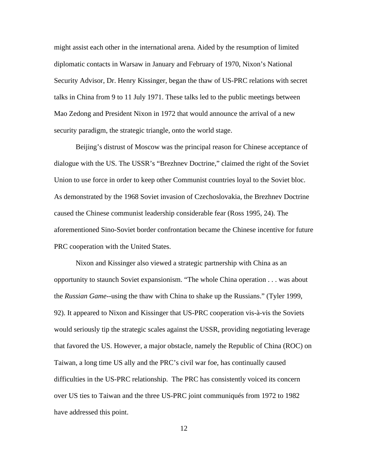might assist each other in the international arena. Aided by the resumption of limited diplomatic contacts in Warsaw in January and February of 1970, Nixon's National Security Advisor, Dr. Henry Kissinger, began the thaw of US-PRC relations with secret talks in China from 9 to 11 July 1971. These talks led to the public meetings between Mao Zedong and President Nixon in 1972 that would announce the arrival of a new security paradigm, the strategic triangle, onto the world stage.

Beijing's distrust of Moscow was the principal reason for Chinese acceptance of dialogue with the US. The USSR's "Brezhnev Doctrine," claimed the right of the Soviet Union to use force in order to keep other Communist countries loyal to the Soviet bloc. As demonstrated by the 1968 Soviet invasion of Czechoslovakia, the Brezhnev Doctrine caused the Chinese communist leadership considerable fear (Ross 1995, 24). The aforementioned Sino-Soviet border confrontation became the Chinese incentive for future PRC cooperation with the United States.

Nixon and Kissinger also viewed a strategic partnership with China as an opportunity to staunch Soviet expansionism. "The whole China operation . . . was about the *Russian Game*--using the thaw with China to shake up the Russians." (Tyler 1999, 92). It appeared to Nixon and Kissinger that US-PRC cooperation vis-à-vis the Soviets would seriously tip the strategic scales against the USSR, providing negotiating leverage that favored the US. However, a major obstacle, namely the Republic of China (ROC) on Taiwan, a long time US ally and the PRC's civil war foe, has continually caused difficulties in the US-PRC relationship. The PRC has consistently voiced its concern over US ties to Taiwan and the three US-PRC joint communiqués from 1972 to 1982 have addressed this point.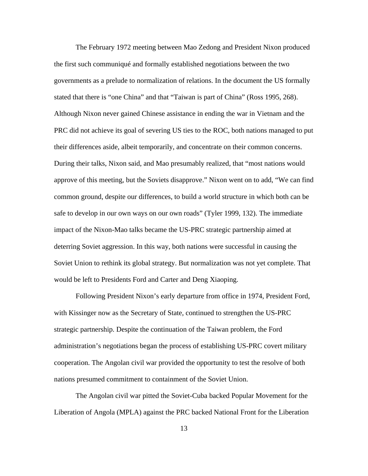The February 1972 meeting between Mao Zedong and President Nixon produced the first such communiqué and formally established negotiations between the two governments as a prelude to normalization of relations. In the document the US formally stated that there is "one China" and that "Taiwan is part of China" (Ross 1995, 268). Although Nixon never gained Chinese assistance in ending the war in Vietnam and the PRC did not achieve its goal of severing US ties to the ROC, both nations managed to put their differences aside, albeit temporarily, and concentrate on their common concerns. During their talks, Nixon said, and Mao presumably realized, that "most nations would approve of this meeting, but the Soviets disapprove." Nixon went on to add, "We can find common ground, despite our differences, to build a world structure in which both can be safe to develop in our own ways on our own roads" (Tyler 1999, 132). The immediate impact of the Nixon-Mao talks became the US-PRC strategic partnership aimed at deterring Soviet aggression. In this way, both nations were successful in causing the Soviet Union to rethink its global strategy. But normalization was not yet complete. That would be left to Presidents Ford and Carter and Deng Xiaoping.

Following President Nixon's early departure from office in 1974, President Ford, with Kissinger now as the Secretary of State, continued to strengthen the US-PRC strategic partnership. Despite the continuation of the Taiwan problem, the Ford administration's negotiations began the process of establishing US-PRC covert military cooperation. The Angolan civil war provided the opportunity to test the resolve of both nations presumed commitment to containment of the Soviet Union.

The Angolan civil war pitted the Soviet-Cuba backed Popular Movement for the Liberation of Angola (MPLA) against the PRC backed National Front for the Liberation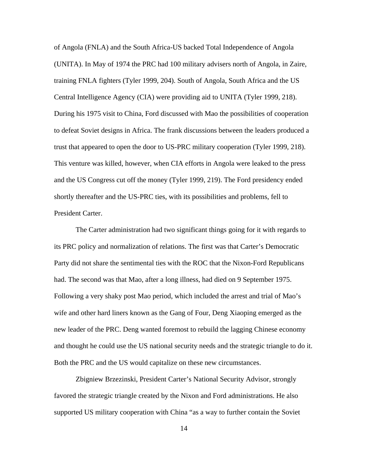of Angola (FNLA) and the South Africa-US backed Total Independence of Angola (UNITA). In May of 1974 the PRC had 100 military advisers north of Angola, in Zaire, training FNLA fighters (Tyler 1999, 204). South of Angola, South Africa and the US Central Intelligence Agency (CIA) were providing aid to UNITA (Tyler 1999, 218). During his 1975 visit to China, Ford discussed with Mao the possibilities of cooperation to defeat Soviet designs in Africa. The frank discussions between the leaders produced a trust that appeared to open the door to US-PRC military cooperation (Tyler 1999, 218). This venture was killed, however, when CIA efforts in Angola were leaked to the press and the US Congress cut off the money (Tyler 1999, 219). The Ford presidency ended shortly thereafter and the US-PRC ties, with its possibilities and problems, fell to President Carter.

The Carter administration had two significant things going for it with regards to its PRC policy and normalization of relations. The first was that Carter's Democratic Party did not share the sentimental ties with the ROC that the Nixon-Ford Republicans had. The second was that Mao, after a long illness, had died on 9 September 1975. Following a very shaky post Mao period, which included the arrest and trial of Mao's wife and other hard liners known as the Gang of Four, Deng Xiaoping emerged as the new leader of the PRC. Deng wanted foremost to rebuild the lagging Chinese economy and thought he could use the US national security needs and the strategic triangle to do it. Both the PRC and the US would capitalize on these new circumstances.

Zbigniew Brzezinski, President Carter's National Security Advisor, strongly favored the strategic triangle created by the Nixon and Ford administrations. He also supported US military cooperation with China "as a way to further contain the Soviet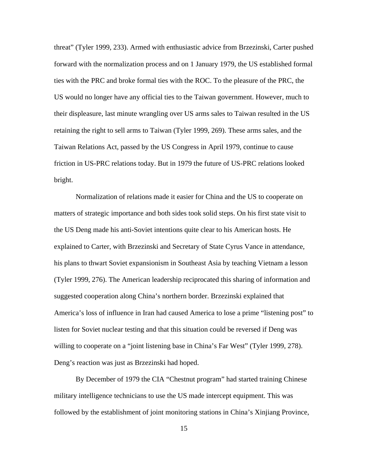threat" (Tyler 1999, 233). Armed with enthusiastic advice from Brzezinski, Carter pushed forward with the normalization process and on 1 January 1979, the US established formal ties with the PRC and broke formal ties with the ROC. To the pleasure of the PRC, the US would no longer have any official ties to the Taiwan government. However, much to their displeasure, last minute wrangling over US arms sales to Taiwan resulted in the US retaining the right to sell arms to Taiwan (Tyler 1999, 269). These arms sales, and the Taiwan Relations Act, passed by the US Congress in April 1979, continue to cause friction in US-PRC relations today. But in 1979 the future of US-PRC relations looked bright.

Normalization of relations made it easier for China and the US to cooperate on matters of strategic importance and both sides took solid steps. On his first state visit to the US Deng made his anti-Soviet intentions quite clear to his American hosts. He explained to Carter, with Brzezinski and Secretary of State Cyrus Vance in attendance, his plans to thwart Soviet expansionism in Southeast Asia by teaching Vietnam a lesson (Tyler 1999, 276). The American leadership reciprocated this sharing of information and suggested cooperation along China's northern border. Brzezinski explained that America's loss of influence in Iran had caused America to lose a prime "listening post" to listen for Soviet nuclear testing and that this situation could be reversed if Deng was willing to cooperate on a "joint listening base in China's Far West" (Tyler 1999, 278). Deng's reaction was just as Brzezinski had hoped.

By December of 1979 the CIA "Chestnut program" had started training Chinese military intelligence technicians to use the US made intercept equipment. This was followed by the establishment of joint monitoring stations in China's Xinjiang Province,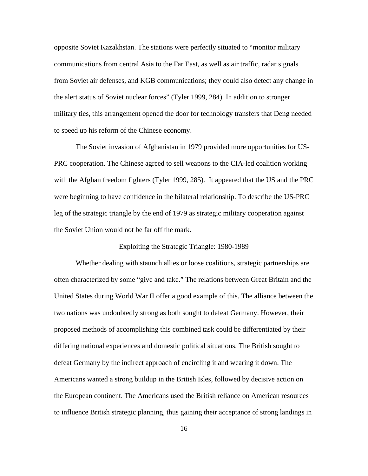opposite Soviet Kazakhstan. The stations were perfectly situated to "monitor military communications from central Asia to the Far East, as well as air traffic, radar signals from Soviet air defenses, and KGB communications; they could also detect any change in the alert status of Soviet nuclear forces" (Tyler 1999, 284). In addition to stronger military ties, this arrangement opened the door for technology transfers that Deng needed to speed up his reform of the Chinese economy.

The Soviet invasion of Afghanistan in 1979 provided more opportunities for US-PRC cooperation. The Chinese agreed to sell weapons to the CIA-led coalition working with the Afghan freedom fighters (Tyler 1999, 285). It appeared that the US and the PRC were beginning to have confidence in the bilateral relationship. To describe the US-PRC leg of the strategic triangle by the end of 1979 as strategic military cooperation against the Soviet Union would not be far off the mark.

## Exploiting the Strategic Triangle: 1980-1989

Whether dealing with staunch allies or loose coalitions, strategic partnerships are often characterized by some "give and take." The relations between Great Britain and the United States during World War II offer a good example of this. The alliance between the two nations was undoubtedly strong as both sought to defeat Germany. However, their proposed methods of accomplishing this combined task could be differentiated by their differing national experiences and domestic political situations. The British sought to defeat Germany by the indirect approach of encircling it and wearing it down. The Americans wanted a strong buildup in the British Isles, followed by decisive action on the European continent. The Americans used the British reliance on American resources to influence British strategic planning, thus gaining their acceptance of strong landings in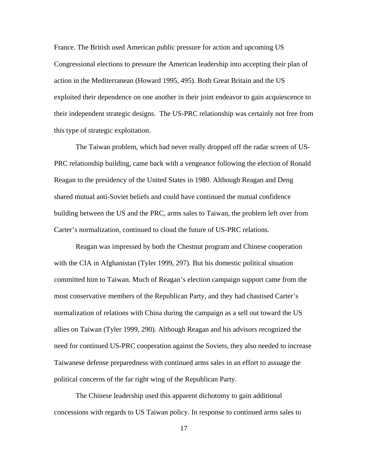France. The British used American public pressure for action and upcoming US Congressional elections to pressure the American leadership into accepting their plan of action in the Mediterranean (Howard 1995, 495). Both Great Britain and the US exploited their dependence on one another in their joint endeavor to gain acquiescence to their independent strategic designs. The US-PRC relationship was certainly not free from this type of strategic exploitation.

The Taiwan problem, which had never really dropped off the radar screen of US-PRC relationship building, came back with a vengeance following the election of Ronald Reagan to the presidency of the United States in 1980. Although Reagan and Deng shared mutual anti-Soviet beliefs and could have continued the mutual confidence building between the US and the PRC, arms sales to Taiwan, the problem left over from Carter's normalization, continued to cloud the future of US-PRC relations.

Reagan was impressed by both the Chestnut program and Chinese cooperation with the CIA in Afghanistan (Tyler 1999, 297). But his domestic political situation committed him to Taiwan. Much of Reagan's election campaign support came from the most conservative members of the Republican Party, and they had chastised Carter's normalization of relations with China during the campaign as a sell out toward the US allies on Taiwan (Tyler 1999, 290). Although Reagan and his advisors recognized the need for continued US-PRC cooperation against the Soviets, they also needed to increase Taiwanese defense preparedness with continued arms sales in an effort to assuage the political concerns of the far right wing of the Republican Party.

The Chinese leadership used this apparent dichotomy to gain additional concessions with regards to US Taiwan policy. In response to continued arms sales to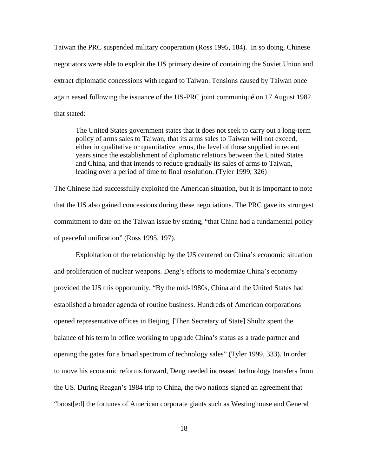Taiwan the PRC suspended military cooperation (Ross 1995, 184). In so doing, Chinese negotiators were able to exploit the US primary desire of containing the Soviet Union and extract diplomatic concessions with regard to Taiwan. Tensions caused by Taiwan once again eased following the issuance of the US-PRC joint communiqué on 17 August 1982 that stated:

The United States government states that it does not seek to carry out a long-term policy of arms sales to Taiwan, that its arms sales to Taiwan will not exceed, either in qualitative or quantitative terms, the level of those supplied in recent years since the establishment of diplomatic relations between the United States and China, and that intends to reduce gradually its sales of arms to Taiwan, leading over a period of time to final resolution. (Tyler 1999, 326)

The Chinese had successfully exploited the American situation, but it is important to note that the US also gained concessions during these negotiations. The PRC gave its strongest commitment to date on the Taiwan issue by stating, "that China had a fundamental policy of peaceful unification" (Ross 1995, 197).

Exploitation of the relationship by the US centered on China's economic situation and proliferation of nuclear weapons. Deng's efforts to modernize China's economy provided the US this opportunity. "By the mid-1980s, China and the United States had established a broader agenda of routine business. Hundreds of American corporations opened representative offices in Beijing. [Then Secretary of State] Shultz spent the balance of his term in office working to upgrade China's status as a trade partner and opening the gates for a broad spectrum of technology sales" (Tyler 1999, 333). In order to move his economic reforms forward, Deng needed increased technology transfers from the US. During Reagan's 1984 trip to China, the two nations signed an agreement that "boost[ed] the fortunes of American corporate giants such as Westinghouse and General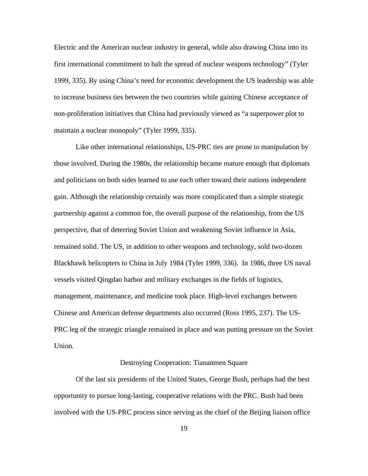Electric and the American nuclear industry in general, while also drawing China into its first international commitment to halt the spread of nuclear weapons technology" (Tyler 1999, 335). By using China's need for economic development the US leadership was able to increase business ties between the two countries while gaining Chinese acceptance of non-proliferation initiatives that China had previously viewed as "a superpower plot to maintain a nuclear monopoly" (Tyler 1999, 335).

Like other international relationships, US-PRC ties are prone to manipulation by those involved. During the 1980s, the relationship became mature enough that diplomats and politicians on both sides learned to use each other toward their nations independent gain. Although the relationship certainly was more complicated than a simple strategic partnership against a common foe, the overall purpose of the relationship, from the US perspective, that of deterring Soviet Union and weakening Soviet influence in Asia, remained solid. The US, in addition to other weapons and technology, sold two-dozen Blackhawk helicopters to China in July 1984 (Tyler 1999, 336). In 1986, three US naval vessels visited Qingdao harbor and military exchanges in the fields of logistics, management, maintenance, and medicine took place. High-level exchanges between Chinese and American defense departments also occurred (Ross 1995, 237). The US-PRC leg of the strategic triangle remained in place and was putting pressure on the Soviet Union.

## Destroying Cooperation: Tiananmen Square

Of the last six presidents of the United States, George Bush, perhaps had the best opportunity to pursue long-lasting, cooperative relations with the PRC. Bush had been involved with the US-PRC process since serving as the chief of the Beijing liaison office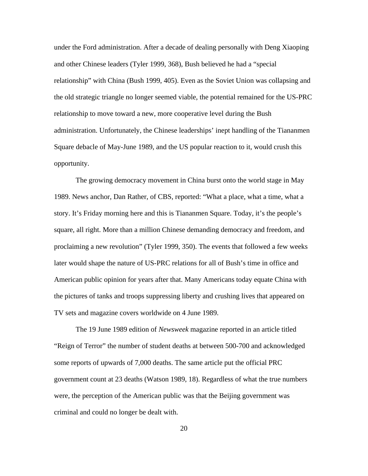under the Ford administration. After a decade of dealing personally with Deng Xiaoping and other Chinese leaders (Tyler 1999, 368), Bush believed he had a "special relationship" with China (Bush 1999, 405). Even as the Soviet Union was collapsing and the old strategic triangle no longer seemed viable, the potential remained for the US-PRC relationship to move toward a new, more cooperative level during the Bush administration. Unfortunately, the Chinese leaderships' inept handling of the Tiananmen Square debacle of May-June 1989, and the US popular reaction to it, would crush this opportunity.

The growing democracy movement in China burst onto the world stage in May 1989. News anchor, Dan Rather, of CBS, reported: "What a place, what a time, what a story. It's Friday morning here and this is Tiananmen Square. Today, it's the people's square, all right. More than a million Chinese demanding democracy and freedom, and proclaiming a new revolution" (Tyler 1999, 350). The events that followed a few weeks later would shape the nature of US-PRC relations for all of Bush's time in office and American public opinion for years after that. Many Americans today equate China with the pictures of tanks and troops suppressing liberty and crushing lives that appeared on TV sets and magazine covers worldwide on 4 June 1989.

The 19 June 1989 edition of *Newsweek* magazine reported in an article titled "Reign of Terror" the number of student deaths at between 500-700 and acknowledged some reports of upwards of 7,000 deaths. The same article put the official PRC government count at 23 deaths (Watson 1989, 18). Regardless of what the true numbers were, the perception of the American public was that the Beijing government was criminal and could no longer be dealt with.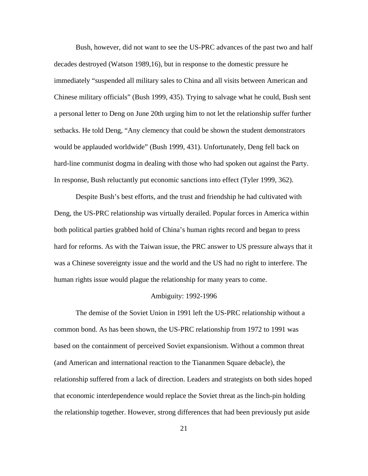Bush, however, did not want to see the US-PRC advances of the past two and half decades destroyed (Watson 1989,16), but in response to the domestic pressure he immediately "suspended all military sales to China and all visits between American and Chinese military officials" (Bush 1999, 435). Trying to salvage what he could, Bush sent a personal letter to Deng on June 20th urging him to not let the relationship suffer further setbacks. He told Deng, "Any clemency that could be shown the student demonstrators would be applauded worldwide" (Bush 1999, 431). Unfortunately, Deng fell back on hard-line communist dogma in dealing with those who had spoken out against the Party. In response, Bush reluctantly put economic sanctions into effect (Tyler 1999, 362).

Despite Bush's best efforts, and the trust and friendship he had cultivated with Deng, the US-PRC relationship was virtually derailed. Popular forces in America within both political parties grabbed hold of China's human rights record and began to press hard for reforms. As with the Taiwan issue, the PRC answer to US pressure always that it was a Chinese sovereignty issue and the world and the US had no right to interfere. The human rights issue would plague the relationship for many years to come.

#### Ambiguity: 1992-1996

The demise of the Soviet Union in 1991 left the US-PRC relationship without a common bond. As has been shown, the US-PRC relationship from 1972 to 1991 was based on the containment of perceived Soviet expansionism. Without a common threat (and American and international reaction to the Tiananmen Square debacle), the relationship suffered from a lack of direction. Leaders and strategists on both sides hoped that economic interdependence would replace the Soviet threat as the linch-pin holding the relationship together. However, strong differences that had been previously put aside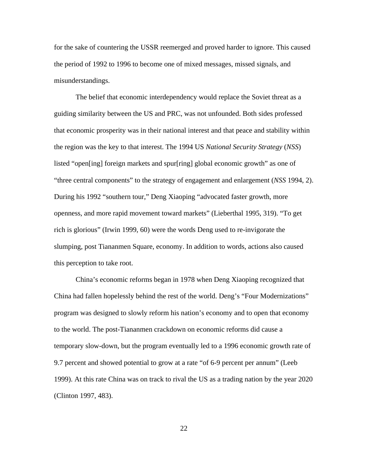for the sake of countering the USSR reemerged and proved harder to ignore. This caused the period of 1992 to 1996 to become one of mixed messages, missed signals, and misunderstandings.

The belief that economic interdependency would replace the Soviet threat as a guiding similarity between the US and PRC, was not unfounded. Both sides professed that economic prosperity was in their national interest and that peace and stability within the region was the key to that interest. The 1994 US *National Security Strategy* (*NSS*) listed "open[ing] foreign markets and spur[ring] global economic growth" as one of "three central components" to the strategy of engagement and enlargement (*NSS* 1994, 2). During his 1992 "southern tour," Deng Xiaoping "advocated faster growth, more openness, and more rapid movement toward markets" (Lieberthal 1995, 319). "To get rich is glorious" (Irwin 1999, 60) were the words Deng used to re-invigorate the slumping, post Tiananmen Square, economy. In addition to words, actions also caused this perception to take root.

China's economic reforms began in 1978 when Deng Xiaoping recognized that China had fallen hopelessly behind the rest of the world. Deng's "Four Modernizations" program was designed to slowly reform his nation's economy and to open that economy to the world. The post-Tiananmen crackdown on economic reforms did cause a temporary slow-down, but the program eventually led to a 1996 economic growth rate of 9.7 percent and showed potential to grow at a rate "of 6-9 percent per annum" (Leeb 1999). At this rate China was on track to rival the US as a trading nation by the year 2020 (Clinton 1997, 483).

22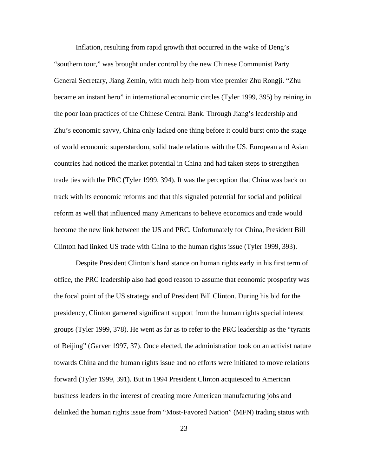Inflation, resulting from rapid growth that occurred in the wake of Deng's "southern tour," was brought under control by the new Chinese Communist Party General Secretary, Jiang Zemin, with much help from vice premier Zhu Rongji. "Zhu became an instant hero" in international economic circles (Tyler 1999, 395) by reining in the poor loan practices of the Chinese Central Bank. Through Jiang's leadership and Zhu's economic savvy, China only lacked one thing before it could burst onto the stage of world economic superstardom, solid trade relations with the US. European and Asian countries had noticed the market potential in China and had taken steps to strengthen trade ties with the PRC (Tyler 1999, 394). It was the perception that China was back on track with its economic reforms and that this signaled potential for social and political reform as well that influenced many Americans to believe economics and trade would become the new link between the US and PRC. Unfortunately for China, President Bill Clinton had linked US trade with China to the human rights issue (Tyler 1999, 393).

Despite President Clinton's hard stance on human rights early in his first term of office, the PRC leadership also had good reason to assume that economic prosperity was the focal point of the US strategy and of President Bill Clinton. During his bid for the presidency, Clinton garnered significant support from the human rights special interest groups (Tyler 1999, 378). He went as far as to refer to the PRC leadership as the "tyrants of Beijing" (Garver 1997, 37). Once elected, the administration took on an activist nature towards China and the human rights issue and no efforts were initiated to move relations forward (Tyler 1999, 391). But in 1994 President Clinton acquiesced to American business leaders in the interest of creating more American manufacturing jobs and delinked the human rights issue from "Most-Favored Nation" (MFN) trading status with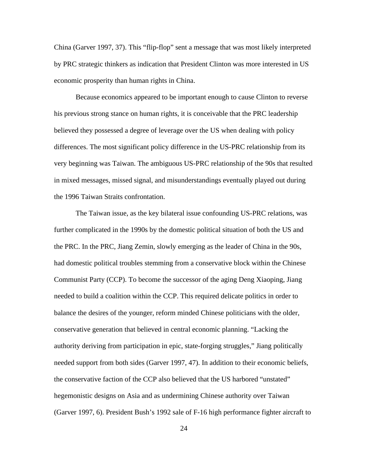China (Garver 1997, 37). This "flip-flop" sent a message that was most likely interpreted by PRC strategic thinkers as indication that President Clinton was more interested in US economic prosperity than human rights in China.

Because economics appeared to be important enough to cause Clinton to reverse his previous strong stance on human rights, it is conceivable that the PRC leadership believed they possessed a degree of leverage over the US when dealing with policy differences. The most significant policy difference in the US-PRC relationship from its very beginning was Taiwan. The ambiguous US-PRC relationship of the 90s that resulted in mixed messages, missed signal, and misunderstandings eventually played out during the 1996 Taiwan Straits confrontation.

The Taiwan issue, as the key bilateral issue confounding US-PRC relations, was further complicated in the 1990s by the domestic political situation of both the US and the PRC. In the PRC, Jiang Zemin, slowly emerging as the leader of China in the 90s, had domestic political troubles stemming from a conservative block within the Chinese Communist Party (CCP). To become the successor of the aging Deng Xiaoping, Jiang needed to build a coalition within the CCP. This required delicate politics in order to balance the desires of the younger, reform minded Chinese politicians with the older, conservative generation that believed in central economic planning. "Lacking the authority deriving from participation in epic, state-forging struggles," Jiang politically needed support from both sides (Garver 1997, 47). In addition to their economic beliefs, the conservative faction of the CCP also believed that the US harbored "unstated" hegemonistic designs on Asia and as undermining Chinese authority over Taiwan (Garver 1997, 6). President Bush's 1992 sale of F-16 high performance fighter aircraft to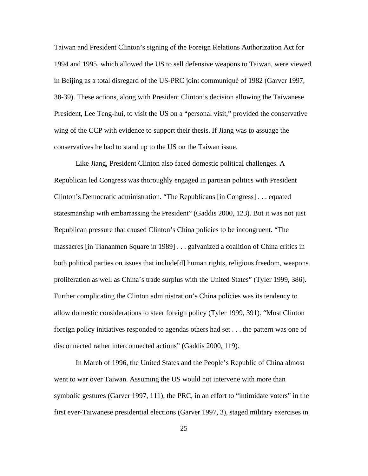Taiwan and President Clinton's signing of the Foreign Relations Authorization Act for 1994 and 1995, which allowed the US to sell defensive weapons to Taiwan, were viewed in Beijing as a total disregard of the US-PRC joint communiqué of 1982 (Garver 1997, 38-39). These actions, along with President Clinton's decision allowing the Taiwanese President, Lee Teng-hui, to visit the US on a "personal visit," provided the conservative wing of the CCP with evidence to support their thesis. If Jiang was to assuage the conservatives he had to stand up to the US on the Taiwan issue.

Like Jiang, President Clinton also faced domestic political challenges. A Republican led Congress was thoroughly engaged in partisan politics with President Clinton's Democratic administration. "The Republicans [in Congress] . . . equated statesmanship with embarrassing the President" (Gaddis 2000, 123). But it was not just Republican pressure that caused Clinton's China policies to be incongruent. "The massacres [in Tiananmen Square in 1989] . . . galvanized a coalition of China critics in both political parties on issues that include[d] human rights, religious freedom, weapons proliferation as well as China's trade surplus with the United States" (Tyler 1999, 386). Further complicating the Clinton administration's China policies was its tendency to allow domestic considerations to steer foreign policy (Tyler 1999, 391). "Most Clinton foreign policy initiatives responded to agendas others had set . . . the pattern was one of disconnected rather interconnected actions" (Gaddis 2000, 119).

In March of 1996, the United States and the People's Republic of China almost went to war over Taiwan. Assuming the US would not intervene with more than symbolic gestures (Garver 1997, 111), the PRC, in an effort to "intimidate voters" in the first ever-Taiwanese presidential elections (Garver 1997, 3), staged military exercises in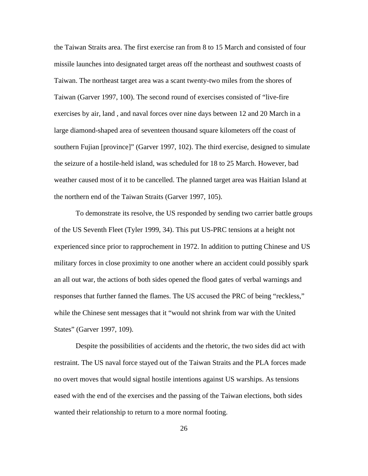the Taiwan Straits area. The first exercise ran from 8 to 15 March and consisted of four missile launches into designated target areas off the northeast and southwest coasts of Taiwan. The northeast target area was a scant twenty-two miles from the shores of Taiwan (Garver 1997, 100). The second round of exercises consisted of "live-fire exercises by air, land , and naval forces over nine days between 12 and 20 March in a large diamond-shaped area of seventeen thousand square kilometers off the coast of southern Fujian [province]" (Garver 1997, 102). The third exercise, designed to simulate the seizure of a hostile-held island, was scheduled for 18 to 25 March. However, bad weather caused most of it to be cancelled. The planned target area was Haitian Island at the northern end of the Taiwan Straits (Garver 1997, 105).

To demonstrate its resolve, the US responded by sending two carrier battle groups of the US Seventh Fleet (Tyler 1999, 34). This put US-PRC tensions at a height not experienced since prior to rapprochement in 1972. In addition to putting Chinese and US military forces in close proximity to one another where an accident could possibly spark an all out war, the actions of both sides opened the flood gates of verbal warnings and responses that further fanned the flames. The US accused the PRC of being "reckless," while the Chinese sent messages that it "would not shrink from war with the United States" (Garver 1997, 109).

Despite the possibilities of accidents and the rhetoric, the two sides did act with restraint. The US naval force stayed out of the Taiwan Straits and the PLA forces made no overt moves that would signal hostile intentions against US warships. As tensions eased with the end of the exercises and the passing of the Taiwan elections, both sides wanted their relationship to return to a more normal footing.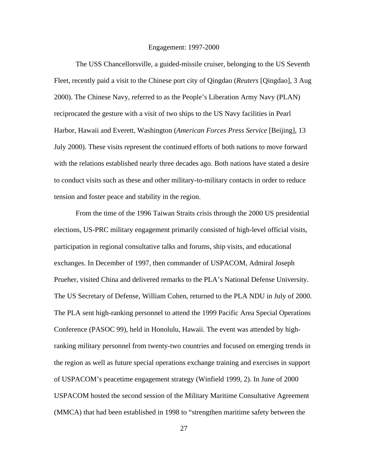#### Engagement: 1997-2000

The USS Chancellorsville, a guided-missile cruiser, belonging to the US Seventh Fleet, recently paid a visit to the Chinese port city of Qingdao (*Reuters* [Qingdao], 3 Aug 2000). The Chinese Navy, referred to as the People's Liberation Army Navy (PLAN) reciprocated the gesture with a visit of two ships to the US Navy facilities in Pearl Harbor, Hawaii and Everett, Washington (*American Forces Press Service* [Beijing], 13 July 2000). These visits represent the continued efforts of both nations to move forward with the relations established nearly three decades ago. Both nations have stated a desire to conduct visits such as these and other military-to-military contacts in order to reduce tension and foster peace and stability in the region.

From the time of the 1996 Taiwan Straits crisis through the 2000 US presidential elections, US-PRC military engagement primarily consisted of high-level official visits, participation in regional consultative talks and forums, ship visits, and educational exchanges. In December of 1997, then commander of USPACOM, Admiral Joseph Prueher, visited China and delivered remarks to the PLA's National Defense University. The US Secretary of Defense, William Cohen, returned to the PLA NDU in July of 2000. The PLA sent high-ranking personnel to attend the 1999 Pacific Area Special Operations Conference (PASOC 99), held in Honolulu, Hawaii. The event was attended by highranking military personnel from twenty-two countries and focused on emerging trends in the region as well as future special operations exchange training and exercises in support of USPACOM's peacetime engagement strategy (Winfield 1999, 2). In June of 2000 USPACOM hosted the second session of the Military Maritime Consultative Agreement (MMCA) that had been established in 1998 to "strengthen maritime safety between the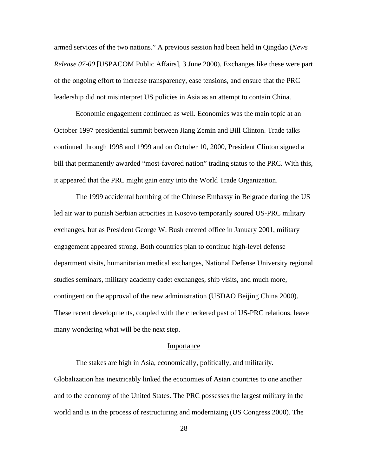armed services of the two nations." A previous session had been held in Qingdao (*News Release 07-00* [USPACOM Public Affairs], 3 June 2000). Exchanges like these were part of the ongoing effort to increase transparency, ease tensions, and ensure that the PRC leadership did not misinterpret US policies in Asia as an attempt to contain China.

Economic engagement continued as well. Economics was the main topic at an October 1997 presidential summit between Jiang Zemin and Bill Clinton. Trade talks continued through 1998 and 1999 and on October 10, 2000, President Clinton signed a bill that permanently awarded "most-favored nation" trading status to the PRC. With this, it appeared that the PRC might gain entry into the World Trade Organization.

The 1999 accidental bombing of the Chinese Embassy in Belgrade during the US led air war to punish Serbian atrocities in Kosovo temporarily soured US-PRC military exchanges, but as President George W. Bush entered office in January 2001, military engagement appeared strong. Both countries plan to continue high-level defense department visits, humanitarian medical exchanges, National Defense University regional studies seminars, military academy cadet exchanges, ship visits, and much more, contingent on the approval of the new administration (USDAO Beijing China 2000). These recent developments, coupled with the checkered past of US-PRC relations, leave many wondering what will be the next step.

#### **Importance**

The stakes are high in Asia, economically, politically, and militarily. Globalization has inextricably linked the economies of Asian countries to one another and to the economy of the United States. The PRC possesses the largest military in the world and is in the process of restructuring and modernizing (US Congress 2000). The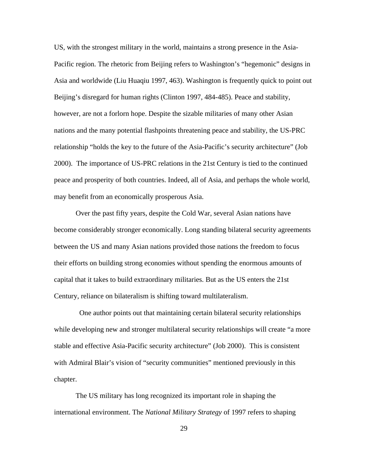US, with the strongest military in the world, maintains a strong presence in the Asia-Pacific region. The rhetoric from Beijing refers to Washington's "hegemonic" designs in Asia and worldwide (Liu Huaqiu 1997, 463). Washington is frequently quick to point out Beijing's disregard for human rights (Clinton 1997, 484-485). Peace and stability, however, are not a forlorn hope. Despite the sizable militaries of many other Asian nations and the many potential flashpoints threatening peace and stability, the US-PRC relationship "holds the key to the future of the Asia-Pacific's security architecture" (Job 2000). The importance of US-PRC relations in the 21st Century is tied to the continued peace and prosperity of both countries. Indeed, all of Asia, and perhaps the whole world, may benefit from an economically prosperous Asia.

Over the past fifty years, despite the Cold War, several Asian nations have become considerably stronger economically. Long standing bilateral security agreements between the US and many Asian nations provided those nations the freedom to focus their efforts on building strong economies without spending the enormous amounts of capital that it takes to build extraordinary militaries. But as the US enters the 21st Century, reliance on bilateralism is shifting toward multilateralism.

 One author points out that maintaining certain bilateral security relationships while developing new and stronger multilateral security relationships will create "a more stable and effective Asia-Pacific security architecture" (Job 2000). This is consistent with Admiral Blair's vision of "security communities" mentioned previously in this chapter.

The US military has long recognized its important role in shaping the international environment. The *National Military Strategy* of 1997 refers to shaping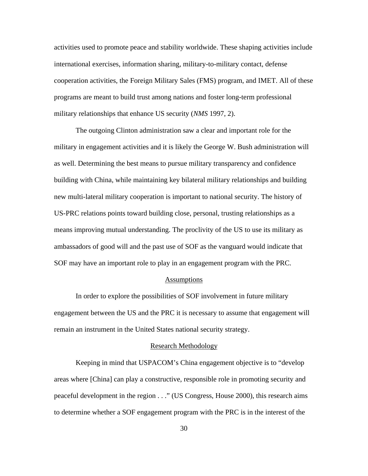activities used to promote peace and stability worldwide. These shaping activities include international exercises, information sharing, military-to-military contact, defense cooperation activities, the Foreign Military Sales (FMS) program, and IMET. All of these programs are meant to build trust among nations and foster long-term professional military relationships that enhance US security (*NMS* 1997, 2).

The outgoing Clinton administration saw a clear and important role for the military in engagement activities and it is likely the George W. Bush administration will as well. Determining the best means to pursue military transparency and confidence building with China, while maintaining key bilateral military relationships and building new multi-lateral military cooperation is important to national security. The history of US-PRC relations points toward building close, personal, trusting relationships as a means improving mutual understanding. The proclivity of the US to use its military as ambassadors of good will and the past use of SOF as the vanguard would indicate that SOF may have an important role to play in an engagement program with the PRC.

#### Assumptions

In order to explore the possibilities of SOF involvement in future military engagement between the US and the PRC it is necessary to assume that engagement will remain an instrument in the United States national security strategy.

#### Research Methodology

Keeping in mind that USPACOM's China engagement objective is to "develop areas where [China] can play a constructive, responsible role in promoting security and peaceful development in the region . . ." (US Congress, House 2000), this research aims to determine whether a SOF engagement program with the PRC is in the interest of the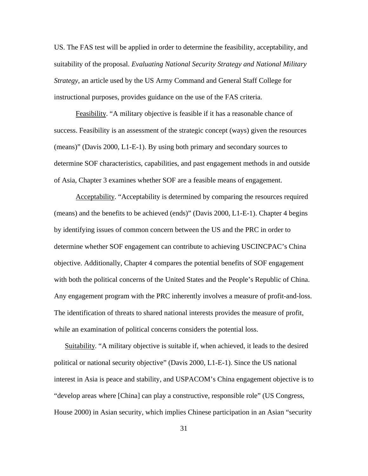US. The FAS test will be applied in order to determine the feasibility, acceptability, and suitability of the proposal. *Evaluating National Security Strategy and National Military Strategy*, an article used by the US Army Command and General Staff College for instructional purposes, provides guidance on the use of the FAS criteria.

Feasibility. "A military objective is feasible if it has a reasonable chance of success. Feasibility is an assessment of the strategic concept (ways) given the resources (means)" (Davis 2000, L1-E-1). By using both primary and secondary sources to determine SOF characteristics, capabilities, and past engagement methods in and outside of Asia, Chapter 3 examines whether SOF are a feasible means of engagement.

Acceptability. "Acceptability is determined by comparing the resources required (means) and the benefits to be achieved (ends)" (Davis 2000, L1-E-1). Chapter 4 begins by identifying issues of common concern between the US and the PRC in order to determine whether SOF engagement can contribute to achieving USCINCPAC's China objective. Additionally, Chapter 4 compares the potential benefits of SOF engagement with both the political concerns of the United States and the People's Republic of China. Any engagement program with the PRC inherently involves a measure of profit-and-loss. The identification of threats to shared national interests provides the measure of profit, while an examination of political concerns considers the potential loss.

Suitability. "A military objective is suitable if, when achieved, it leads to the desired political or national security objective" (Davis 2000, L1-E-1). Since the US national interest in Asia is peace and stability, and USPACOM's China engagement objective is to "develop areas where [China] can play a constructive, responsible role" (US Congress, House 2000) in Asian security, which implies Chinese participation in an Asian "security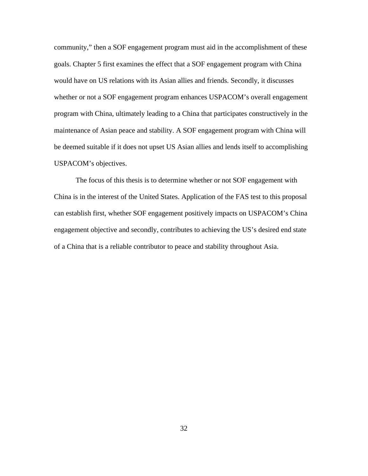community," then a SOF engagement program must aid in the accomplishment of these goals. Chapter 5 first examines the effect that a SOF engagement program with China would have on US relations with its Asian allies and friends. Secondly, it discusses whether or not a SOF engagement program enhances USPACOM's overall engagement program with China, ultimately leading to a China that participates constructively in the maintenance of Asian peace and stability. A SOF engagement program with China will be deemed suitable if it does not upset US Asian allies and lends itself to accomplishing USPACOM's objectives.

The focus of this thesis is to determine whether or not SOF engagement with China is in the interest of the United States. Application of the FAS test to this proposal can establish first, whether SOF engagement positively impacts on USPACOM's China engagement objective and secondly, contributes to achieving the US's desired end state of a China that is a reliable contributor to peace and stability throughout Asia.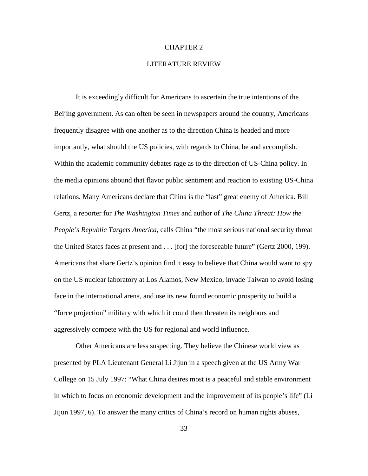## CHAPTER 2

## LITERATURE REVIEW

It is exceedingly difficult for Americans to ascertain the true intentions of the Beijing government. As can often be seen in newspapers around the country, Americans frequently disagree with one another as to the direction China is headed and more importantly, what should the US policies, with regards to China, be and accomplish. Within the academic community debates rage as to the direction of US-China policy. In the media opinions abound that flavor public sentiment and reaction to existing US-China relations. Many Americans declare that China is the "last" great enemy of America. Bill Gertz, a reporter for *The Washington Times* and author of *The China Threat: How the People's Republic Targets America*, calls China "the most serious national security threat the United States faces at present and . . . [for] the foreseeable future" (Gertz 2000, 199). Americans that share Gertz's opinion find it easy to believe that China would want to spy on the US nuclear laboratory at Los Alamos, New Mexico, invade Taiwan to avoid losing face in the international arena, and use its new found economic prosperity to build a "force projection" military with which it could then threaten its neighbors and aggressively compete with the US for regional and world influence.

Other Americans are less suspecting. They believe the Chinese world view as presented by PLA Lieutenant General Li Jijun in a speech given at the US Army War College on 15 July 1997: "What China desires most is a peaceful and stable environment in which to focus on economic development and the improvement of its people's life" (Li Jijun 1997, 6). To answer the many critics of China's record on human rights abuses,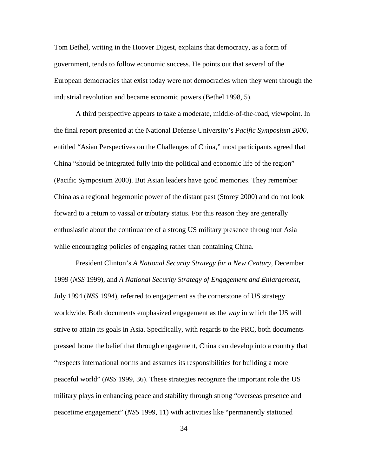Tom Bethel, writing in the Hoover Digest, explains that democracy, as a form of government, tends to follow economic success. He points out that several of the European democracies that exist today were not democracies when they went through the industrial revolution and became economic powers (Bethel 1998, 5).

A third perspective appears to take a moderate, middle-of-the-road, viewpoint. In the final report presented at the National Defense University's *Pacific Symposium 2000*, entitled "Asian Perspectives on the Challenges of China," most participants agreed that China "should be integrated fully into the political and economic life of the region" (Pacific Symposium 2000). But Asian leaders have good memories. They remember China as a regional hegemonic power of the distant past (Storey 2000) and do not look forward to a return to vassal or tributary status. For this reason they are generally enthusiastic about the continuance of a strong US military presence throughout Asia while encouraging policies of engaging rather than containing China.

President Clinton's *A National Security Strategy for a New Century*, December 1999 (*NSS* 1999), and *A National Security Strategy of Engagement and Enlargement*, July 1994 (*NSS* 1994), referred to engagement as the cornerstone of US strategy worldwide. Both documents emphasized engagement as the *way* in which the US will strive to attain its goals in Asia. Specifically, with regards to the PRC, both documents pressed home the belief that through engagement, China can develop into a country that "respects international norms and assumes its responsibilities for building a more peaceful world" (*NSS* 1999, 36). These strategies recognize the important role the US military plays in enhancing peace and stability through strong "overseas presence and peacetime engagement" (*NSS* 1999, 11) with activities like "permanently stationed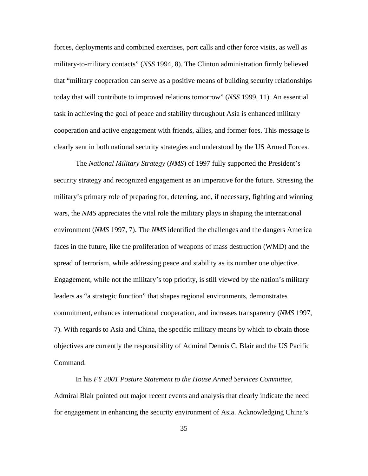forces, deployments and combined exercises, port calls and other force visits, as well as military-to-military contacts" (*NSS* 1994, 8). The Clinton administration firmly believed that "military cooperation can serve as a positive means of building security relationships today that will contribute to improved relations tomorrow" (*NSS* 1999, 11). An essential task in achieving the goal of peace and stability throughout Asia is enhanced military cooperation and active engagement with friends, allies, and former foes. This message is clearly sent in both national security strategies and understood by the US Armed Forces.

The *National Military Strategy* (*NMS*) of 1997 fully supported the President's security strategy and recognized engagement as an imperative for the future. Stressing the military's primary role of preparing for, deterring, and, if necessary, fighting and winning wars, the *NMS* appreciates the vital role the military plays in shaping the international environment (*NMS* 1997, 7). The *NMS* identified the challenges and the dangers America faces in the future, like the proliferation of weapons of mass destruction (WMD) and the spread of terrorism, while addressing peace and stability as its number one objective. Engagement, while not the military's top priority, is still viewed by the nation's military leaders as "a strategic function" that shapes regional environments, demonstrates commitment, enhances international cooperation, and increases transparency (*NMS* 1997, 7). With regards to Asia and China, the specific military means by which to obtain those objectives are currently the responsibility of Admiral Dennis C. Blair and the US Pacific Command.

In his *FY 2001 Posture Statement to the House Armed Services Committee*, Admiral Blair pointed out major recent events and analysis that clearly indicate the need for engagement in enhancing the security environment of Asia. Acknowledging China's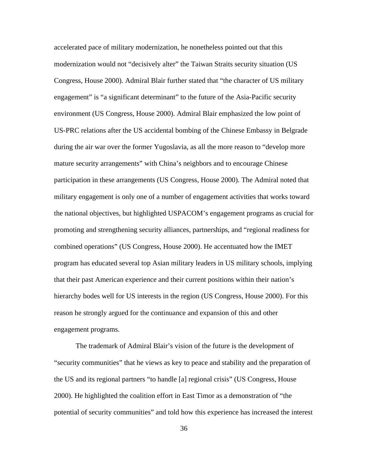accelerated pace of military modernization, he nonetheless pointed out that this modernization would not "decisively alter" the Taiwan Straits security situation (US Congress, House 2000). Admiral Blair further stated that "the character of US military engagement" is "a significant determinant" to the future of the Asia-Pacific security environment (US Congress, House 2000). Admiral Blair emphasized the low point of US-PRC relations after the US accidental bombing of the Chinese Embassy in Belgrade during the air war over the former Yugoslavia, as all the more reason to "develop more mature security arrangements" with China's neighbors and to encourage Chinese participation in these arrangements (US Congress, House 2000). The Admiral noted that military engagement is only one of a number of engagement activities that works toward the national objectives, but highlighted USPACOM's engagement programs as crucial for promoting and strengthening security alliances, partnerships, and "regional readiness for combined operations" (US Congress, House 2000). He accentuated how the IMET program has educated several top Asian military leaders in US military schools, implying that their past American experience and their current positions within their nation's hierarchy bodes well for US interests in the region (US Congress, House 2000). For this reason he strongly argued for the continuance and expansion of this and other engagement programs.

The trademark of Admiral Blair's vision of the future is the development of "security communities" that he views as key to peace and stability and the preparation of the US and its regional partners "to handle [a] regional crisis" (US Congress, House 2000). He highlighted the coalition effort in East Timor as a demonstration of "the potential of security communities" and told how this experience has increased the interest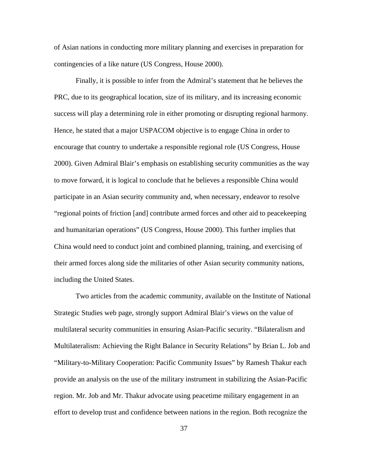of Asian nations in conducting more military planning and exercises in preparation for contingencies of a like nature (US Congress, House 2000).

Finally, it is possible to infer from the Admiral's statement that he believes the PRC, due to its geographical location, size of its military, and its increasing economic success will play a determining role in either promoting or disrupting regional harmony. Hence, he stated that a major USPACOM objective is to engage China in order to encourage that country to undertake a responsible regional role (US Congress, House 2000). Given Admiral Blair's emphasis on establishing security communities as the way to move forward, it is logical to conclude that he believes a responsible China would participate in an Asian security community and, when necessary, endeavor to resolve "regional points of friction [and] contribute armed forces and other aid to peacekeeping and humanitarian operations" (US Congress, House 2000). This further implies that China would need to conduct joint and combined planning, training, and exercising of their armed forces along side the militaries of other Asian security community nations, including the United States.

Two articles from the academic community, available on the Institute of National Strategic Studies web page, strongly support Admiral Blair's views on the value of multilateral security communities in ensuring Asian-Pacific security. "Bilateralism and Multilateralism: Achieving the Right Balance in Security Relations" by Brian L. Job and "Military-to-Military Cooperation: Pacific Community Issues" by Ramesh Thakur each provide an analysis on the use of the military instrument in stabilizing the Asian-Pacific region. Mr. Job and Mr. Thakur advocate using peacetime military engagement in an effort to develop trust and confidence between nations in the region. Both recognize the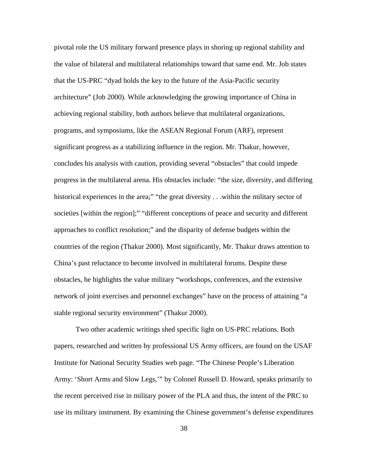pivotal role the US military forward presence plays in shoring up regional stability and the value of bilateral and multilateral relationships toward that same end. Mr. Job states that the US-PRC "dyad holds the key to the future of the Asia-Pacific security architecture" (Job 2000). While acknowledging the growing importance of China in achieving regional stability, both authors believe that multilateral organizations, programs, and symposiums, like the ASEAN Regional Forum (ARF), represent significant progress as a stabilizing influence in the region. Mr. Thakur, however, concludes his analysis with caution, providing several "obstacles" that could impede progress in the multilateral arena. His obstacles include: "the size, diversity, and differing historical experiences in the area;" "the great diversity . . .within the military sector of societies [within the region];" "different conceptions of peace and security and different approaches to conflict resolution;" and the disparity of defense budgets within the countries of the region (Thakur 2000). Most significantly, Mr. Thakur draws attention to China's past reluctance to become involved in multilateral forums. Despite these obstacles, he highlights the value military "workshops, conferences, and the extensive network of joint exercises and personnel exchanges" have on the process of attaining "a stable regional security environment" (Thakur 2000).

Two other academic writings shed specific light on US-PRC relations. Both papers, researched and written by professional US Army officers, are found on the USAF Institute for National Security Studies web page. "The Chinese People's Liberation Army: 'Short Arms and Slow Legs,'" by Colonel Russell D. Howard, speaks primarily to the recent perceived rise in military power of the PLA and thus, the intent of the PRC to use its military instrument. By examining the Chinese government's defense expenditures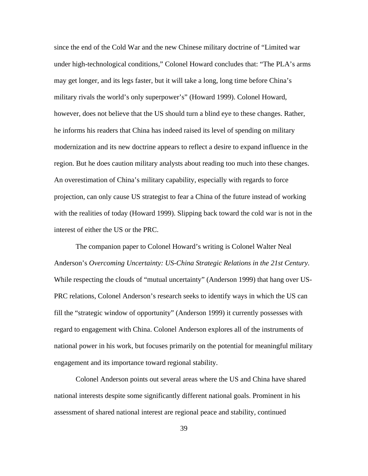since the end of the Cold War and the new Chinese military doctrine of "Limited war under high-technological conditions," Colonel Howard concludes that: "The PLA's arms may get longer, and its legs faster, but it will take a long, long time before China's military rivals the world's only superpower's" (Howard 1999). Colonel Howard, however, does not believe that the US should turn a blind eye to these changes. Rather, he informs his readers that China has indeed raised its level of spending on military modernization and its new doctrine appears to reflect a desire to expand influence in the region. But he does caution military analysts about reading too much into these changes. An overestimation of China's military capability, especially with regards to force projection, can only cause US strategist to fear a China of the future instead of working with the realities of today (Howard 1999). Slipping back toward the cold war is not in the interest of either the US or the PRC.

The companion paper to Colonel Howard's writing is Colonel Walter Neal Anderson's *Overcoming Uncertainty: US-China Strategic Relations in the 21st Century*. While respecting the clouds of "mutual uncertainty" (Anderson 1999) that hang over US-PRC relations, Colonel Anderson's research seeks to identify ways in which the US can fill the "strategic window of opportunity" (Anderson 1999) it currently possesses with regard to engagement with China. Colonel Anderson explores all of the instruments of national power in his work, but focuses primarily on the potential for meaningful military engagement and its importance toward regional stability.

Colonel Anderson points out several areas where the US and China have shared national interests despite some significantly different national goals. Prominent in his assessment of shared national interest are regional peace and stability, continued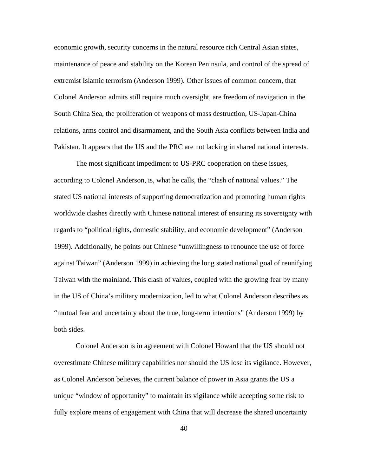economic growth, security concerns in the natural resource rich Central Asian states, maintenance of peace and stability on the Korean Peninsula, and control of the spread of extremist Islamic terrorism (Anderson 1999). Other issues of common concern, that Colonel Anderson admits still require much oversight, are freedom of navigation in the South China Sea, the proliferation of weapons of mass destruction, US-Japan-China relations, arms control and disarmament, and the South Asia conflicts between India and Pakistan. It appears that the US and the PRC are not lacking in shared national interests.

The most significant impediment to US-PRC cooperation on these issues, according to Colonel Anderson, is, what he calls, the "clash of national values." The stated US national interests of supporting democratization and promoting human rights worldwide clashes directly with Chinese national interest of ensuring its sovereignty with regards to "political rights, domestic stability, and economic development" (Anderson 1999). Additionally, he points out Chinese "unwillingness to renounce the use of force against Taiwan" (Anderson 1999) in achieving the long stated national goal of reunifying Taiwan with the mainland. This clash of values, coupled with the growing fear by many in the US of China's military modernization, led to what Colonel Anderson describes as "mutual fear and uncertainty about the true, long-term intentions" (Anderson 1999) by both sides.

Colonel Anderson is in agreement with Colonel Howard that the US should not overestimate Chinese military capabilities nor should the US lose its vigilance. However, as Colonel Anderson believes, the current balance of power in Asia grants the US a unique "window of opportunity" to maintain its vigilance while accepting some risk to fully explore means of engagement with China that will decrease the shared uncertainty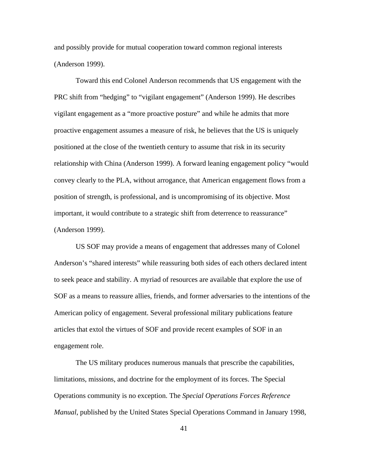and possibly provide for mutual cooperation toward common regional interests (Anderson 1999).

Toward this end Colonel Anderson recommends that US engagement with the PRC shift from "hedging" to "vigilant engagement" (Anderson 1999). He describes vigilant engagement as a "more proactive posture" and while he admits that more proactive engagement assumes a measure of risk, he believes that the US is uniquely positioned at the close of the twentieth century to assume that risk in its security relationship with China (Anderson 1999). A forward leaning engagement policy "would convey clearly to the PLA, without arrogance, that American engagement flows from a position of strength, is professional, and is uncompromising of its objective. Most important, it would contribute to a strategic shift from deterrence to reassurance" (Anderson 1999).

US SOF may provide a means of engagement that addresses many of Colonel Anderson's "shared interests" while reassuring both sides of each others declared intent to seek peace and stability. A myriad of resources are available that explore the use of SOF as a means to reassure allies, friends, and former adversaries to the intentions of the American policy of engagement. Several professional military publications feature articles that extol the virtues of SOF and provide recent examples of SOF in an engagement role.

The US military produces numerous manuals that prescribe the capabilities, limitations, missions, and doctrine for the employment of its forces. The Special Operations community is no exception. The *Special Operations Forces Reference Manual*, published by the United States Special Operations Command in January 1998,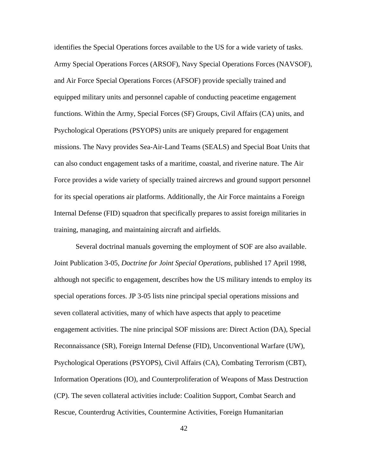identifies the Special Operations forces available to the US for a wide variety of tasks. Army Special Operations Forces (ARSOF), Navy Special Operations Forces (NAVSOF), and Air Force Special Operations Forces (AFSOF) provide specially trained and equipped military units and personnel capable of conducting peacetime engagement functions. Within the Army, Special Forces (SF) Groups, Civil Affairs (CA) units, and Psychological Operations (PSYOPS) units are uniquely prepared for engagement missions. The Navy provides Sea-Air-Land Teams (SEALS) and Special Boat Units that can also conduct engagement tasks of a maritime, coastal, and riverine nature. The Air Force provides a wide variety of specially trained aircrews and ground support personnel for its special operations air platforms. Additionally, the Air Force maintains a Foreign Internal Defense (FID) squadron that specifically prepares to assist foreign militaries in training, managing, and maintaining aircraft and airfields.

Several doctrinal manuals governing the employment of SOF are also available. Joint Publication 3-05, *Doctrine for Joint Special Operations*, published 17 April 1998, although not specific to engagement, describes how the US military intends to employ its special operations forces. JP 3-05 lists nine principal special operations missions and seven collateral activities, many of which have aspects that apply to peacetime engagement activities. The nine principal SOF missions are: Direct Action (DA), Special Reconnaissance (SR), Foreign Internal Defense (FID), Unconventional Warfare (UW), Psychological Operations (PSYOPS), Civil Affairs (CA), Combating Terrorism (CBT), Information Operations (IO), and Counterproliferation of Weapons of Mass Destruction (CP). The seven collateral activities include: Coalition Support, Combat Search and Rescue, Counterdrug Activities, Countermine Activities, Foreign Humanitarian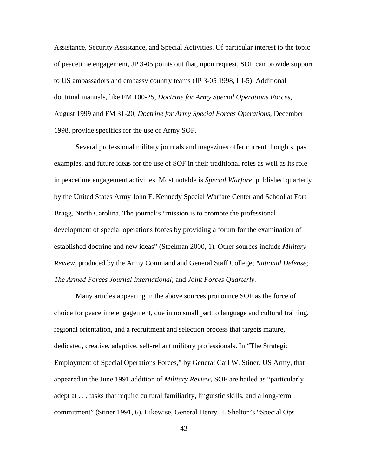Assistance, Security Assistance, and Special Activities. Of particular interest to the topic of peacetime engagement, JP 3-05 points out that, upon request, SOF can provide support to US ambassadors and embassy country teams (JP 3-05 1998, III-5). Additional doctrinal manuals, like FM 100-25, *Doctrine for Army Special Operations Forces*, August 1999 and FM 31-20, *Doctrine for Army Special Forces Operations*, December 1998, provide specifics for the use of Army SOF.

Several professional military journals and magazines offer current thoughts, past examples, and future ideas for the use of SOF in their traditional roles as well as its role in peacetime engagement activities. Most notable is *Special Warfare*, published quarterly by the United States Army John F. Kennedy Special Warfare Center and School at Fort Bragg, North Carolina. The journal's "mission is to promote the professional development of special operations forces by providing a forum for the examination of established doctrine and new ideas" (Steelman 2000, 1). Other sources include *Military Review*, produced by the Army Command and General Staff College; *National Defense*; *The Armed Forces Journal International*; and *Joint Forces Quarterly*.

Many articles appearing in the above sources pronounce SOF as the force of choice for peacetime engagement, due in no small part to language and cultural training, regional orientation, and a recruitment and selection process that targets mature, dedicated, creative, adaptive, self-reliant military professionals. In "The Strategic Employment of Special Operations Forces," by General Carl W. Stiner, US Army, that appeared in the June 1991 addition of *Military Review*, SOF are hailed as "particularly adept at . . . tasks that require cultural familiarity, linguistic skills, and a long-term commitment" (Stiner 1991, 6). Likewise, General Henry H. Shelton's "Special Ops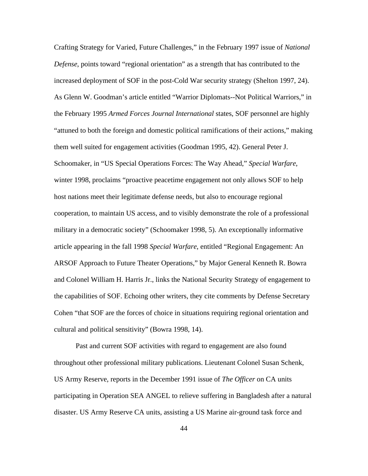Crafting Strategy for Varied, Future Challenges," in the February 1997 issue of *National Defense*, points toward "regional orientation" as a strength that has contributed to the increased deployment of SOF in the post-Cold War security strategy (Shelton 1997, 24). As Glenn W. Goodman's article entitled "Warrior Diplomats--Not Political Warriors," in the February 1995 *Armed Forces Journal International* states, SOF personnel are highly "attuned to both the foreign and domestic political ramifications of their actions," making them well suited for engagement activities (Goodman 1995, 42). General Peter J. Schoomaker, in "US Special Operations Forces: The Way Ahead," *Special Warfare*, winter 1998, proclaims "proactive peacetime engagement not only allows SOF to help host nations meet their legitimate defense needs, but also to encourage regional cooperation, to maintain US access, and to visibly demonstrate the role of a professional military in a democratic society" (Schoomaker 1998, 5). An exceptionally informative article appearing in the fall 1998 *Special Warfare*, entitled "Regional Engagement: An ARSOF Approach to Future Theater Operations," by Major General Kenneth R. Bowra and Colonel William H. Harris Jr., links the National Security Strategy of engagement to the capabilities of SOF. Echoing other writers, they cite comments by Defense Secretary Cohen "that SOF are the forces of choice in situations requiring regional orientation and cultural and political sensitivity" (Bowra 1998, 14).

Past and current SOF activities with regard to engagement are also found throughout other professional military publications. Lieutenant Colonel Susan Schenk, US Army Reserve, reports in the December 1991 issue of *The Officer* on CA units participating in Operation SEA ANGEL to relieve suffering in Bangladesh after a natural disaster. US Army Reserve CA units, assisting a US Marine air-ground task force and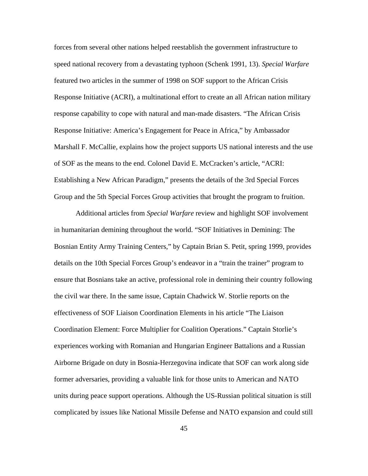forces from several other nations helped reestablish the government infrastructure to speed national recovery from a devastating typhoon (Schenk 1991, 13). *Special Warfare*  featured two articles in the summer of 1998 on SOF support to the African Crisis Response Initiative (ACRI), a multinational effort to create an all African nation military response capability to cope with natural and man-made disasters. "The African Crisis Response Initiative: America's Engagement for Peace in Africa," by Ambassador Marshall F. McCallie, explains how the project supports US national interests and the use of SOF as the means to the end. Colonel David E. McCracken's article, "ACRI: Establishing a New African Paradigm," presents the details of the 3rd Special Forces Group and the 5th Special Forces Group activities that brought the program to fruition.

Additional articles from *Special Warfare* review and highlight SOF involvement in humanitarian demining throughout the world. "SOF Initiatives in Demining: The Bosnian Entity Army Training Centers," by Captain Brian S. Petit, spring 1999, provides details on the 10th Special Forces Group's endeavor in a "train the trainer" program to ensure that Bosnians take an active, professional role in demining their country following the civil war there. In the same issue, Captain Chadwick W. Storlie reports on the effectiveness of SOF Liaison Coordination Elements in his article "The Liaison Coordination Element: Force Multiplier for Coalition Operations." Captain Storlie's experiences working with Romanian and Hungarian Engineer Battalions and a Russian Airborne Brigade on duty in Bosnia-Herzegovina indicate that SOF can work along side former adversaries, providing a valuable link for those units to American and NATO units during peace support operations. Although the US-Russian political situation is still complicated by issues like National Missile Defense and NATO expansion and could still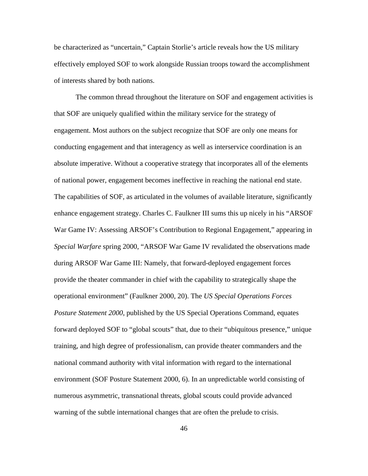be characterized as "uncertain," Captain Storlie's article reveals how the US military effectively employed SOF to work alongside Russian troops toward the accomplishment of interests shared by both nations.

The common thread throughout the literature on SOF and engagement activities is that SOF are uniquely qualified within the military service for the strategy of engagement. Most authors on the subject recognize that SOF are only one means for conducting engagement and that interagency as well as interservice coordination is an absolute imperative. Without a cooperative strategy that incorporates all of the elements of national power, engagement becomes ineffective in reaching the national end state. The capabilities of SOF, as articulated in the volumes of available literature, significantly enhance engagement strategy. Charles C. Faulkner III sums this up nicely in his "ARSOF War Game IV: Assessing ARSOF's Contribution to Regional Engagement," appearing in *Special Warfare* spring 2000, "ARSOF War Game IV revalidated the observations made during ARSOF War Game III: Namely, that forward-deployed engagement forces provide the theater commander in chief with the capability to strategically shape the operational environment" (Faulkner 2000, 20). The *US Special Operations Forces Posture Statement 2000*, published by the US Special Operations Command, equates forward deployed SOF to "global scouts" that, due to their "ubiquitous presence," unique training, and high degree of professionalism, can provide theater commanders and the national command authority with vital information with regard to the international environment (SOF Posture Statement 2000, 6). In an unpredictable world consisting of numerous asymmetric, transnational threats, global scouts could provide advanced warning of the subtle international changes that are often the prelude to crisis.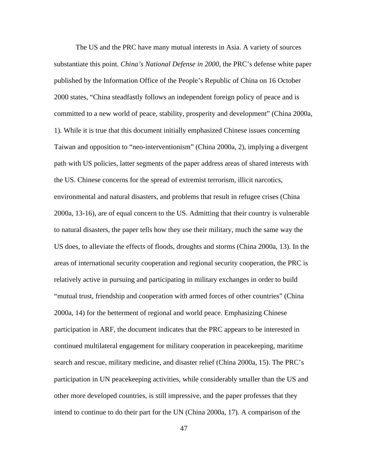The US and the PRC have many mutual interests in Asia. A variety of sources substantiate this point. *China's National Defense in 2000*, the PRC's defense white paper published by the Information Office of the People's Republic of China on 16 October 2000 states, "China steadfastly follows an independent foreign policy of peace and is committed to a new world of peace, stability, prosperity and development" (China 2000a, 1). While it is true that this document initially emphasized Chinese issues concerning Taiwan and opposition to "neo-interventionism" (China 2000a, 2), implying a divergent path with US policies, latter segments of the paper address areas of shared interests with the US. Chinese concerns for the spread of extremist terrorism, illicit narcotics, environmental and natural disasters, and problems that result in refugee crises (China 2000a, 13-16), are of equal concern to the US. Admitting that their country is vulnerable to natural disasters, the paper tells how they use their military, much the same way the US does, to alleviate the effects of floods, droughts and storms (China 2000a, 13). In the areas of international security cooperation and regional security cooperation, the PRC is relatively active in pursuing and participating in military exchanges in order to build "mutual trust, friendship and cooperation with armed forces of other countries" (China 2000a, 14) for the betterment of regional and world peace. Emphasizing Chinese participation in ARF, the document indicates that the PRC appears to be interested in continued multilateral engagement for military cooperation in peacekeeping, maritime search and rescue, military medicine, and disaster relief (China 2000a, 15). The PRC's participation in UN peacekeeping activities, while considerably smaller than the US and other more developed countries, is still impressive, and the paper professes that they intend to continue to do their part for the UN (China 2000a, 17). A comparison of the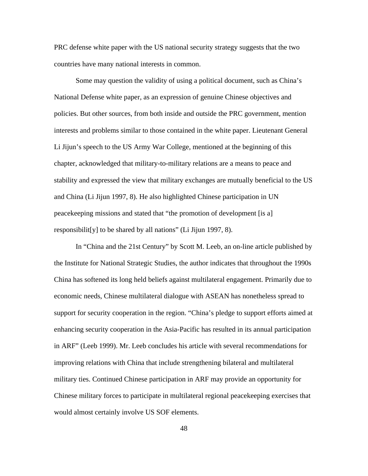PRC defense white paper with the US national security strategy suggests that the two countries have many national interests in common.

Some may question the validity of using a political document, such as China's National Defense white paper, as an expression of genuine Chinese objectives and policies. But other sources, from both inside and outside the PRC government, mention interests and problems similar to those contained in the white paper. Lieutenant General Li Jijun's speech to the US Army War College, mentioned at the beginning of this chapter, acknowledged that military-to-military relations are a means to peace and stability and expressed the view that military exchanges are mutually beneficial to the US and China (Li Jijun 1997, 8). He also highlighted Chinese participation in UN peacekeeping missions and stated that "the promotion of development [is a] responsibilit[y] to be shared by all nations" (Li Jijun 1997, 8).

In "China and the 21st Century" by Scott M. Leeb, an on-line article published by the Institute for National Strategic Studies, the author indicates that throughout the 1990s China has softened its long held beliefs against multilateral engagement. Primarily due to economic needs, Chinese multilateral dialogue with ASEAN has nonetheless spread to support for security cooperation in the region. "China's pledge to support efforts aimed at enhancing security cooperation in the Asia-Pacific has resulted in its annual participation in ARF" (Leeb 1999). Mr. Leeb concludes his article with several recommendations for improving relations with China that include strengthening bilateral and multilateral military ties. Continued Chinese participation in ARF may provide an opportunity for Chinese military forces to participate in multilateral regional peacekeeping exercises that would almost certainly involve US SOF elements.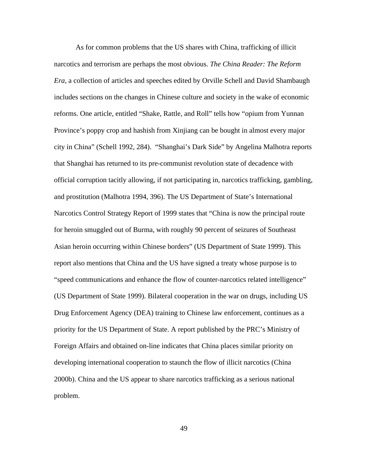As for common problems that the US shares with China, trafficking of illicit narcotics and terrorism are perhaps the most obvious. *The China Reader: The Reform Era*, a collection of articles and speeches edited by Orville Schell and David Shambaugh includes sections on the changes in Chinese culture and society in the wake of economic reforms. One article, entitled "Shake, Rattle, and Roll" tells how "opium from Yunnan Province's poppy crop and hashish from Xinjiang can be bought in almost every major city in China" (Schell 1992, 284). "Shanghai's Dark Side" by Angelina Malhotra reports that Shanghai has returned to its pre-communist revolution state of decadence with official corruption tacitly allowing, if not participating in, narcotics trafficking, gambling, and prostitution (Malhotra 1994, 396). The US Department of State's International Narcotics Control Strategy Report of 1999 states that "China is now the principal route for heroin smuggled out of Burma, with roughly 90 percent of seizures of Southeast Asian heroin occurring within Chinese borders" (US Department of State 1999). This report also mentions that China and the US have signed a treaty whose purpose is to "speed communications and enhance the flow of counter-narcotics related intelligence" (US Department of State 1999). Bilateral cooperation in the war on drugs, including US Drug Enforcement Agency (DEA) training to Chinese law enforcement, continues as a priority for the US Department of State. A report published by the PRC's Ministry of Foreign Affairs and obtained on-line indicates that China places similar priority on developing international cooperation to staunch the flow of illicit narcotics (China 2000b). China and the US appear to share narcotics trafficking as a serious national problem.

49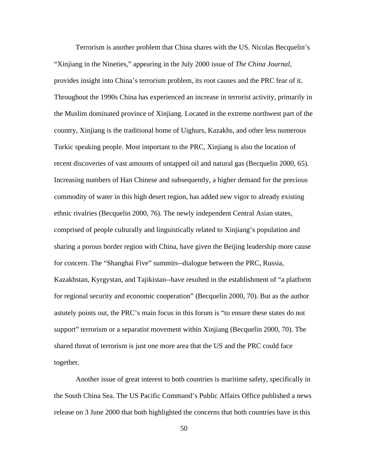Terrorism is another problem that China shares with the US. Nicolas Becquelin's "Xinjiang in the Nineties," appearing in the July 2000 issue of *The China Journal*, provides insight into China's terrorism problem, its root causes and the PRC fear of it. Throughout the 1990s China has experienced an increase in terrorist activity, primarily in the Muslim dominated province of Xinjiang. Located in the extreme northwest part of the country, Xinjiang is the traditional home of Uighurs, Kazakhs, and other less numerous Turkic speaking people. Most important to the PRC, Xinjiang is also the location of recent discoveries of vast amounts of untapped oil and natural gas (Becquelin 2000, 65). Increasing numbers of Han Chinese and subsequently, a higher demand for the precious commodity of water in this high desert region, has added new vigor to already existing ethnic rivalries (Becquelin 2000, 76). The newly independent Central Asian states, comprised of people culturally and linguistically related to Xinjiang's population and sharing a porous border region with China, have given the Beijing leadership more cause for concern. The "Shanghai Five" summits--dialogue between the PRC, Russia, Kazakhstan, Kyrgystan, and Tajikistan--have resulted in the establishment of "a platform for regional security and economic cooperation" (Becquelin 2000, 70). But as the author astutely points out, the PRC's main focus in this forum is "to ensure these states do not support" terrorism or a separatist movement within Xinjiang (Becquelin 2000, 70). The shared threat of terrorism is just one more area that the US and the PRC could face together.

Another issue of great interest to both countries is maritime safety, specifically in the South China Sea. The US Pacific Command's Public Affairs Office published a news release on 3 June 2000 that both highlighted the concerns that both countries have in this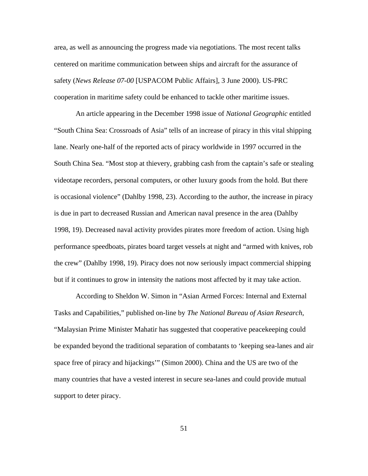area, as well as announcing the progress made via negotiations. The most recent talks centered on maritime communication between ships and aircraft for the assurance of safety (*News Release 07-00* [USPACOM Public Affairs], 3 June 2000). US-PRC cooperation in maritime safety could be enhanced to tackle other maritime issues.

An article appearing in the December 1998 issue of *National Geographic* entitled "South China Sea: Crossroads of Asia" tells of an increase of piracy in this vital shipping lane. Nearly one-half of the reported acts of piracy worldwide in 1997 occurred in the South China Sea. "Most stop at thievery, grabbing cash from the captain's safe or stealing videotape recorders, personal computers, or other luxury goods from the hold. But there is occasional violence" (Dahlby 1998, 23). According to the author, the increase in piracy is due in part to decreased Russian and American naval presence in the area (Dahlby 1998, 19). Decreased naval activity provides pirates more freedom of action. Using high performance speedboats, pirates board target vessels at night and "armed with knives, rob the crew" (Dahlby 1998, 19). Piracy does not now seriously impact commercial shipping but if it continues to grow in intensity the nations most affected by it may take action.

According to Sheldon W. Simon in "Asian Armed Forces: Internal and External Tasks and Capabilities," published on-line by *The National Bureau of Asian Research*, "Malaysian Prime Minister Mahatir has suggested that cooperative peacekeeping could be expanded beyond the traditional separation of combatants to 'keeping sea-lanes and air space free of piracy and hijackings'" (Simon 2000). China and the US are two of the many countries that have a vested interest in secure sea-lanes and could provide mutual support to deter piracy.

51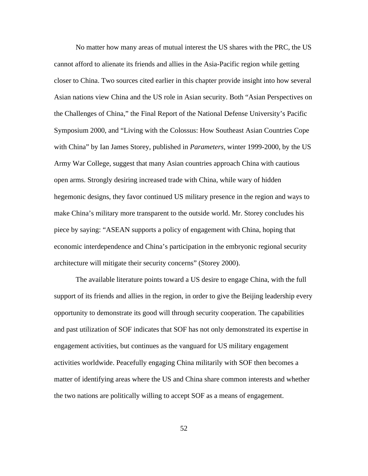No matter how many areas of mutual interest the US shares with the PRC, the US cannot afford to alienate its friends and allies in the Asia-Pacific region while getting closer to China. Two sources cited earlier in this chapter provide insight into how several Asian nations view China and the US role in Asian security. Both "Asian Perspectives on the Challenges of China," the Final Report of the National Defense University's Pacific Symposium 2000, and "Living with the Colossus: How Southeast Asian Countries Cope with China" by Ian James Storey, published in *Parameters*, winter 1999-2000, by the US Army War College, suggest that many Asian countries approach China with cautious open arms. Strongly desiring increased trade with China, while wary of hidden hegemonic designs, they favor continued US military presence in the region and ways to make China's military more transparent to the outside world. Mr. Storey concludes his piece by saying: "ASEAN supports a policy of engagement with China, hoping that economic interdependence and China's participation in the embryonic regional security architecture will mitigate their security concerns" (Storey 2000).

The available literature points toward a US desire to engage China, with the full support of its friends and allies in the region, in order to give the Beijing leadership every opportunity to demonstrate its good will through security cooperation. The capabilities and past utilization of SOF indicates that SOF has not only demonstrated its expertise in engagement activities, but continues as the vanguard for US military engagement activities worldwide. Peacefully engaging China militarily with SOF then becomes a matter of identifying areas where the US and China share common interests and whether the two nations are politically willing to accept SOF as a means of engagement.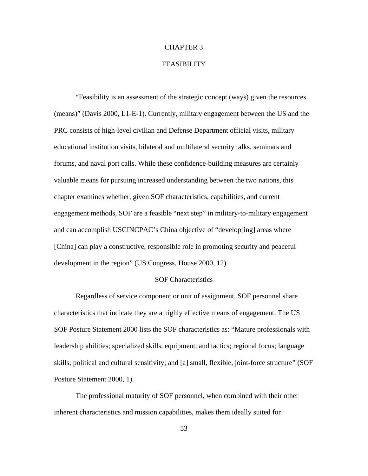## CHAPTER 3

## FEASIBILITY

"Feasibility is an assessment of the strategic concept (ways) given the resources (means)" (Davis 2000, L1-E-1). Currently, military engagement between the US and the PRC consists of high-level civilian and Defense Department official visits, military educational institution visits, bilateral and multilateral security talks, seminars and forums, and naval port calls. While these confidence-building measures are certainly valuable means for pursuing increased understanding between the two nations, this chapter examines whether, given SOF characteristics, capabilities, and current engagement methods, SOF are a feasible "next step" in military-to-military engagement and can accomplish USCINCPAC's China objective of "develop[ing] areas where [China] can play a constructive, responsible role in promoting security and peaceful development in the region" (US Congress, House 2000, 12).

## SOF Characteristics

Regardless of service component or unit of assignment, SOF personnel share characteristics that indicate they are a highly effective means of engagement. The US SOF Posture Statement 2000 lists the SOF characteristics as: "Mature professionals with leadership abilities; specialized skills, equipment, and tactics; regional focus; language skills; political and cultural sensitivity; and [a] small, flexible, joint-force structure" (SOF Posture Statement 2000, 1).

The professional maturity of SOF personnel, when combined with their other inherent characteristics and mission capabilities, makes them ideally suited for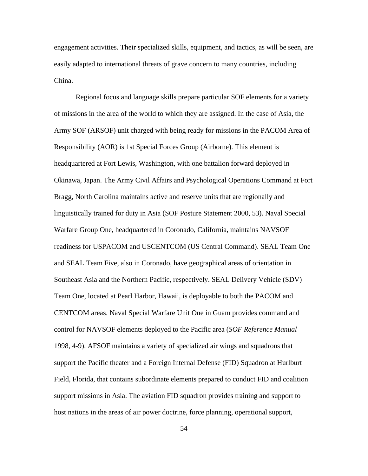engagement activities. Their specialized skills, equipment, and tactics, as will be seen, are easily adapted to international threats of grave concern to many countries, including China.

Regional focus and language skills prepare particular SOF elements for a variety of missions in the area of the world to which they are assigned. In the case of Asia, the Army SOF (ARSOF) unit charged with being ready for missions in the PACOM Area of Responsibility (AOR) is 1st Special Forces Group (Airborne). This element is headquartered at Fort Lewis, Washington, with one battalion forward deployed in Okinawa, Japan. The Army Civil Affairs and Psychological Operations Command at Fort Bragg, North Carolina maintains active and reserve units that are regionally and linguistically trained for duty in Asia (SOF Posture Statement 2000, 53). Naval Special Warfare Group One, headquartered in Coronado, California, maintains NAVSOF readiness for USPACOM and USCENTCOM (US Central Command). SEAL Team One and SEAL Team Five, also in Coronado, have geographical areas of orientation in Southeast Asia and the Northern Pacific, respectively. SEAL Delivery Vehicle (SDV) Team One, located at Pearl Harbor, Hawaii, is deployable to both the PACOM and CENTCOM areas. Naval Special Warfare Unit One in Guam provides command and control for NAVSOF elements deployed to the Pacific area (*SOF Reference Manual*  1998, 4-9). AFSOF maintains a variety of specialized air wings and squadrons that support the Pacific theater and a Foreign Internal Defense (FID) Squadron at Hurlburt Field, Florida, that contains subordinate elements prepared to conduct FID and coalition support missions in Asia. The aviation FID squadron provides training and support to host nations in the areas of air power doctrine, force planning, operational support,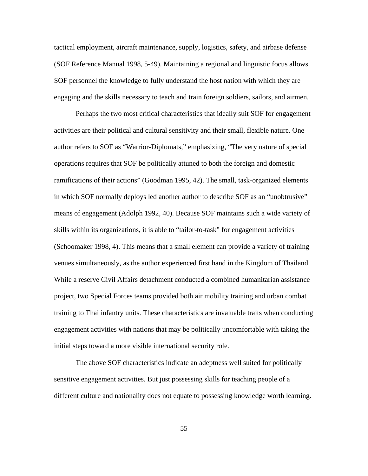tactical employment, aircraft maintenance, supply, logistics, safety, and airbase defense (SOF Reference Manual 1998, 5-49). Maintaining a regional and linguistic focus allows SOF personnel the knowledge to fully understand the host nation with which they are engaging and the skills necessary to teach and train foreign soldiers, sailors, and airmen.

Perhaps the two most critical characteristics that ideally suit SOF for engagement activities are their political and cultural sensitivity and their small, flexible nature. One author refers to SOF as "Warrior-Diplomats," emphasizing, "The very nature of special operations requires that SOF be politically attuned to both the foreign and domestic ramifications of their actions" (Goodman 1995, 42). The small, task-organized elements in which SOF normally deploys led another author to describe SOF as an "unobtrusive" means of engagement (Adolph 1992, 40). Because SOF maintains such a wide variety of skills within its organizations, it is able to "tailor-to-task" for engagement activities (Schoomaker 1998, 4). This means that a small element can provide a variety of training venues simultaneously, as the author experienced first hand in the Kingdom of Thailand. While a reserve Civil Affairs detachment conducted a combined humanitarian assistance project, two Special Forces teams provided both air mobility training and urban combat training to Thai infantry units. These characteristics are invaluable traits when conducting engagement activities with nations that may be politically uncomfortable with taking the initial steps toward a more visible international security role.

The above SOF characteristics indicate an adeptness well suited for politically sensitive engagement activities. But just possessing skills for teaching people of a different culture and nationality does not equate to possessing knowledge worth learning.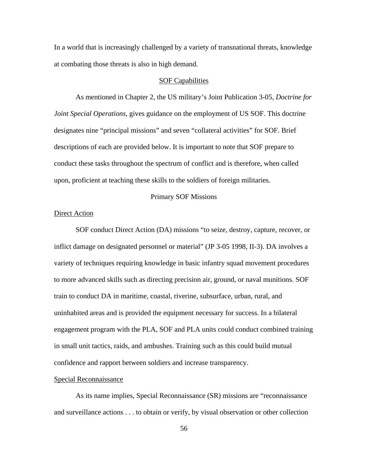In a world that is increasingly challenged by a variety of transnational threats, knowledge at combating those threats is also in high demand.

#### SOF Capabilities

As mentioned in Chapter 2, the US military's Joint Publication 3-05, *Doctrine for Joint Special Operations*, gives guidance on the employment of US SOF. This doctrine designates nine "principal missions" and seven "collateral activities" for SOF. Brief descriptions of each are provided below. It is important to note that SOF prepare to conduct these tasks throughout the spectrum of conflict and is therefore, when called upon, proficient at teaching these skills to the soldiers of foreign militaries.

### Primary SOF Missions

## Direct Action

SOF conduct Direct Action (DA) missions "to seize, destroy, capture, recover, or inflict damage on designated personnel or material" (JP 3-05 1998, II-3). DA involves a variety of techniques requiring knowledge in basic infantry squad movement procedures to more advanced skills such as directing precision air, ground, or naval munitions. SOF train to conduct DA in maritime, coastal, riverine, subsurface, urban, rural, and uninhabited areas and is provided the equipment necessary for success. In a bilateral engagement program with the PLA, SOF and PLA units could conduct combined training in small unit tactics, raids, and ambushes. Training such as this could build mutual confidence and rapport between soldiers and increase transparency.

### Special Reconnaissance

As its name implies, Special Reconnaissance (SR) missions are "reconnaissance and surveillance actions . . . to obtain or verify, by visual observation or other collection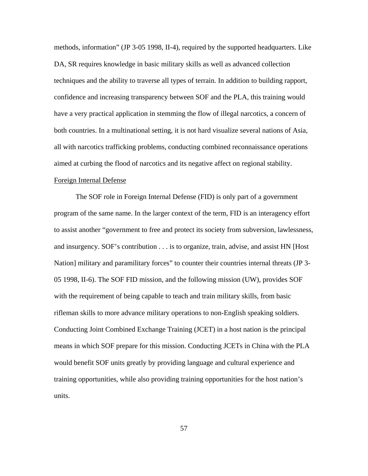methods, information" (JP 3-05 1998, II-4), required by the supported headquarters. Like DA, SR requires knowledge in basic military skills as well as advanced collection techniques and the ability to traverse all types of terrain. In addition to building rapport, confidence and increasing transparency between SOF and the PLA, this training would have a very practical application in stemming the flow of illegal narcotics, a concern of both countries. In a multinational setting, it is not hard visualize several nations of Asia, all with narcotics trafficking problems, conducting combined reconnaissance operations aimed at curbing the flood of narcotics and its negative affect on regional stability.

# Foreign Internal Defense

The SOF role in Foreign Internal Defense (FID) is only part of a government program of the same name. In the larger context of the term, FID is an interagency effort to assist another "government to free and protect its society from subversion, lawlessness, and insurgency. SOF's contribution . . . is to organize, train, advise, and assist HN [Host Nation] military and paramilitary forces" to counter their countries internal threats (JP 3-05 1998, II-6). The SOF FID mission, and the following mission (UW), provides SOF with the requirement of being capable to teach and train military skills, from basic rifleman skills to more advance military operations to non-English speaking soldiers. Conducting Joint Combined Exchange Training (JCET) in a host nation is the principal means in which SOF prepare for this mission. Conducting JCETs in China with the PLA would benefit SOF units greatly by providing language and cultural experience and training opportunities, while also providing training opportunities for the host nation's units.

57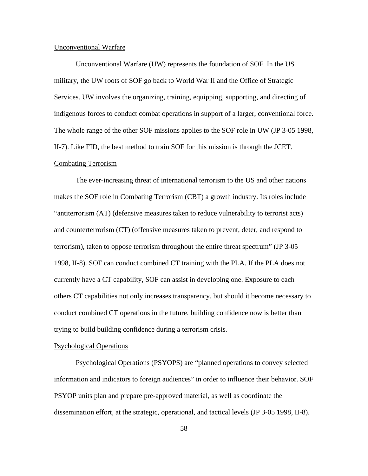#### Unconventional Warfare

Unconventional Warfare (UW) represents the foundation of SOF. In the US military, the UW roots of SOF go back to World War II and the Office of Strategic Services. UW involves the organizing, training, equipping, supporting, and directing of indigenous forces to conduct combat operations in support of a larger, conventional force. The whole range of the other SOF missions applies to the SOF role in UW (JP 3-05 1998, II-7). Like FID, the best method to train SOF for this mission is through the JCET.

## Combating Terrorism

The ever-increasing threat of international terrorism to the US and other nations makes the SOF role in Combating Terrorism (CBT) a growth industry. Its roles include "antiterrorism (AT) (defensive measures taken to reduce vulnerability to terrorist acts) and counterterrorism (CT) (offensive measures taken to prevent, deter, and respond to terrorism), taken to oppose terrorism throughout the entire threat spectrum" (JP 3-05 1998, II-8). SOF can conduct combined CT training with the PLA. If the PLA does not currently have a CT capability, SOF can assist in developing one. Exposure to each others CT capabilities not only increases transparency, but should it become necessary to conduct combined CT operations in the future, building confidence now is better than trying to build building confidence during a terrorism crisis.

#### Psychological Operations

Psychological Operations (PSYOPS) are "planned operations to convey selected information and indicators to foreign audiences" in order to influence their behavior. SOF PSYOP units plan and prepare pre-approved material, as well as coordinate the dissemination effort, at the strategic, operational, and tactical levels (JP 3-05 1998, II-8).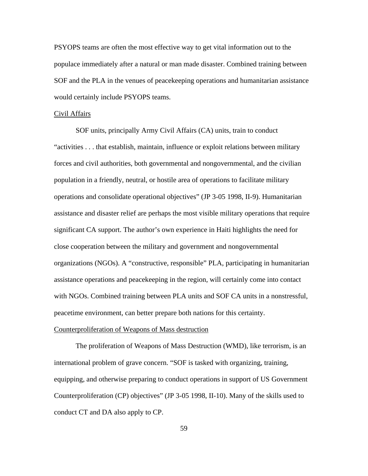PSYOPS teams are often the most effective way to get vital information out to the populace immediately after a natural or man made disaster. Combined training between SOF and the PLA in the venues of peacekeeping operations and humanitarian assistance would certainly include PSYOPS teams.

### Civil Affairs

SOF units, principally Army Civil Affairs (CA) units, train to conduct "activities . . . that establish, maintain, influence or exploit relations between military forces and civil authorities, both governmental and nongovernmental, and the civilian population in a friendly, neutral, or hostile area of operations to facilitate military operations and consolidate operational objectives" (JP 3-05 1998, II-9). Humanitarian assistance and disaster relief are perhaps the most visible military operations that require significant CA support. The author's own experience in Haiti highlights the need for close cooperation between the military and government and nongovernmental organizations (NGOs). A "constructive, responsible" PLA, participating in humanitarian assistance operations and peacekeeping in the region, will certainly come into contact with NGOs. Combined training between PLA units and SOF CA units in a nonstressful, peacetime environment, can better prepare both nations for this certainty.

### Counterproliferation of Weapons of Mass destruction

The proliferation of Weapons of Mass Destruction (WMD), like terrorism, is an international problem of grave concern. "SOF is tasked with organizing, training, equipping, and otherwise preparing to conduct operations in support of US Government Counterproliferation (CP) objectives" (JP 3-05 1998, II-10). Many of the skills used to conduct CT and DA also apply to CP.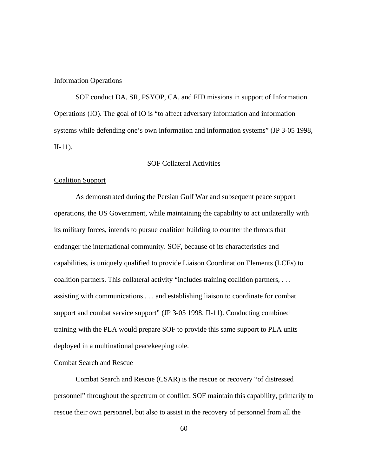## Information Operations

SOF conduct DA, SR, PSYOP, CA, and FID missions in support of Information Operations (IO). The goal of IO is "to affect adversary information and information systems while defending one's own information and information systems" (JP 3-05 1998, II-11).

# SOF Collateral Activities

## Coalition Support

As demonstrated during the Persian Gulf War and subsequent peace support operations, the US Government, while maintaining the capability to act unilaterally with its military forces, intends to pursue coalition building to counter the threats that endanger the international community. SOF, because of its characteristics and capabilities, is uniquely qualified to provide Liaison Coordination Elements (LCEs) to coalition partners. This collateral activity "includes training coalition partners, . . . assisting with communications . . . and establishing liaison to coordinate for combat support and combat service support" (JP 3-05 1998, II-11). Conducting combined training with the PLA would prepare SOF to provide this same support to PLA units deployed in a multinational peacekeeping role.

# Combat Search and Rescue

Combat Search and Rescue (CSAR) is the rescue or recovery "of distressed personnel" throughout the spectrum of conflict. SOF maintain this capability, primarily to rescue their own personnel, but also to assist in the recovery of personnel from all the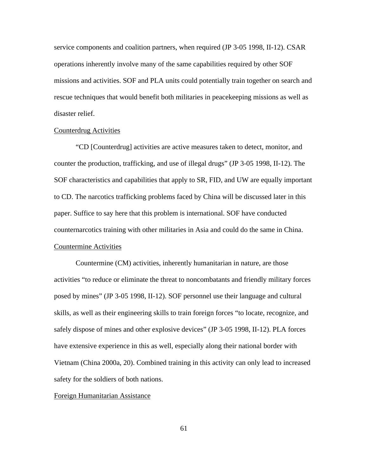service components and coalition partners, when required (JP 3-05 1998, II-12). CSAR operations inherently involve many of the same capabilities required by other SOF missions and activities. SOF and PLA units could potentially train together on search and rescue techniques that would benefit both militaries in peacekeeping missions as well as disaster relief.

### Counterdrug Activities

"CD [Counterdrug] activities are active measures taken to detect, monitor, and counter the production, trafficking, and use of illegal drugs" (JP 3-05 1998, II-12). The SOF characteristics and capabilities that apply to SR, FID, and UW are equally important to CD. The narcotics trafficking problems faced by China will be discussed later in this paper. Suffice to say here that this problem is international. SOF have conducted counternarcotics training with other militaries in Asia and could do the same in China. Countermine Activities

Countermine (CM) activities, inherently humanitarian in nature, are those activities "to reduce or eliminate the threat to noncombatants and friendly military forces posed by mines" (JP 3-05 1998, II-12). SOF personnel use their language and cultural skills, as well as their engineering skills to train foreign forces "to locate, recognize, and safely dispose of mines and other explosive devices" (JP 3-05 1998, II-12). PLA forces have extensive experience in this as well, especially along their national border with Vietnam (China 2000a, 20). Combined training in this activity can only lead to increased safety for the soldiers of both nations.

## Foreign Humanitarian Assistance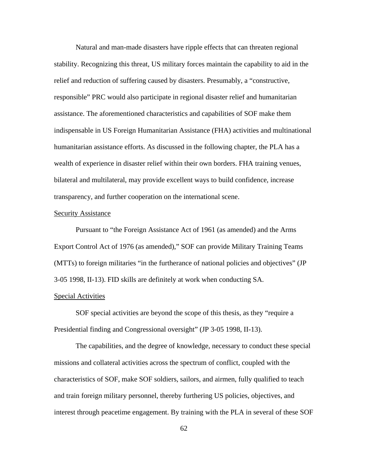Natural and man-made disasters have ripple effects that can threaten regional stability. Recognizing this threat, US military forces maintain the capability to aid in the relief and reduction of suffering caused by disasters. Presumably, a "constructive, responsible" PRC would also participate in regional disaster relief and humanitarian assistance. The aforementioned characteristics and capabilities of SOF make them indispensable in US Foreign Humanitarian Assistance (FHA) activities and multinational humanitarian assistance efforts. As discussed in the following chapter, the PLA has a wealth of experience in disaster relief within their own borders. FHA training venues, bilateral and multilateral, may provide excellent ways to build confidence, increase transparency, and further cooperation on the international scene.

## Security Assistance

Pursuant to "the Foreign Assistance Act of 1961 (as amended) and the Arms Export Control Act of 1976 (as amended)," SOF can provide Military Training Teams (MTTs) to foreign militaries "in the furtherance of national policies and objectives" (JP 3-05 1998, II-13). FID skills are definitely at work when conducting SA.

# Special Activities

SOF special activities are beyond the scope of this thesis, as they "require a Presidential finding and Congressional oversight" (JP 3-05 1998, II-13).

The capabilities, and the degree of knowledge, necessary to conduct these special missions and collateral activities across the spectrum of conflict, coupled with the characteristics of SOF, make SOF soldiers, sailors, and airmen, fully qualified to teach and train foreign military personnel, thereby furthering US policies, objectives, and interest through peacetime engagement. By training with the PLA in several of these SOF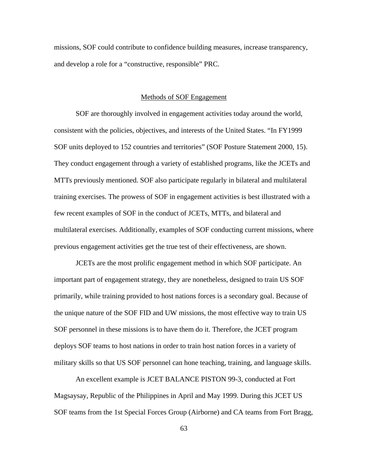missions, SOF could contribute to confidence building measures, increase transparency, and develop a role for a "constructive, responsible" PRC.

## Methods of SOF Engagement

SOF are thoroughly involved in engagement activities today around the world, consistent with the policies, objectives, and interests of the United States. "In FY1999 SOF units deployed to 152 countries and territories" (SOF Posture Statement 2000, 15). They conduct engagement through a variety of established programs, like the JCETs and MTTs previously mentioned. SOF also participate regularly in bilateral and multilateral training exercises. The prowess of SOF in engagement activities is best illustrated with a few recent examples of SOF in the conduct of JCETs, MTTs, and bilateral and multilateral exercises. Additionally, examples of SOF conducting current missions, where previous engagement activities get the true test of their effectiveness, are shown.

JCETs are the most prolific engagement method in which SOF participate. An important part of engagement strategy, they are nonetheless, designed to train US SOF primarily, while training provided to host nations forces is a secondary goal. Because of the unique nature of the SOF FID and UW missions, the most effective way to train US SOF personnel in these missions is to have them do it. Therefore, the JCET program deploys SOF teams to host nations in order to train host nation forces in a variety of military skills so that US SOF personnel can hone teaching, training, and language skills.

An excellent example is JCET BALANCE PISTON 99-3, conducted at Fort Magsaysay, Republic of the Philippines in April and May 1999. During this JCET US SOF teams from the 1st Special Forces Group (Airborne) and CA teams from Fort Bragg,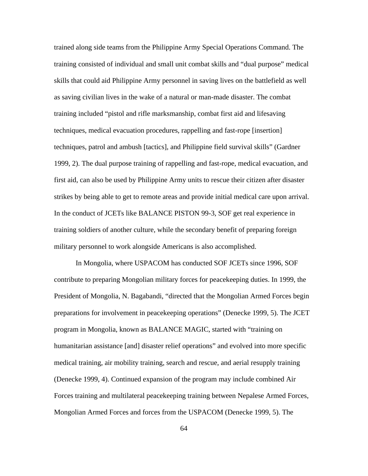trained along side teams from the Philippine Army Special Operations Command. The training consisted of individual and small unit combat skills and "dual purpose" medical skills that could aid Philippine Army personnel in saving lives on the battlefield as well as saving civilian lives in the wake of a natural or man-made disaster. The combat training included "pistol and rifle marksmanship, combat first aid and lifesaving techniques, medical evacuation procedures, rappelling and fast-rope [insertion] techniques, patrol and ambush [tactics], and Philippine field survival skills" (Gardner 1999, 2). The dual purpose training of rappelling and fast-rope, medical evacuation, and first aid, can also be used by Philippine Army units to rescue their citizen after disaster strikes by being able to get to remote areas and provide initial medical care upon arrival. In the conduct of JCETs like BALANCE PISTON 99-3, SOF get real experience in training soldiers of another culture, while the secondary benefit of preparing foreign military personnel to work alongside Americans is also accomplished.

In Mongolia, where USPACOM has conducted SOF JCETs since 1996, SOF contribute to preparing Mongolian military forces for peacekeeping duties. In 1999, the President of Mongolia, N. Bagabandi, "directed that the Mongolian Armed Forces begin preparations for involvement in peacekeeping operations" (Denecke 1999, 5). The JCET program in Mongolia, known as BALANCE MAGIC, started with "training on humanitarian assistance [and] disaster relief operations" and evolved into more specific medical training, air mobility training, search and rescue, and aerial resupply training (Denecke 1999, 4). Continued expansion of the program may include combined Air Forces training and multilateral peacekeeping training between Nepalese Armed Forces, Mongolian Armed Forces and forces from the USPACOM (Denecke 1999, 5). The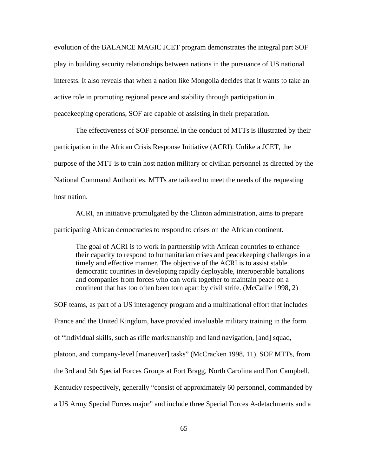evolution of the BALANCE MAGIC JCET program demonstrates the integral part SOF play in building security relationships between nations in the pursuance of US national interests. It also reveals that when a nation like Mongolia decides that it wants to take an active role in promoting regional peace and stability through participation in peacekeeping operations, SOF are capable of assisting in their preparation.

The effectiveness of SOF personnel in the conduct of MTTs is illustrated by their participation in the African Crisis Response Initiative (ACRI). Unlike a JCET, the purpose of the MTT is to train host nation military or civilian personnel as directed by the National Command Authorities. MTTs are tailored to meet the needs of the requesting host nation.

ACRI, an initiative promulgated by the Clinton administration, aims to prepare participating African democracies to respond to crises on the African continent.

The goal of ACRI is to work in partnership with African countries to enhance their capacity to respond to humanitarian crises and peacekeeping challenges in a timely and effective manner. The objective of the ACRI is to assist stable democratic countries in developing rapidly deployable, interoperable battalions and companies from forces who can work together to maintain peace on a continent that has too often been torn apart by civil strife. (McCallie 1998, 2)

SOF teams, as part of a US interagency program and a multinational effort that includes France and the United Kingdom, have provided invaluable military training in the form of "individual skills, such as rifle marksmanship and land navigation, [and] squad, platoon, and company-level [maneuver] tasks" (McCracken 1998, 11). SOF MTTs, from the 3rd and 5th Special Forces Groups at Fort Bragg, North Carolina and Fort Campbell, Kentucky respectively, generally "consist of approximately 60 personnel, commanded by a US Army Special Forces major" and include three Special Forces A-detachments and a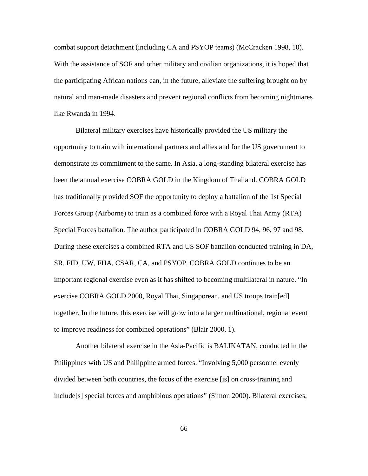combat support detachment (including CA and PSYOP teams) (McCracken 1998, 10). With the assistance of SOF and other military and civilian organizations, it is hoped that the participating African nations can, in the future, alleviate the suffering brought on by natural and man-made disasters and prevent regional conflicts from becoming nightmares like Rwanda in 1994.

Bilateral military exercises have historically provided the US military the opportunity to train with international partners and allies and for the US government to demonstrate its commitment to the same. In Asia, a long-standing bilateral exercise has been the annual exercise COBRA GOLD in the Kingdom of Thailand. COBRA GOLD has traditionally provided SOF the opportunity to deploy a battalion of the 1st Special Forces Group (Airborne) to train as a combined force with a Royal Thai Army (RTA) Special Forces battalion. The author participated in COBRA GOLD 94, 96, 97 and 98. During these exercises a combined RTA and US SOF battalion conducted training in DA, SR, FID, UW, FHA, CSAR, CA, and PSYOP. COBRA GOLD continues to be an important regional exercise even as it has shifted to becoming multilateral in nature. "In exercise COBRA GOLD 2000, Royal Thai, Singaporean, and US troops train[ed] together. In the future, this exercise will grow into a larger multinational, regional event to improve readiness for combined operations" (Blair 2000, 1).

Another bilateral exercise in the Asia-Pacific is BALIKATAN, conducted in the Philippines with US and Philippine armed forces. "Involving 5,000 personnel evenly divided between both countries, the focus of the exercise [is] on cross-training and include[s] special forces and amphibious operations" (Simon 2000). Bilateral exercises,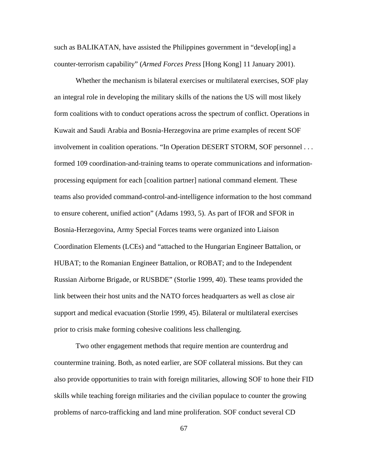such as BALIKATAN, have assisted the Philippines government in "develop[ing] a counter-terrorism capability" (*Armed Forces Press* [Hong Kong] 11 January 2001).

Whether the mechanism is bilateral exercises or multilateral exercises, SOF play an integral role in developing the military skills of the nations the US will most likely form coalitions with to conduct operations across the spectrum of conflict. Operations in Kuwait and Saudi Arabia and Bosnia-Herzegovina are prime examples of recent SOF involvement in coalition operations. "In Operation DESERT STORM, SOF personnel . . . formed 109 coordination-and-training teams to operate communications and informationprocessing equipment for each [coalition partner] national command element. These teams also provided command-control-and-intelligence information to the host command to ensure coherent, unified action" (Adams 1993, 5). As part of IFOR and SFOR in Bosnia-Herzegovina, Army Special Forces teams were organized into Liaison Coordination Elements (LCEs) and "attached to the Hungarian Engineer Battalion, or HUBAT; to the Romanian Engineer Battalion, or ROBAT; and to the Independent Russian Airborne Brigade, or RUSBDE" (Storlie 1999, 40). These teams provided the link between their host units and the NATO forces headquarters as well as close air support and medical evacuation (Storlie 1999, 45). Bilateral or multilateral exercises prior to crisis make forming cohesive coalitions less challenging.

Two other engagement methods that require mention are counterdrug and countermine training. Both, as noted earlier, are SOF collateral missions. But they can also provide opportunities to train with foreign militaries, allowing SOF to hone their FID skills while teaching foreign militaries and the civilian populace to counter the growing problems of narco-trafficking and land mine proliferation. SOF conduct several CD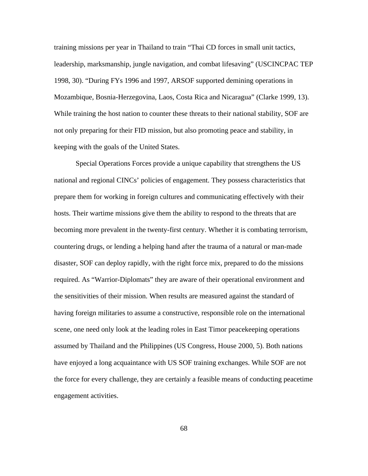training missions per year in Thailand to train "Thai CD forces in small unit tactics, leadership, marksmanship, jungle navigation, and combat lifesaving" (USCINCPAC TEP 1998, 30). "During FYs 1996 and 1997, ARSOF supported demining operations in Mozambique, Bosnia-Herzegovina, Laos, Costa Rica and Nicaragua" (Clarke 1999, 13). While training the host nation to counter these threats to their national stability, SOF are not only preparing for their FID mission, but also promoting peace and stability, in keeping with the goals of the United States.

Special Operations Forces provide a unique capability that strengthens the US national and regional CINCs' policies of engagement. They possess characteristics that prepare them for working in foreign cultures and communicating effectively with their hosts. Their wartime missions give them the ability to respond to the threats that are becoming more prevalent in the twenty-first century. Whether it is combating terrorism, countering drugs, or lending a helping hand after the trauma of a natural or man-made disaster, SOF can deploy rapidly, with the right force mix, prepared to do the missions required. As "Warrior-Diplomats" they are aware of their operational environment and the sensitivities of their mission. When results are measured against the standard of having foreign militaries to assume a constructive, responsible role on the international scene, one need only look at the leading roles in East Timor peacekeeping operations assumed by Thailand and the Philippines (US Congress, House 2000, 5). Both nations have enjoyed a long acquaintance with US SOF training exchanges. While SOF are not the force for every challenge, they are certainly a feasible means of conducting peacetime engagement activities.

68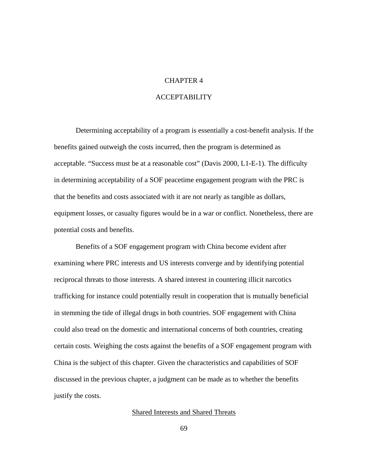# CHAPTER 4

# ACCEPTABILITY

Determining acceptability of a program is essentially a cost-benefit analysis. If the benefits gained outweigh the costs incurred, then the program is determined as acceptable. "Success must be at a reasonable cost" (Davis 2000, L1-E-1). The difficulty in determining acceptability of a SOF peacetime engagement program with the PRC is that the benefits and costs associated with it are not nearly as tangible as dollars, equipment losses, or casualty figures would be in a war or conflict. Nonetheless, there are potential costs and benefits.

Benefits of a SOF engagement program with China become evident after examining where PRC interests and US interests converge and by identifying potential reciprocal threats to those interests. A shared interest in countering illicit narcotics trafficking for instance could potentially result in cooperation that is mutually beneficial in stemming the tide of illegal drugs in both countries. SOF engagement with China could also tread on the domestic and international concerns of both countries, creating certain costs. Weighing the costs against the benefits of a SOF engagement program with China is the subject of this chapter. Given the characteristics and capabilities of SOF discussed in the previous chapter, a judgment can be made as to whether the benefits justify the costs.

# Shared Interests and Shared Threats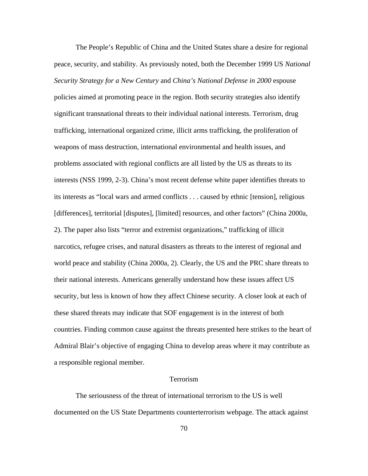The People's Republic of China and the United States share a desire for regional peace, security, and stability. As previously noted, both the December 1999 US *National Security Strategy for a New Century* and *China's National Defense in 2000* espouse policies aimed at promoting peace in the region. Both security strategies also identify significant transnational threats to their individual national interests. Terrorism, drug trafficking, international organized crime, illicit arms trafficking, the proliferation of weapons of mass destruction, international environmental and health issues, and problems associated with regional conflicts are all listed by the US as threats to its interests (NSS 1999, 2-3). China's most recent defense white paper identifies threats to its interests as "local wars and armed conflicts . . . caused by ethnic [tension], religious [differences], territorial [disputes], [limited] resources, and other factors" (China 2000a, 2). The paper also lists "terror and extremist organizations," trafficking of illicit narcotics, refugee crises, and natural disasters as threats to the interest of regional and world peace and stability (China 2000a, 2). Clearly, the US and the PRC share threats to their national interests. Americans generally understand how these issues affect US security, but less is known of how they affect Chinese security. A closer look at each of these shared threats may indicate that SOF engagement is in the interest of both countries. Finding common cause against the threats presented here strikes to the heart of Admiral Blair's objective of engaging China to develop areas where it may contribute as a responsible regional member.

#### Terrorism

The seriousness of the threat of international terrorism to the US is well documented on the US State Departments counterterrorism webpage. The attack against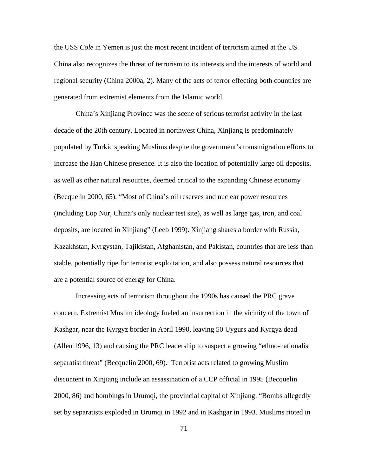the USS *Cole* in Yemen is just the most recent incident of terrorism aimed at the US. China also recognizes the threat of terrorism to its interests and the interests of world and regional security (China 2000a, 2). Many of the acts of terror effecting both countries are generated from extremist elements from the Islamic world.

China's Xinjiang Province was the scene of serious terrorist activity in the last decade of the 20th century. Located in northwest China, Xinjiang is predominately populated by Turkic speaking Muslims despite the government's transmigration efforts to increase the Han Chinese presence. It is also the location of potentially large oil deposits, as well as other natural resources, deemed critical to the expanding Chinese economy (Becquelin 2000, 65). "Most of China's oil reserves and nuclear power resources (including Lop Nur, China's only nuclear test site), as well as large gas, iron, and coal deposits, are located in Xinjiang" (Leeb 1999). Xinjiang shares a border with Russia, Kazakhstan, Kyrgystan, Tajikistan, Afghanistan, and Pakistan, countries that are less than stable, potentially ripe for terrorist exploitation, and also possess natural resources that are a potential source of energy for China.

Increasing acts of terrorism throughout the 1990s has caused the PRC grave concern. Extremist Muslim ideology fueled an insurrection in the vicinity of the town of Kashgar, near the Kyrgyz border in April 1990, leaving 50 Uygurs and Kyrgyz dead (Allen 1996, 13) and causing the PRC leadership to suspect a growing "ethno-nationalist separatist threat" (Becquelin 2000, 69). Terrorist acts related to growing Muslim discontent in Xinjiang include an assassination of a CCP official in 1995 (Becquelin 2000, 86) and bombings in Urumqi, the provincial capital of Xinjiang. "Bombs allegedly set by separatists exploded in Urumqi in 1992 and in Kashgar in 1993. Muslims rioted in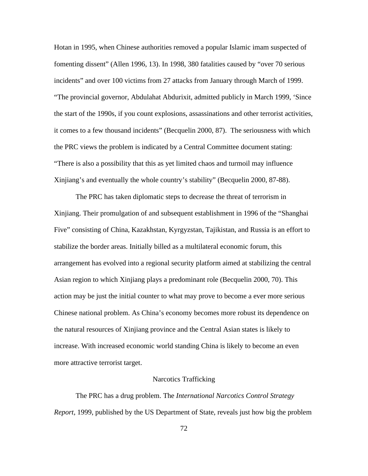Hotan in 1995, when Chinese authorities removed a popular Islamic imam suspected of fomenting dissent" (Allen 1996, 13). In 1998, 380 fatalities caused by "over 70 serious incidents" and over 100 victims from 27 attacks from January through March of 1999. "The provincial governor, Abdulahat Abdurixit, admitted publicly in March 1999, 'Since the start of the 1990s, if you count explosions, assassinations and other terrorist activities, it comes to a few thousand incidents" (Becquelin 2000, 87). The seriousness with which the PRC views the problem is indicated by a Central Committee document stating: "There is also a possibility that this as yet limited chaos and turmoil may influence Xinjiang's and eventually the whole country's stability" (Becquelin 2000, 87-88).

The PRC has taken diplomatic steps to decrease the threat of terrorism in Xinjiang. Their promulgation of and subsequent establishment in 1996 of the "Shanghai Five" consisting of China, Kazakhstan, Kyrgyzstan, Tajikistan, and Russia is an effort to stabilize the border areas. Initially billed as a multilateral economic forum, this arrangement has evolved into a regional security platform aimed at stabilizing the central Asian region to which Xinjiang plays a predominant role (Becquelin 2000, 70). This action may be just the initial counter to what may prove to become a ever more serious Chinese national problem. As China's economy becomes more robust its dependence on the natural resources of Xinjiang province and the Central Asian states is likely to increase. With increased economic world standing China is likely to become an even more attractive terrorist target.

#### Narcotics Trafficking

The PRC has a drug problem. The *International Narcotics Control Strategy Report*, 1999, published by the US Department of State, reveals just how big the problem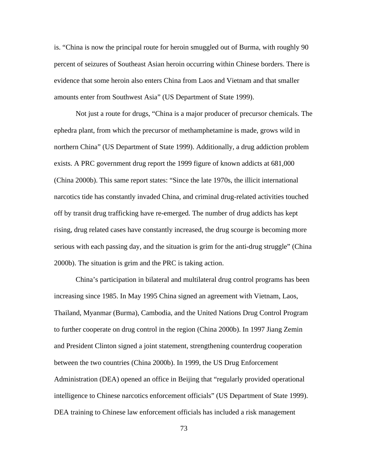is. "China is now the principal route for heroin smuggled out of Burma, with roughly 90 percent of seizures of Southeast Asian heroin occurring within Chinese borders. There is evidence that some heroin also enters China from Laos and Vietnam and that smaller amounts enter from Southwest Asia" (US Department of State 1999).

Not just a route for drugs, "China is a major producer of precursor chemicals. The ephedra plant, from which the precursor of methamphetamine is made, grows wild in northern China" (US Department of State 1999). Additionally, a drug addiction problem exists. A PRC government drug report the 1999 figure of known addicts at 681,000 (China 2000b). This same report states: "Since the late 1970s, the illicit international narcotics tide has constantly invaded China, and criminal drug-related activities touched off by transit drug trafficking have re-emerged. The number of drug addicts has kept rising, drug related cases have constantly increased, the drug scourge is becoming more serious with each passing day, and the situation is grim for the anti-drug struggle" (China 2000b). The situation is grim and the PRC is taking action.

China's participation in bilateral and multilateral drug control programs has been increasing since 1985. In May 1995 China signed an agreement with Vietnam, Laos, Thailand, Myanmar (Burma), Cambodia, and the United Nations Drug Control Program to further cooperate on drug control in the region (China 2000b). In 1997 Jiang Zemin and President Clinton signed a joint statement, strengthening counterdrug cooperation between the two countries (China 2000b). In 1999, the US Drug Enforcement Administration (DEA) opened an office in Beijing that "regularly provided operational intelligence to Chinese narcotics enforcement officials" (US Department of State 1999). DEA training to Chinese law enforcement officials has included a risk management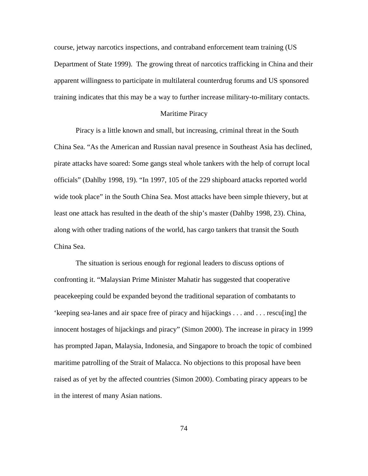course, jetway narcotics inspections, and contraband enforcement team training (US Department of State 1999). The growing threat of narcotics trafficking in China and their apparent willingness to participate in multilateral counterdrug forums and US sponsored training indicates that this may be a way to further increase military-to-military contacts.

## Maritime Piracy

Piracy is a little known and small, but increasing, criminal threat in the South China Sea. "As the American and Russian naval presence in Southeast Asia has declined, pirate attacks have soared: Some gangs steal whole tankers with the help of corrupt local officials" (Dahlby 1998, 19). "In 1997, 105 of the 229 shipboard attacks reported world wide took place" in the South China Sea. Most attacks have been simple thievery, but at least one attack has resulted in the death of the ship's master (Dahlby 1998, 23). China, along with other trading nations of the world, has cargo tankers that transit the South China Sea.

The situation is serious enough for regional leaders to discuss options of confronting it. "Malaysian Prime Minister Mahatir has suggested that cooperative peacekeeping could be expanded beyond the traditional separation of combatants to 'keeping sea-lanes and air space free of piracy and hijackings . . . and . . . rescu[ing] the innocent hostages of hijackings and piracy" (Simon 2000). The increase in piracy in 1999 has prompted Japan, Malaysia, Indonesia, and Singapore to broach the topic of combined maritime patrolling of the Strait of Malacca. No objections to this proposal have been raised as of yet by the affected countries (Simon 2000). Combating piracy appears to be in the interest of many Asian nations.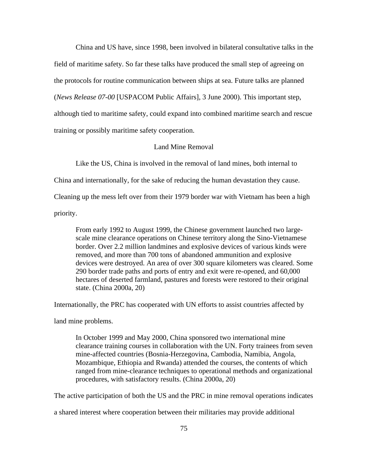China and US have, since 1998, been involved in bilateral consultative talks in the field of maritime safety. So far these talks have produced the small step of agreeing on the protocols for routine communication between ships at sea. Future talks are planned (*News Release 07-00* [USPACOM Public Affairs], 3 June 2000). This important step, although tied to maritime safety, could expand into combined maritime search and rescue training or possibly maritime safety cooperation.

# Land Mine Removal

Like the US, China is involved in the removal of land mines, both internal to

China and internationally, for the sake of reducing the human devastation they cause.

Cleaning up the mess left over from their 1979 border war with Vietnam has been a high

priority.

From early 1992 to August 1999, the Chinese government launched two largescale mine clearance operations on Chinese territory along the Sino-Vietnamese border. Over 2.2 million landmines and explosive devices of various kinds were removed, and more than 700 tons of abandoned ammunition and explosive devices were destroyed. An area of over 300 square kilometers was cleared. Some 290 border trade paths and ports of entry and exit were re-opened, and 60,000 hectares of deserted farmland, pastures and forests were restored to their original state. (China 2000a, 20)

Internationally, the PRC has cooperated with UN efforts to assist countries affected by

land mine problems.

In October 1999 and May 2000, China sponsored two international mine clearance training courses in collaboration with the UN. Forty trainees from seven mine-affected countries (Bosnia-Herzegovina, Cambodia, Namibia, Angola, Mozambique, Ethiopia and Rwanda) attended the courses, the contents of which ranged from mine-clearance techniques to operational methods and organizational procedures, with satisfactory results. (China 2000a, 20)

The active participation of both the US and the PRC in mine removal operations indicates

a shared interest where cooperation between their militaries may provide additional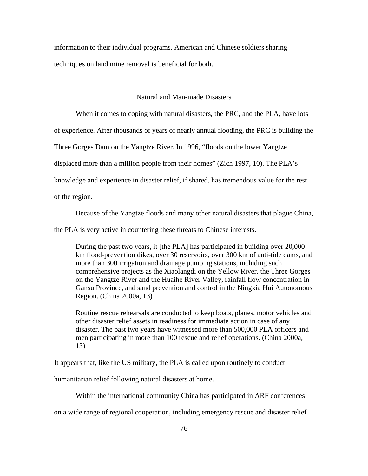information to their individual programs. American and Chinese soldiers sharing techniques on land mine removal is beneficial for both.

## Natural and Man-made Disasters

When it comes to coping with natural disasters, the PRC, and the PLA, have lots

of experience. After thousands of years of nearly annual flooding, the PRC is building the

Three Gorges Dam on the Yangtze River. In 1996, "floods on the lower Yangtze

displaced more than a million people from their homes" (Zich 1997, 10). The PLA's

knowledge and experience in disaster relief, if shared, has tremendous value for the rest

of the region.

Because of the Yangtze floods and many other natural disasters that plague China,

the PLA is very active in countering these threats to Chinese interests.

During the past two years, it [the PLA] has participated in building over 20,000 km flood-prevention dikes, over 30 reservoirs, over 300 km of anti-tide dams, and more than 300 irrigation and drainage pumping stations, including such comprehensive projects as the Xiaolangdi on the Yellow River, the Three Gorges on the Yangtze River and the Huaihe River Valley, rainfall flow concentration in Gansu Province, and sand prevention and control in the Ningxia Hui Autonomous Region. (China 2000a, 13)

Routine rescue rehearsals are conducted to keep boats, planes, motor vehicles and other disaster relief assets in readiness for immediate action in case of any disaster. The past two years have witnessed more than 500,000 PLA officers and men participating in more than 100 rescue and relief operations. (China 2000a, 13)

It appears that, like the US military, the PLA is called upon routinely to conduct

humanitarian relief following natural disasters at home.

Within the international community China has participated in ARF conferences

on a wide range of regional cooperation, including emergency rescue and disaster relief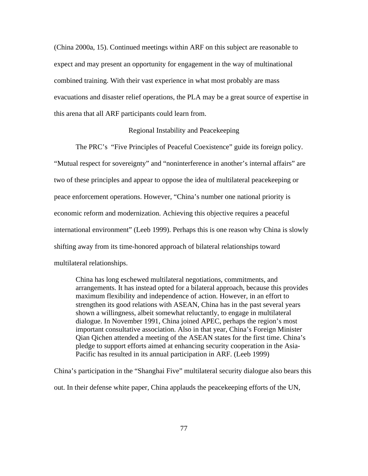(China 2000a, 15). Continued meetings within ARF on this subject are reasonable to expect and may present an opportunity for engagement in the way of multinational combined training. With their vast experience in what most probably are mass evacuations and disaster relief operations, the PLA may be a great source of expertise in this arena that all ARF participants could learn from.

## Regional Instability and Peacekeeping

The PRC's "Five Principles of Peaceful Coexistence" guide its foreign policy. "Mutual respect for sovereignty" and "noninterference in another's internal affairs" are two of these principles and appear to oppose the idea of multilateral peacekeeping or peace enforcement operations. However, "China's number one national priority is economic reform and modernization. Achieving this objective requires a peaceful international environment" (Leeb 1999). Perhaps this is one reason why China is slowly shifting away from its time-honored approach of bilateral relationships toward multilateral relationships.

China has long eschewed multilateral negotiations, commitments, and arrangements. It has instead opted for a bilateral approach, because this provides maximum flexibility and independence of action. However, in an effort to strengthen its good relations with ASEAN, China has in the past several years shown a willingness, albeit somewhat reluctantly, to engage in multilateral dialogue. In November 1991, China joined APEC, perhaps the region's most important consultative association. Also in that year, China's Foreign Minister Qian Qichen attended a meeting of the ASEAN states for the first time. China's pledge to support efforts aimed at enhancing security cooperation in the Asia-Pacific has resulted in its annual participation in ARF. (Leeb 1999)

China's participation in the "Shanghai Five" multilateral security dialogue also bears this out. In their defense white paper, China applauds the peacekeeping efforts of the UN,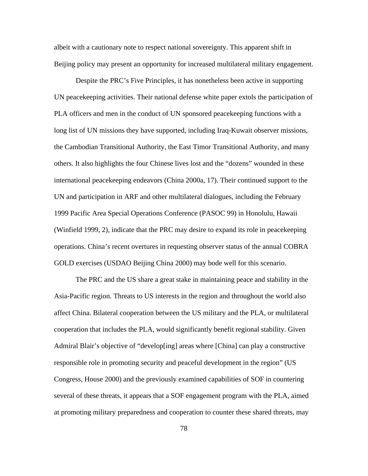albeit with a cautionary note to respect national sovereignty. This apparent shift in Beijing policy may present an opportunity for increased multilateral military engagement.

Despite the PRC's Five Principles, it has nonetheless been active in supporting UN peacekeeping activities. Their national defense white paper extols the participation of PLA officers and men in the conduct of UN sponsored peacekeeping functions with a long list of UN missions they have supported, including Iraq-Kuwait observer missions, the Cambodian Transitional Authority, the East Timor Transitional Authority, and many others. It also highlights the four Chinese lives lost and the "dozens" wounded in these international peacekeeping endeavors (China 2000a, 17). Their continued support to the UN and participation in ARF and other multilateral dialogues, including the February 1999 Pacific Area Special Operations Conference (PASOC 99) in Honolulu, Hawaii (Winfield 1999, 2), indicate that the PRC may desire to expand its role in peacekeeping operations. China's recent overtures in requesting observer status of the annual COBRA GOLD exercises (USDAO Beijing China 2000) may bode well for this scenario.

The PRC and the US share a great stake in maintaining peace and stability in the Asia-Pacific region. Threats to US interests in the region and throughout the world also affect China. Bilateral cooperation between the US military and the PLA, or multilateral cooperation that includes the PLA, would significantly benefit regional stability. Given Admiral Blair's objective of "develop[ing] areas where [China] can play a constructive responsible role in promoting security and peaceful development in the region" (US Congress, House 2000) and the previously examined capabilities of SOF in countering several of these threats, it appears that a SOF engagement program with the PLA, aimed at promoting military preparedness and cooperation to counter these shared threats, may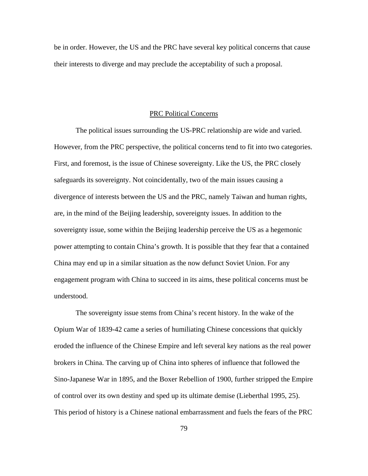be in order. However, the US and the PRC have several key political concerns that cause their interests to diverge and may preclude the acceptability of such a proposal.

### PRC Political Concerns

The political issues surrounding the US-PRC relationship are wide and varied. However, from the PRC perspective, the political concerns tend to fit into two categories. First, and foremost, is the issue of Chinese sovereignty. Like the US, the PRC closely safeguards its sovereignty. Not coincidentally, two of the main issues causing a divergence of interests between the US and the PRC, namely Taiwan and human rights, are, in the mind of the Beijing leadership, sovereignty issues. In addition to the sovereignty issue, some within the Beijing leadership perceive the US as a hegemonic power attempting to contain China's growth. It is possible that they fear that a contained China may end up in a similar situation as the now defunct Soviet Union. For any engagement program with China to succeed in its aims, these political concerns must be understood.

The sovereignty issue stems from China's recent history. In the wake of the Opium War of 1839-42 came a series of humiliating Chinese concessions that quickly eroded the influence of the Chinese Empire and left several key nations as the real power brokers in China. The carving up of China into spheres of influence that followed the Sino-Japanese War in 1895, and the Boxer Rebellion of 1900, further stripped the Empire of control over its own destiny and sped up its ultimate demise (Lieberthal 1995, 25). This period of history is a Chinese national embarrassment and fuels the fears of the PRC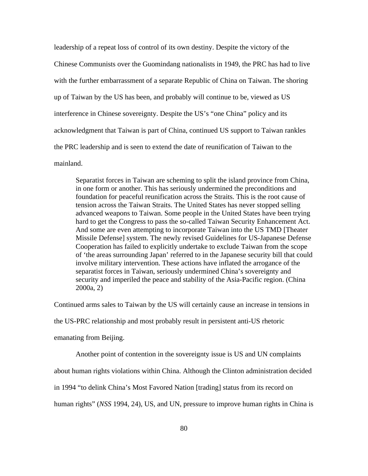leadership of a repeat loss of control of its own destiny. Despite the victory of the Chinese Communists over the Guomindang nationalists in 1949, the PRC has had to live with the further embarrassment of a separate Republic of China on Taiwan. The shoring up of Taiwan by the US has been, and probably will continue to be, viewed as US interference in Chinese sovereignty. Despite the US's "one China" policy and its acknowledgment that Taiwan is part of China, continued US support to Taiwan rankles the PRC leadership and is seen to extend the date of reunification of Taiwan to the mainland.

Separatist forces in Taiwan are scheming to split the island province from China, in one form or another. This has seriously undermined the preconditions and foundation for peaceful reunification across the Straits. This is the root cause of tension across the Taiwan Straits. The United States has never stopped selling advanced weapons to Taiwan. Some people in the United States have been trying hard to get the Congress to pass the so-called Taiwan Security Enhancement Act. And some are even attempting to incorporate Taiwan into the US TMD [Theater Missile Defense] system. The newly revised Guidelines for US-Japanese Defense Cooperation has failed to explicitly undertake to exclude Taiwan from the scope of 'the areas surrounding Japan' referred to in the Japanese security bill that could involve military intervention. These actions have inflated the arrogance of the separatist forces in Taiwan, seriously undermined China's sovereignty and security and imperiled the peace and stability of the Asia-Pacific region. (China 2000a, 2)

Continued arms sales to Taiwan by the US will certainly cause an increase in tensions in

the US-PRC relationship and most probably result in persistent anti-US rhetoric

emanating from Beijing.

Another point of contention in the sovereignty issue is US and UN complaints

about human rights violations within China. Although the Clinton administration decided

in 1994 "to delink China's Most Favored Nation [trading] status from its record on

human rights" (*NSS* 1994, 24), US, and UN, pressure to improve human rights in China is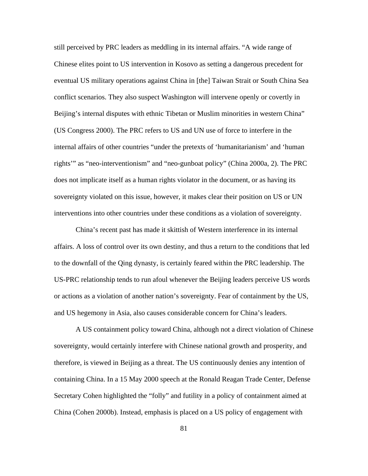still perceived by PRC leaders as meddling in its internal affairs. "A wide range of Chinese elites point to US intervention in Kosovo as setting a dangerous precedent for eventual US military operations against China in [the] Taiwan Strait or South China Sea conflict scenarios. They also suspect Washington will intervene openly or covertly in Beijing's internal disputes with ethnic Tibetan or Muslim minorities in western China" (US Congress 2000). The PRC refers to US and UN use of force to interfere in the internal affairs of other countries "under the pretexts of 'humanitarianism' and 'human rights'" as "neo-interventionism" and "neo-gunboat policy" (China 2000a, 2). The PRC does not implicate itself as a human rights violator in the document, or as having its sovereignty violated on this issue, however, it makes clear their position on US or UN interventions into other countries under these conditions as a violation of sovereignty.

China's recent past has made it skittish of Western interference in its internal affairs. A loss of control over its own destiny, and thus a return to the conditions that led to the downfall of the Qing dynasty, is certainly feared within the PRC leadership. The US-PRC relationship tends to run afoul whenever the Beijing leaders perceive US words or actions as a violation of another nation's sovereignty. Fear of containment by the US, and US hegemony in Asia, also causes considerable concern for China's leaders.

A US containment policy toward China, although not a direct violation of Chinese sovereignty, would certainly interfere with Chinese national growth and prosperity, and therefore, is viewed in Beijing as a threat. The US continuously denies any intention of containing China. In a 15 May 2000 speech at the Ronald Reagan Trade Center, Defense Secretary Cohen highlighted the "folly" and futility in a policy of containment aimed at China (Cohen 2000b). Instead, emphasis is placed on a US policy of engagement with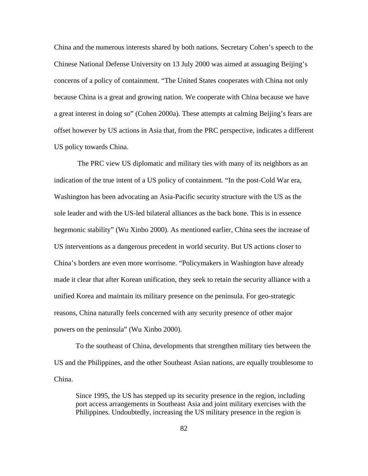China and the numerous interests shared by both nations. Secretary Cohen's speech to the Chinese National Defense University on 13 July 2000 was aimed at assuaging Beijing's concerns of a policy of containment. "The United States cooperates with China not only because China is a great and growing nation. We cooperate with China because we have a great interest in doing so" (Cohen 2000a). These attempts at calming Beijing's fears are offset however by US actions in Asia that, from the PRC perspective, indicates a different US policy towards China.

 The PRC view US diplomatic and military ties with many of its neighbors as an indication of the true intent of a US policy of containment. "In the post-Cold War era, Washington has been advocating an Asia-Pacific security structure with the US as the sole leader and with the US-led bilateral alliances as the back bone. This is in essence hegemonic stability" (Wu Xinbo 2000). As mentioned earlier, China sees the increase of US interventions as a dangerous precedent in world security. But US actions closer to China's borders are even more worrisome. "Policymakers in Washington have already made it clear that after Korean unification, they seek to retain the security alliance with a unified Korea and maintain its military presence on the peninsula. For geo-strategic reasons, China naturally feels concerned with any security presence of other major powers on the peninsula" (Wu Xinbo 2000).

To the southeast of China, developments that strengthen military ties between the US and the Philippines, and the other Southeast Asian nations, are equally troublesome to China.

Since 1995, the US has stepped up its security presence in the region, including port access arrangements in Southeast Asia and joint military exercises with the Philippines. Undoubtedly, increasing the US military presence in the region is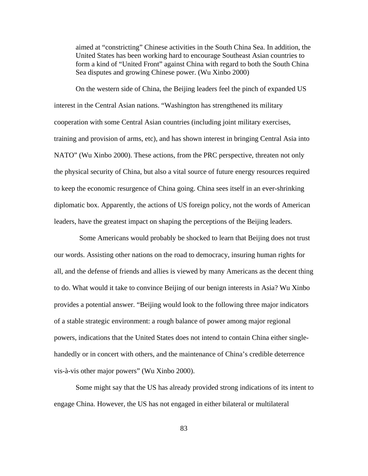aimed at "constricting" Chinese activities in the South China Sea. In addition, the United States has been working hard to encourage Southeast Asian countries to form a kind of "United Front" against China with regard to both the South China Sea disputes and growing Chinese power. (Wu Xinbo 2000)

On the western side of China, the Beijing leaders feel the pinch of expanded US interest in the Central Asian nations. "Washington has strengthened its military cooperation with some Central Asian countries (including joint military exercises, training and provision of arms, etc), and has shown interest in bringing Central Asia into NATO" (Wu Xinbo 2000). These actions, from the PRC perspective, threaten not only the physical security of China, but also a vital source of future energy resources required to keep the economic resurgence of China going. China sees itself in an ever-shrinking diplomatic box. Apparently, the actions of US foreign policy, not the words of American leaders, have the greatest impact on shaping the perceptions of the Beijing leaders.

 Some Americans would probably be shocked to learn that Beijing does not trust our words. Assisting other nations on the road to democracy, insuring human rights for all, and the defense of friends and allies is viewed by many Americans as the decent thing to do. What would it take to convince Beijing of our benign interests in Asia? Wu Xinbo provides a potential answer. "Beijing would look to the following three major indicators of a stable strategic environment: a rough balance of power among major regional powers, indications that the United States does not intend to contain China either singlehandedly or in concert with others, and the maintenance of China's credible deterrence vis-à-vis other major powers" (Wu Xinbo 2000).

Some might say that the US has already provided strong indications of its intent to engage China. However, the US has not engaged in either bilateral or multilateral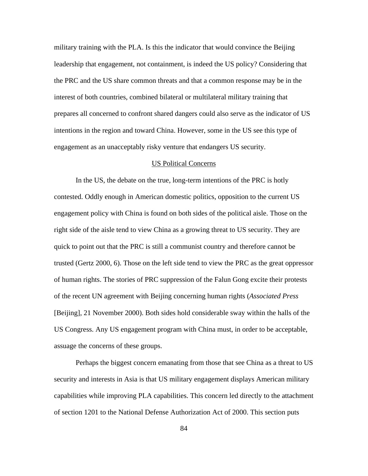military training with the PLA. Is this the indicator that would convince the Beijing leadership that engagement, not containment, is indeed the US policy? Considering that the PRC and the US share common threats and that a common response may be in the interest of both countries, combined bilateral or multilateral military training that prepares all concerned to confront shared dangers could also serve as the indicator of US intentions in the region and toward China. However, some in the US see this type of engagement as an unacceptably risky venture that endangers US security.

#### US Political Concerns

In the US, the debate on the true, long-term intentions of the PRC is hotly contested. Oddly enough in American domestic politics, opposition to the current US engagement policy with China is found on both sides of the political aisle. Those on the right side of the aisle tend to view China as a growing threat to US security. They are quick to point out that the PRC is still a communist country and therefore cannot be trusted (Gertz 2000, 6). Those on the left side tend to view the PRC as the great oppressor of human rights. The stories of PRC suppression of the Falun Gong excite their protests of the recent UN agreement with Beijing concerning human rights (*Associated Press*  [Beijing], 21 November 2000). Both sides hold considerable sway within the halls of the US Congress. Any US engagement program with China must, in order to be acceptable, assuage the concerns of these groups.

Perhaps the biggest concern emanating from those that see China as a threat to US security and interests in Asia is that US military engagement displays American military capabilities while improving PLA capabilities. This concern led directly to the attachment of section 1201 to the National Defense Authorization Act of 2000. This section puts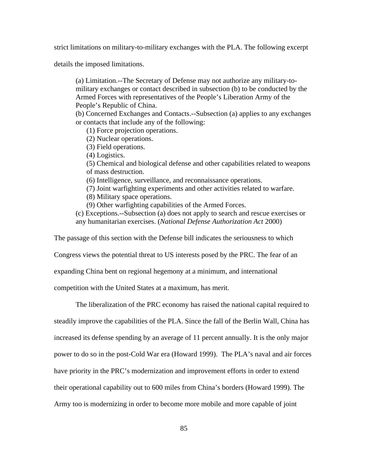strict limitations on military-to-military exchanges with the PLA. The following excerpt

details the imposed limitations.

(a) Limitation.--The Secretary of Defense may not authorize any military-tomilitary exchanges or contact described in subsection (b) to be conducted by the Armed Forces with representatives of the People's Liberation Army of the People's Republic of China.

(b) Concerned Exchanges and Contacts.--Subsection (a) applies to any exchanges or contacts that include any of the following:

(1) Force projection operations.

(2) Nuclear operations.

(3) Field operations.

(4) Logistics.

(5) Chemical and biological defense and other capabilities related to weapons of mass destruction.

(6) Intelligence, surveillance, and reconnaissance operations.

(7) Joint warfighting experiments and other activities related to warfare.

(8) Military space operations.

(9) Other warfighting capabilities of the Armed Forces.

(c) Exceptions.--Subsection (a) does not apply to search and rescue exercises or any humanitarian exercises. (*National Defense Authorization Act* 2000)

The passage of this section with the Defense bill indicates the seriousness to which

Congress views the potential threat to US interests posed by the PRC. The fear of an

expanding China bent on regional hegemony at a minimum, and international

competition with the United States at a maximum, has merit.

The liberalization of the PRC economy has raised the national capital required to steadily improve the capabilities of the PLA. Since the fall of the Berlin Wall, China has increased its defense spending by an average of 11 percent annually. It is the only major

power to do so in the post-Cold War era (Howard 1999). The PLA's naval and air forces

have priority in the PRC's modernization and improvement efforts in order to extend

their operational capability out to 600 miles from China's borders (Howard 1999). The

Army too is modernizing in order to become more mobile and more capable of joint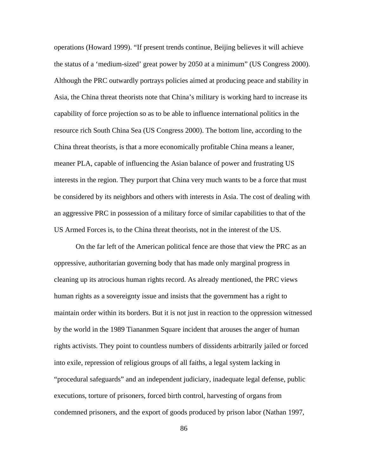operations (Howard 1999). "If present trends continue, Beijing believes it will achieve the status of a 'medium-sized' great power by 2050 at a minimum" (US Congress 2000). Although the PRC outwardly portrays policies aimed at producing peace and stability in Asia, the China threat theorists note that China's military is working hard to increase its capability of force projection so as to be able to influence international politics in the resource rich South China Sea (US Congress 2000). The bottom line, according to the China threat theorists, is that a more economically profitable China means a leaner, meaner PLA, capable of influencing the Asian balance of power and frustrating US interests in the region. They purport that China very much wants to be a force that must be considered by its neighbors and others with interests in Asia. The cost of dealing with an aggressive PRC in possession of a military force of similar capabilities to that of the US Armed Forces is, to the China threat theorists, not in the interest of the US.

On the far left of the American political fence are those that view the PRC as an oppressive, authoritarian governing body that has made only marginal progress in cleaning up its atrocious human rights record. As already mentioned, the PRC views human rights as a sovereignty issue and insists that the government has a right to maintain order within its borders. But it is not just in reaction to the oppression witnessed by the world in the 1989 Tiananmen Square incident that arouses the anger of human rights activists. They point to countless numbers of dissidents arbitrarily jailed or forced into exile, repression of religious groups of all faiths, a legal system lacking in "procedural safeguards" and an independent judiciary, inadequate legal defense, public executions, torture of prisoners, forced birth control, harvesting of organs from condemned prisoners, and the export of goods produced by prison labor (Nathan 1997,

86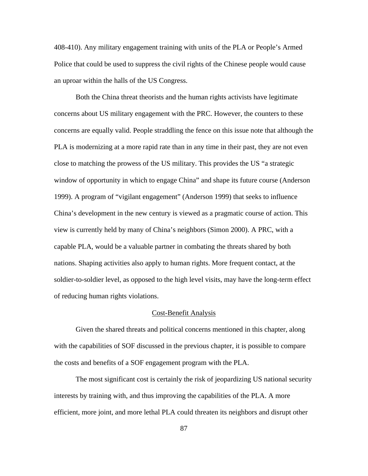408-410). Any military engagement training with units of the PLA or People's Armed Police that could be used to suppress the civil rights of the Chinese people would cause an uproar within the halls of the US Congress.

Both the China threat theorists and the human rights activists have legitimate concerns about US military engagement with the PRC. However, the counters to these concerns are equally valid. People straddling the fence on this issue note that although the PLA is modernizing at a more rapid rate than in any time in their past, they are not even close to matching the prowess of the US military. This provides the US "a strategic window of opportunity in which to engage China" and shape its future course (Anderson 1999). A program of "vigilant engagement" (Anderson 1999) that seeks to influence China's development in the new century is viewed as a pragmatic course of action. This view is currently held by many of China's neighbors (Simon 2000). A PRC, with a capable PLA, would be a valuable partner in combating the threats shared by both nations. Shaping activities also apply to human rights. More frequent contact, at the soldier-to-soldier level, as opposed to the high level visits, may have the long-term effect of reducing human rights violations.

#### Cost-Benefit Analysis

Given the shared threats and political concerns mentioned in this chapter, along with the capabilities of SOF discussed in the previous chapter, it is possible to compare the costs and benefits of a SOF engagement program with the PLA.

The most significant cost is certainly the risk of jeopardizing US national security interests by training with, and thus improving the capabilities of the PLA. A more efficient, more joint, and more lethal PLA could threaten its neighbors and disrupt other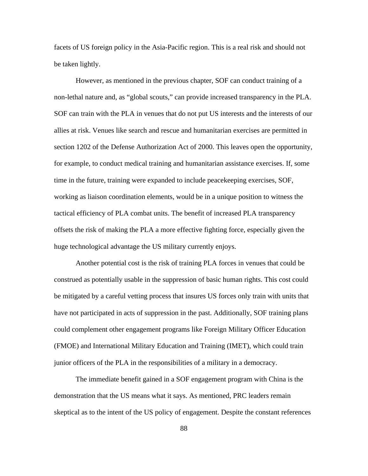facets of US foreign policy in the Asia-Pacific region. This is a real risk and should not be taken lightly.

However, as mentioned in the previous chapter, SOF can conduct training of a non-lethal nature and, as "global scouts," can provide increased transparency in the PLA. SOF can train with the PLA in venues that do not put US interests and the interests of our allies at risk. Venues like search and rescue and humanitarian exercises are permitted in section 1202 of the Defense Authorization Act of 2000. This leaves open the opportunity, for example, to conduct medical training and humanitarian assistance exercises. If, some time in the future, training were expanded to include peacekeeping exercises, SOF, working as liaison coordination elements, would be in a unique position to witness the tactical efficiency of PLA combat units. The benefit of increased PLA transparency offsets the risk of making the PLA a more effective fighting force, especially given the huge technological advantage the US military currently enjoys.

Another potential cost is the risk of training PLA forces in venues that could be construed as potentially usable in the suppression of basic human rights. This cost could be mitigated by a careful vetting process that insures US forces only train with units that have not participated in acts of suppression in the past. Additionally, SOF training plans could complement other engagement programs like Foreign Military Officer Education (FMOE) and International Military Education and Training (IMET), which could train junior officers of the PLA in the responsibilities of a military in a democracy.

The immediate benefit gained in a SOF engagement program with China is the demonstration that the US means what it says. As mentioned, PRC leaders remain skeptical as to the intent of the US policy of engagement. Despite the constant references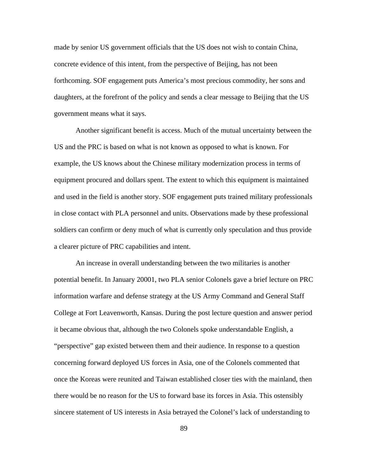made by senior US government officials that the US does not wish to contain China, concrete evidence of this intent, from the perspective of Beijing, has not been forthcoming. SOF engagement puts America's most precious commodity, her sons and daughters, at the forefront of the policy and sends a clear message to Beijing that the US government means what it says.

Another significant benefit is access. Much of the mutual uncertainty between the US and the PRC is based on what is not known as opposed to what is known. For example, the US knows about the Chinese military modernization process in terms of equipment procured and dollars spent. The extent to which this equipment is maintained and used in the field is another story. SOF engagement puts trained military professionals in close contact with PLA personnel and units. Observations made by these professional soldiers can confirm or deny much of what is currently only speculation and thus provide a clearer picture of PRC capabilities and intent.

An increase in overall understanding between the two militaries is another potential benefit. In January 20001, two PLA senior Colonels gave a brief lecture on PRC information warfare and defense strategy at the US Army Command and General Staff College at Fort Leavenworth, Kansas. During the post lecture question and answer period it became obvious that, although the two Colonels spoke understandable English, a "perspective" gap existed between them and their audience. In response to a question concerning forward deployed US forces in Asia, one of the Colonels commented that once the Koreas were reunited and Taiwan established closer ties with the mainland, then there would be no reason for the US to forward base its forces in Asia. This ostensibly sincere statement of US interests in Asia betrayed the Colonel's lack of understanding to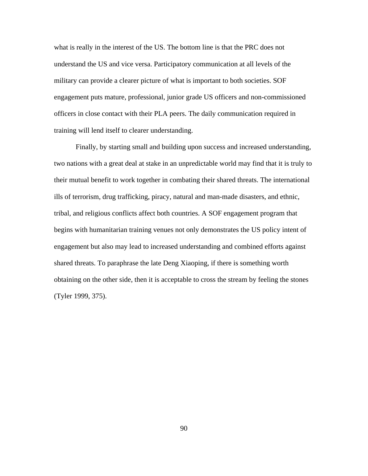what is really in the interest of the US. The bottom line is that the PRC does not understand the US and vice versa. Participatory communication at all levels of the military can provide a clearer picture of what is important to both societies. SOF engagement puts mature, professional, junior grade US officers and non-commissioned officers in close contact with their PLA peers. The daily communication required in training will lend itself to clearer understanding.

Finally, by starting small and building upon success and increased understanding, two nations with a great deal at stake in an unpredictable world may find that it is truly to their mutual benefit to work together in combating their shared threats. The international ills of terrorism, drug trafficking, piracy, natural and man-made disasters, and ethnic, tribal, and religious conflicts affect both countries. A SOF engagement program that begins with humanitarian training venues not only demonstrates the US policy intent of engagement but also may lead to increased understanding and combined efforts against shared threats. To paraphrase the late Deng Xiaoping, if there is something worth obtaining on the other side, then it is acceptable to cross the stream by feeling the stones (Tyler 1999, 375).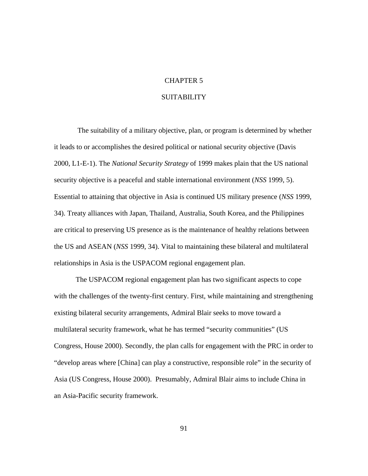# CHAPTER 5

# SUITABILITY

 The suitability of a military objective, plan, or program is determined by whether it leads to or accomplishes the desired political or national security objective (Davis 2000, L1-E-1). The *National Security Strategy* of 1999 makes plain that the US national security objective is a peaceful and stable international environment (*NSS* 1999, 5). Essential to attaining that objective in Asia is continued US military presence (*NSS* 1999, 34). Treaty alliances with Japan, Thailand, Australia, South Korea, and the Philippines are critical to preserving US presence as is the maintenance of healthy relations between the US and ASEAN (*NSS* 1999, 34). Vital to maintaining these bilateral and multilateral relationships in Asia is the USPACOM regional engagement plan.

The USPACOM regional engagement plan has two significant aspects to cope with the challenges of the twenty-first century. First, while maintaining and strengthening existing bilateral security arrangements, Admiral Blair seeks to move toward a multilateral security framework, what he has termed "security communities" (US Congress, House 2000). Secondly, the plan calls for engagement with the PRC in order to "develop areas where [China] can play a constructive, responsible role" in the security of Asia (US Congress, House 2000). Presumably, Admiral Blair aims to include China in an Asia-Pacific security framework.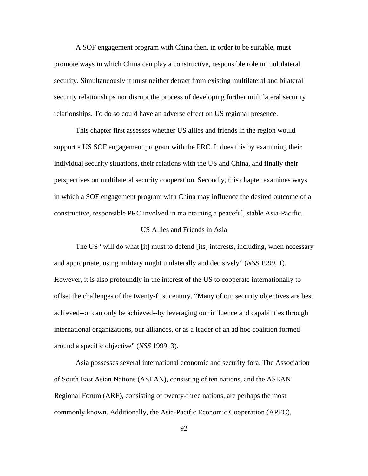A SOF engagement program with China then, in order to be suitable, must promote ways in which China can play a constructive, responsible role in multilateral security. Simultaneously it must neither detract from existing multilateral and bilateral security relationships nor disrupt the process of developing further multilateral security relationships. To do so could have an adverse effect on US regional presence.

This chapter first assesses whether US allies and friends in the region would support a US SOF engagement program with the PRC. It does this by examining their individual security situations, their relations with the US and China, and finally their perspectives on multilateral security cooperation. Secondly, this chapter examines ways in which a SOF engagement program with China may influence the desired outcome of a constructive, responsible PRC involved in maintaining a peaceful, stable Asia-Pacific.

#### US Allies and Friends in Asia

The US "will do what [it] must to defend [its] interests, including, when necessary and appropriate, using military might unilaterally and decisively" (*NSS* 1999, 1). However, it is also profoundly in the interest of the US to cooperate internationally to offset the challenges of the twenty-first century. "Many of our security objectives are best achieved--or can only be achieved--by leveraging our influence and capabilities through international organizations, our alliances, or as a leader of an ad hoc coalition formed around a specific objective" (*NSS* 1999, 3).

Asia possesses several international economic and security fora. The Association of South East Asian Nations (ASEAN), consisting of ten nations, and the ASEAN Regional Forum (ARF), consisting of twenty-three nations, are perhaps the most commonly known. Additionally, the Asia-Pacific Economic Cooperation (APEC),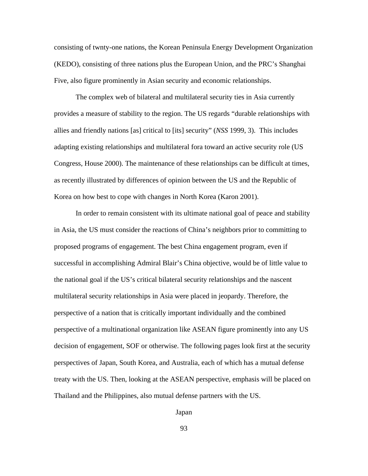consisting of twnty-one nations, the Korean Peninsula Energy Development Organization (KEDO), consisting of three nations plus the European Union, and the PRC's Shanghai Five, also figure prominently in Asian security and economic relationships.

The complex web of bilateral and multilateral security ties in Asia currently provides a measure of stability to the region. The US regards "durable relationships with allies and friendly nations [as] critical to [its] security" (*NSS* 1999, 3). This includes adapting existing relationships and multilateral fora toward an active security role (US Congress, House 2000). The maintenance of these relationships can be difficult at times, as recently illustrated by differences of opinion between the US and the Republic of Korea on how best to cope with changes in North Korea (Karon 2001).

In order to remain consistent with its ultimate national goal of peace and stability in Asia, the US must consider the reactions of China's neighbors prior to committing to proposed programs of engagement. The best China engagement program, even if successful in accomplishing Admiral Blair's China objective, would be of little value to the national goal if the US's critical bilateral security relationships and the nascent multilateral security relationships in Asia were placed in jeopardy. Therefore, the perspective of a nation that is critically important individually and the combined perspective of a multinational organization like ASEAN figure prominently into any US decision of engagement, SOF or otherwise. The following pages look first at the security perspectives of Japan, South Korea, and Australia, each of which has a mutual defense treaty with the US. Then, looking at the ASEAN perspective, emphasis will be placed on Thailand and the Philippines, also mutual defense partners with the US.

Japan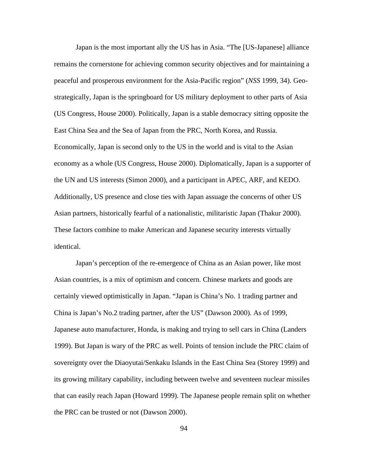Japan is the most important ally the US has in Asia. "The [US-Japanese] alliance remains the cornerstone for achieving common security objectives and for maintaining a peaceful and prosperous environment for the Asia-Pacific region" (*NSS* 1999, 34). Geostrategically, Japan is the springboard for US military deployment to other parts of Asia (US Congress, House 2000). Politically, Japan is a stable democracy sitting opposite the East China Sea and the Sea of Japan from the PRC, North Korea, and Russia. Economically, Japan is second only to the US in the world and is vital to the Asian economy as a whole (US Congress, House 2000). Diplomatically, Japan is a supporter of the UN and US interests (Simon 2000), and a participant in APEC, ARF, and KEDO. Additionally, US presence and close ties with Japan assuage the concerns of other US Asian partners, historically fearful of a nationalistic, militaristic Japan (Thakur 2000). These factors combine to make American and Japanese security interests virtually identical.

Japan's perception of the re-emergence of China as an Asian power, like most Asian countries, is a mix of optimism and concern. Chinese markets and goods are certainly viewed optimistically in Japan. "Japan is China's No. 1 trading partner and China is Japan's No.2 trading partner, after the US" (Dawson 2000). As of 1999, Japanese auto manufacturer, Honda, is making and trying to sell cars in China (Landers 1999). But Japan is wary of the PRC as well. Points of tension include the PRC claim of sovereignty over the Diaoyutai/Senkaku Islands in the East China Sea (Storey 1999) and its growing military capability, including between twelve and seventeen nuclear missiles that can easily reach Japan (Howard 1999). The Japanese people remain split on whether the PRC can be trusted or not (Dawson 2000).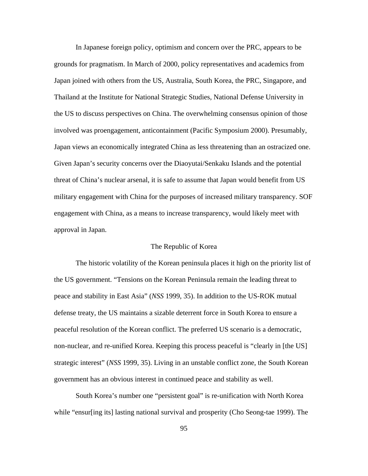In Japanese foreign policy, optimism and concern over the PRC, appears to be grounds for pragmatism. In March of 2000, policy representatives and academics from Japan joined with others from the US, Australia, South Korea, the PRC, Singapore, and Thailand at the Institute for National Strategic Studies, National Defense University in the US to discuss perspectives on China. The overwhelming consensus opinion of those involved was proengagement, anticontainment (Pacific Symposium 2000). Presumably, Japan views an economically integrated China as less threatening than an ostracized one. Given Japan's security concerns over the Diaoyutai/Senkaku Islands and the potential threat of China's nuclear arsenal, it is safe to assume that Japan would benefit from US military engagement with China for the purposes of increased military transparency. SOF engagement with China, as a means to increase transparency, would likely meet with approval in Japan.

## The Republic of Korea

The historic volatility of the Korean peninsula places it high on the priority list of the US government. "Tensions on the Korean Peninsula remain the leading threat to peace and stability in East Asia" (*NSS* 1999, 35). In addition to the US-ROK mutual defense treaty, the US maintains a sizable deterrent force in South Korea to ensure a peaceful resolution of the Korean conflict. The preferred US scenario is a democratic, non-nuclear, and re-unified Korea. Keeping this process peaceful is "clearly in [the US] strategic interest" (*NSS* 1999, 35). Living in an unstable conflict zone, the South Korean government has an obvious interest in continued peace and stability as well.

South Korea's number one "persistent goal" is re-unification with North Korea while "ensur[ing its] lasting national survival and prosperity (Cho Seong-tae 1999). The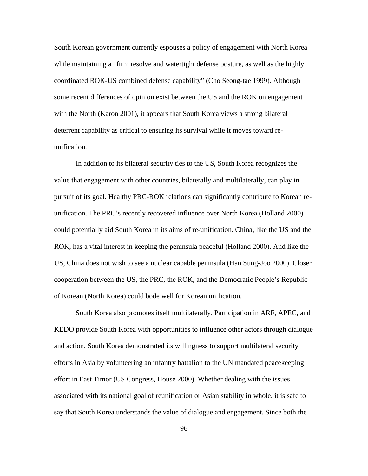South Korean government currently espouses a policy of engagement with North Korea while maintaining a "firm resolve and watertight defense posture, as well as the highly coordinated ROK-US combined defense capability" (Cho Seong-tae 1999). Although some recent differences of opinion exist between the US and the ROK on engagement with the North (Karon 2001), it appears that South Korea views a strong bilateral deterrent capability as critical to ensuring its survival while it moves toward reunification.

In addition to its bilateral security ties to the US, South Korea recognizes the value that engagement with other countries, bilaterally and multilaterally, can play in pursuit of its goal. Healthy PRC-ROK relations can significantly contribute to Korean reunification. The PRC's recently recovered influence over North Korea (Holland 2000) could potentially aid South Korea in its aims of re-unification. China, like the US and the ROK, has a vital interest in keeping the peninsula peaceful (Holland 2000). And like the US, China does not wish to see a nuclear capable peninsula (Han Sung-Joo 2000). Closer cooperation between the US, the PRC, the ROK, and the Democratic People's Republic of Korean (North Korea) could bode well for Korean unification.

South Korea also promotes itself multilaterally. Participation in ARF, APEC, and KEDO provide South Korea with opportunities to influence other actors through dialogue and action. South Korea demonstrated its willingness to support multilateral security efforts in Asia by volunteering an infantry battalion to the UN mandated peacekeeping effort in East Timor (US Congress, House 2000). Whether dealing with the issues associated with its national goal of reunification or Asian stability in whole, it is safe to say that South Korea understands the value of dialogue and engagement. Since both the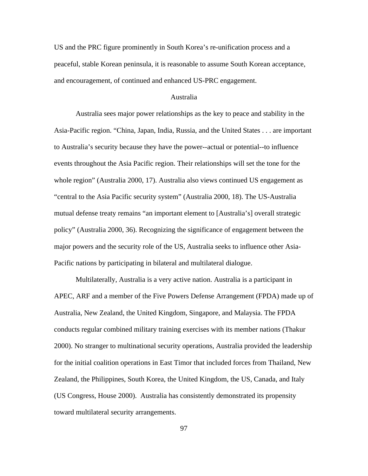US and the PRC figure prominently in South Korea's re-unification process and a peaceful, stable Korean peninsula, it is reasonable to assume South Korean acceptance, and encouragement, of continued and enhanced US-PRC engagement.

## Australia

Australia sees major power relationships as the key to peace and stability in the Asia-Pacific region. "China, Japan, India, Russia, and the United States . . . are important to Australia's security because they have the power--actual or potential--to influence events throughout the Asia Pacific region. Their relationships will set the tone for the whole region" (Australia 2000, 17). Australia also views continued US engagement as "central to the Asia Pacific security system" (Australia 2000, 18). The US-Australia mutual defense treaty remains "an important element to [Australia's] overall strategic policy" (Australia 2000, 36). Recognizing the significance of engagement between the major powers and the security role of the US, Australia seeks to influence other Asia-Pacific nations by participating in bilateral and multilateral dialogue.

Multilaterally, Australia is a very active nation. Australia is a participant in APEC, ARF and a member of the Five Powers Defense Arrangement (FPDA) made up of Australia, New Zealand, the United Kingdom, Singapore, and Malaysia. The FPDA conducts regular combined military training exercises with its member nations (Thakur 2000). No stranger to multinational security operations, Australia provided the leadership for the initial coalition operations in East Timor that included forces from Thailand, New Zealand, the Philippines, South Korea, the United Kingdom, the US, Canada, and Italy (US Congress, House 2000). Australia has consistently demonstrated its propensity toward multilateral security arrangements.

97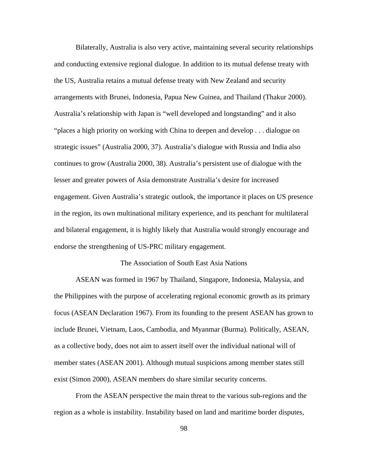Bilaterally, Australia is also very active, maintaining several security relationships and conducting extensive regional dialogue. In addition to its mutual defense treaty with the US, Australia retains a mutual defense treaty with New Zealand and security arrangements with Brunei, Indonesia, Papua New Guinea, and Thailand (Thakur 2000). Australia's relationship with Japan is "well developed and longstanding" and it also "places a high priority on working with China to deepen and develop . . . dialogue on strategic issues" (Australia 2000, 37). Australia's dialogue with Russia and India also continues to grow (Australia 2000, 38). Australia's persistent use of dialogue with the lesser and greater powers of Asia demonstrate Australia's desire for increased engagement. Given Australia's strategic outlook, the importance it places on US presence in the region, its own multinational military experience, and its penchant for multilateral and bilateral engagement, it is highly likely that Australia would strongly encourage and endorse the strengthening of US-PRC military engagement.

# The Association of South East Asia Nations

ASEAN was formed in 1967 by Thailand, Singapore, Indonesia, Malaysia, and the Philippines with the purpose of accelerating regional economic growth as its primary focus (ASEAN Declaration 1967). From its founding to the present ASEAN has grown to include Brunei, Vietnam, Laos, Cambodia, and Myanmar (Burma). Politically, ASEAN, as a collective body, does not aim to assert itself over the individual national will of member states (ASEAN 2001). Although mutual suspicions among member states still exist (Simon 2000), ASEAN members do share similar security concerns.

From the ASEAN perspective the main threat to the various sub-regions and the region as a whole is instability. Instability based on land and maritime border disputes,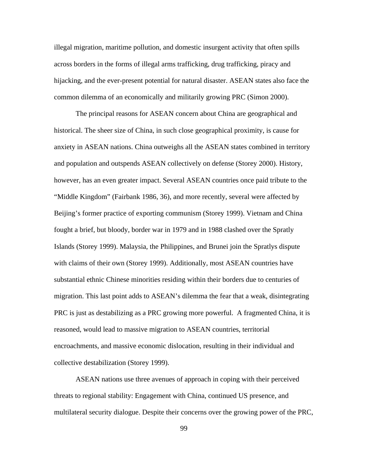illegal migration, maritime pollution, and domestic insurgent activity that often spills across borders in the forms of illegal arms trafficking, drug trafficking, piracy and hijacking, and the ever-present potential for natural disaster. ASEAN states also face the common dilemma of an economically and militarily growing PRC (Simon 2000).

The principal reasons for ASEAN concern about China are geographical and historical. The sheer size of China, in such close geographical proximity, is cause for anxiety in ASEAN nations. China outweighs all the ASEAN states combined in territory and population and outspends ASEAN collectively on defense (Storey 2000). History, however, has an even greater impact. Several ASEAN countries once paid tribute to the "Middle Kingdom" (Fairbank 1986, 36), and more recently, several were affected by Beijing's former practice of exporting communism (Storey 1999). Vietnam and China fought a brief, but bloody, border war in 1979 and in 1988 clashed over the Spratly Islands (Storey 1999). Malaysia, the Philippines, and Brunei join the Spratlys dispute with claims of their own (Storey 1999). Additionally, most ASEAN countries have substantial ethnic Chinese minorities residing within their borders due to centuries of migration. This last point adds to ASEAN's dilemma the fear that a weak, disintegrating PRC is just as destabilizing as a PRC growing more powerful. A fragmented China, it is reasoned, would lead to massive migration to ASEAN countries, territorial encroachments, and massive economic dislocation, resulting in their individual and collective destabilization (Storey 1999).

ASEAN nations use three avenues of approach in coping with their perceived threats to regional stability: Engagement with China, continued US presence, and multilateral security dialogue. Despite their concerns over the growing power of the PRC,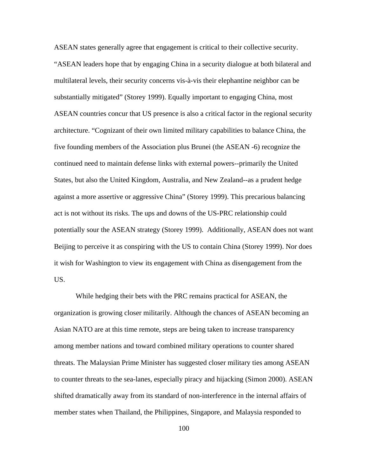ASEAN states generally agree that engagement is critical to their collective security. "ASEAN leaders hope that by engaging China in a security dialogue at both bilateral and multilateral levels, their security concerns vis-à-vis their elephantine neighbor can be substantially mitigated" (Storey 1999). Equally important to engaging China, most ASEAN countries concur that US presence is also a critical factor in the regional security architecture. "Cognizant of their own limited military capabilities to balance China, the five founding members of the Association plus Brunei (the ASEAN -6) recognize the continued need to maintain defense links with external powers--primarily the United States, but also the United Kingdom, Australia, and New Zealand--as a prudent hedge against a more assertive or aggressive China" (Storey 1999). This precarious balancing act is not without its risks. The ups and downs of the US-PRC relationship could potentially sour the ASEAN strategy (Storey 1999). Additionally, ASEAN does not want Beijing to perceive it as conspiring with the US to contain China (Storey 1999). Nor does it wish for Washington to view its engagement with China as disengagement from the US.

While hedging their bets with the PRC remains practical for ASEAN, the organization is growing closer militarily. Although the chances of ASEAN becoming an Asian NATO are at this time remote, steps are being taken to increase transparency among member nations and toward combined military operations to counter shared threats. The Malaysian Prime Minister has suggested closer military ties among ASEAN to counter threats to the sea-lanes, especially piracy and hijacking (Simon 2000). ASEAN shifted dramatically away from its standard of non-interference in the internal affairs of member states when Thailand, the Philippines, Singapore, and Malaysia responded to

100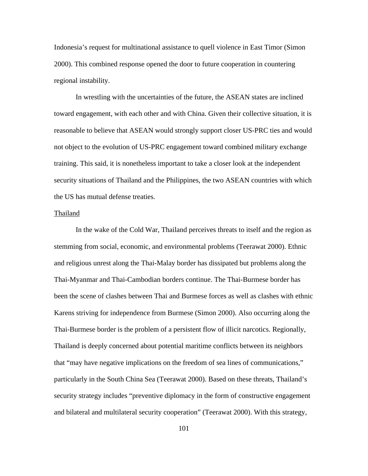Indonesia's request for multinational assistance to quell violence in East Timor (Simon 2000). This combined response opened the door to future cooperation in countering regional instability.

In wrestling with the uncertainties of the future, the ASEAN states are inclined toward engagement, with each other and with China. Given their collective situation, it is reasonable to believe that ASEAN would strongly support closer US-PRC ties and would not object to the evolution of US-PRC engagement toward combined military exchange training. This said, it is nonetheless important to take a closer look at the independent security situations of Thailand and the Philippines, the two ASEAN countries with which the US has mutual defense treaties.

### Thailand

In the wake of the Cold War, Thailand perceives threats to itself and the region as stemming from social, economic, and environmental problems (Teerawat 2000). Ethnic and religious unrest along the Thai-Malay border has dissipated but problems along the Thai-Myanmar and Thai-Cambodian borders continue. The Thai-Burmese border has been the scene of clashes between Thai and Burmese forces as well as clashes with ethnic Karens striving for independence from Burmese (Simon 2000). Also occurring along the Thai-Burmese border is the problem of a persistent flow of illicit narcotics. Regionally, Thailand is deeply concerned about potential maritime conflicts between its neighbors that "may have negative implications on the freedom of sea lines of communications," particularly in the South China Sea (Teerawat 2000). Based on these threats, Thailand's security strategy includes "preventive diplomacy in the form of constructive engagement and bilateral and multilateral security cooperation" (Teerawat 2000). With this strategy,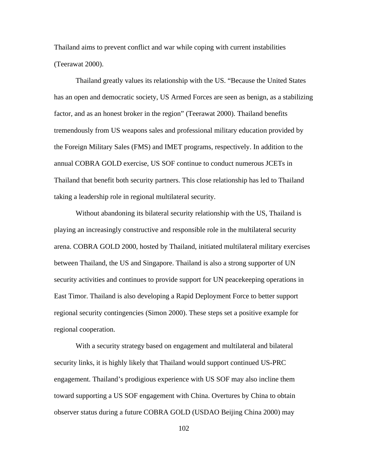Thailand aims to prevent conflict and war while coping with current instabilities (Teerawat 2000).

Thailand greatly values its relationship with the US. "Because the United States has an open and democratic society, US Armed Forces are seen as benign, as a stabilizing factor, and as an honest broker in the region" (Teerawat 2000). Thailand benefits tremendously from US weapons sales and professional military education provided by the Foreign Military Sales (FMS) and IMET programs, respectively. In addition to the annual COBRA GOLD exercise, US SOF continue to conduct numerous JCETs in Thailand that benefit both security partners. This close relationship has led to Thailand taking a leadership role in regional multilateral security.

Without abandoning its bilateral security relationship with the US, Thailand is playing an increasingly constructive and responsible role in the multilateral security arena. COBRA GOLD 2000, hosted by Thailand, initiated multilateral military exercises between Thailand, the US and Singapore. Thailand is also a strong supporter of UN security activities and continues to provide support for UN peacekeeping operations in East Timor. Thailand is also developing a Rapid Deployment Force to better support regional security contingencies (Simon 2000). These steps set a positive example for regional cooperation.

With a security strategy based on engagement and multilateral and bilateral security links, it is highly likely that Thailand would support continued US-PRC engagement. Thailand's prodigious experience with US SOF may also incline them toward supporting a US SOF engagement with China. Overtures by China to obtain observer status during a future COBRA GOLD (USDAO Beijing China 2000) may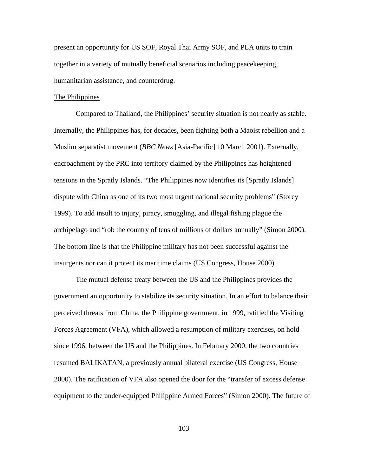present an opportunity for US SOF, Royal Thai Army SOF, and PLA units to train together in a variety of mutually beneficial scenarios including peacekeeping, humanitarian assistance, and counterdrug.

### The Philippines

Compared to Thailand, the Philippines' security situation is not nearly as stable. Internally, the Philippines has, for decades, been fighting both a Maoist rebellion and a Muslim separatist movement (*BBC News* [Asia-Pacific] 10 March 2001). Externally, encroachment by the PRC into territory claimed by the Philippines has heightened tensions in the Spratly Islands. "The Philippines now identifies its [Spratly Islands] dispute with China as one of its two most urgent national security problems" (Storey 1999). To add insult to injury, piracy, smuggling, and illegal fishing plague the archipelago and "rob the country of tens of millions of dollars annually" (Simon 2000). The bottom line is that the Philippine military has not been successful against the insurgents nor can it protect its maritime claims (US Congress, House 2000).

The mutual defense treaty between the US and the Philippines provides the government an opportunity to stabilize its security situation. In an effort to balance their perceived threats from China, the Philippine government, in 1999, ratified the Visiting Forces Agreement (VFA), which allowed a resumption of military exercises, on hold since 1996, between the US and the Philippines. In February 2000, the two countries resumed BALIKATAN, a previously annual bilateral exercise (US Congress, House 2000). The ratification of VFA also opened the door for the "transfer of excess defense equipment to the under-equipped Philippine Armed Forces" (Simon 2000). The future of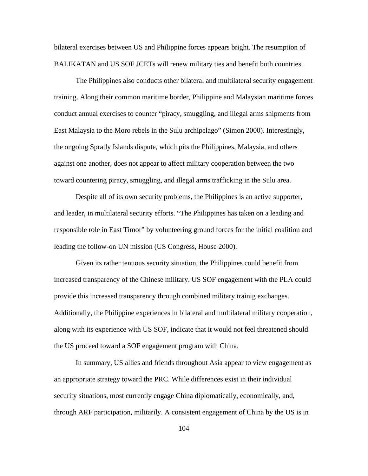bilateral exercises between US and Philippine forces appears bright. The resumption of BALIKATAN and US SOF JCETs will renew military ties and benefit both countries.

The Philippines also conducts other bilateral and multilateral security engagement training. Along their common maritime border, Philippine and Malaysian maritime forces conduct annual exercises to counter "piracy, smuggling, and illegal arms shipments from East Malaysia to the Moro rebels in the Sulu archipelago" (Simon 2000). Interestingly, the ongoing Spratly Islands dispute, which pits the Philippines, Malaysia, and others against one another, does not appear to affect military cooperation between the two toward countering piracy, smuggling, and illegal arms trafficking in the Sulu area.

Despite all of its own security problems, the Philippines is an active supporter, and leader, in multilateral security efforts. "The Philippines has taken on a leading and responsible role in East Timor" by volunteering ground forces for the initial coalition and leading the follow-on UN mission (US Congress, House 2000).

Given its rather tenuous security situation, the Philippines could benefit from increased transparency of the Chinese military. US SOF engagement with the PLA could provide this increased transparency through combined military trainig exchanges. Additionally, the Philippine experiences in bilateral and multilateral military cooperation, along with its experience with US SOF, indicate that it would not feel threatened should the US proceed toward a SOF engagement program with China.

In summary, US allies and friends throughout Asia appear to view engagement as an appropriate strategy toward the PRC. While differences exist in their individual security situations, most currently engage China diplomatically, economically, and, through ARF participation, militarily. A consistent engagement of China by the US is in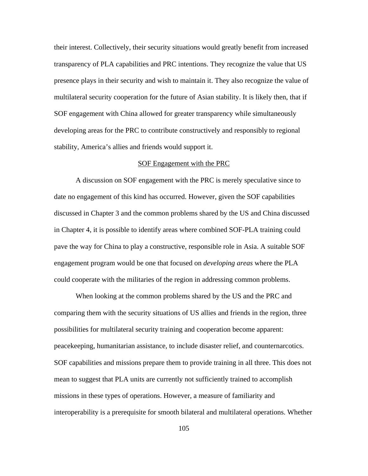their interest. Collectively, their security situations would greatly benefit from increased transparency of PLA capabilities and PRC intentions. They recognize the value that US presence plays in their security and wish to maintain it. They also recognize the value of multilateral security cooperation for the future of Asian stability. It is likely then, that if SOF engagement with China allowed for greater transparency while simultaneously developing areas for the PRC to contribute constructively and responsibly to regional stability, America's allies and friends would support it.

#### SOF Engagement with the PRC

A discussion on SOF engagement with the PRC is merely speculative since to date no engagement of this kind has occurred. However, given the SOF capabilities discussed in Chapter 3 and the common problems shared by the US and China discussed in Chapter 4, it is possible to identify areas where combined SOF-PLA training could pave the way for China to play a constructive, responsible role in Asia. A suitable SOF engagement program would be one that focused on *developing areas* where the PLA could cooperate with the militaries of the region in addressing common problems.

When looking at the common problems shared by the US and the PRC and comparing them with the security situations of US allies and friends in the region, three possibilities for multilateral security training and cooperation become apparent: peacekeeping, humanitarian assistance, to include disaster relief, and counternarcotics. SOF capabilities and missions prepare them to provide training in all three. This does not mean to suggest that PLA units are currently not sufficiently trained to accomplish missions in these types of operations. However, a measure of familiarity and interoperability is a prerequisite for smooth bilateral and multilateral operations. Whether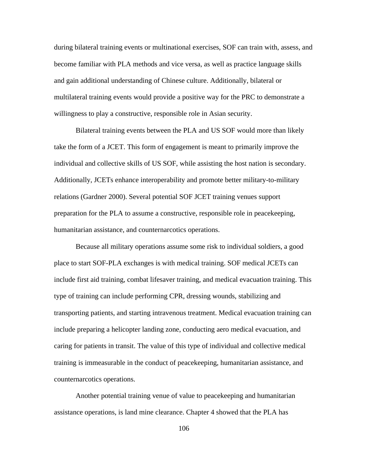during bilateral training events or multinational exercises, SOF can train with, assess, and become familiar with PLA methods and vice versa, as well as practice language skills and gain additional understanding of Chinese culture. Additionally, bilateral or multilateral training events would provide a positive way for the PRC to demonstrate a willingness to play a constructive, responsible role in Asian security.

Bilateral training events between the PLA and US SOF would more than likely take the form of a JCET. This form of engagement is meant to primarily improve the individual and collective skills of US SOF, while assisting the host nation is secondary. Additionally, JCETs enhance interoperability and promote better military-to-military relations (Gardner 2000). Several potential SOF JCET training venues support preparation for the PLA to assume a constructive, responsible role in peacekeeping, humanitarian assistance, and counternarcotics operations.

Because all military operations assume some risk to individual soldiers, a good place to start SOF-PLA exchanges is with medical training. SOF medical JCETs can include first aid training, combat lifesaver training, and medical evacuation training. This type of training can include performing CPR, dressing wounds, stabilizing and transporting patients, and starting intravenous treatment. Medical evacuation training can include preparing a helicopter landing zone, conducting aero medical evacuation, and caring for patients in transit. The value of this type of individual and collective medical training is immeasurable in the conduct of peacekeeping, humanitarian assistance, and counternarcotics operations.

Another potential training venue of value to peacekeeping and humanitarian assistance operations, is land mine clearance. Chapter 4 showed that the PLA has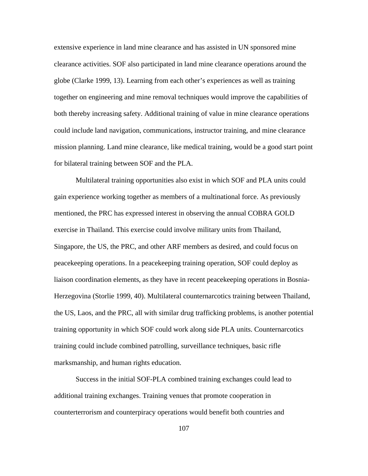extensive experience in land mine clearance and has assisted in UN sponsored mine clearance activities. SOF also participated in land mine clearance operations around the globe (Clarke 1999, 13). Learning from each other's experiences as well as training together on engineering and mine removal techniques would improve the capabilities of both thereby increasing safety. Additional training of value in mine clearance operations could include land navigation, communications, instructor training, and mine clearance mission planning. Land mine clearance, like medical training, would be a good start point for bilateral training between SOF and the PLA.

Multilateral training opportunities also exist in which SOF and PLA units could gain experience working together as members of a multinational force. As previously mentioned, the PRC has expressed interest in observing the annual COBRA GOLD exercise in Thailand. This exercise could involve military units from Thailand, Singapore, the US, the PRC, and other ARF members as desired, and could focus on peacekeeping operations. In a peacekeeping training operation, SOF could deploy as liaison coordination elements, as they have in recent peacekeeping operations in Bosnia-Herzegovina (Storlie 1999, 40). Multilateral counternarcotics training between Thailand, the US, Laos, and the PRC, all with similar drug trafficking problems, is another potential training opportunity in which SOF could work along side PLA units. Counternarcotics training could include combined patrolling, surveillance techniques, basic rifle marksmanship, and human rights education.

Success in the initial SOF-PLA combined training exchanges could lead to additional training exchanges. Training venues that promote cooperation in counterterrorism and counterpiracy operations would benefit both countries and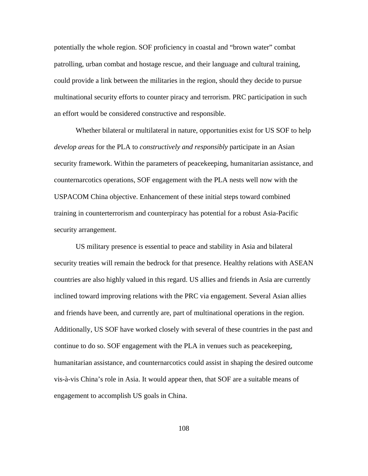potentially the whole region. SOF proficiency in coastal and "brown water" combat patrolling, urban combat and hostage rescue, and their language and cultural training, could provide a link between the militaries in the region, should they decide to pursue multinational security efforts to counter piracy and terrorism. PRC participation in such an effort would be considered constructive and responsible.

Whether bilateral or multilateral in nature, opportunities exist for US SOF to help *develop areas* for the PLA to *constructively and responsibly* participate in an Asian security framework. Within the parameters of peacekeeping, humanitarian assistance, and counternarcotics operations, SOF engagement with the PLA nests well now with the USPACOM China objective. Enhancement of these initial steps toward combined training in counterterrorism and counterpiracy has potential for a robust Asia-Pacific security arrangement.

US military presence is essential to peace and stability in Asia and bilateral security treaties will remain the bedrock for that presence. Healthy relations with ASEAN countries are also highly valued in this regard. US allies and friends in Asia are currently inclined toward improving relations with the PRC via engagement. Several Asian allies and friends have been, and currently are, part of multinational operations in the region. Additionally, US SOF have worked closely with several of these countries in the past and continue to do so. SOF engagement with the PLA in venues such as peacekeeping, humanitarian assistance, and counternarcotics could assist in shaping the desired outcome vis-à-vis China's role in Asia. It would appear then, that SOF are a suitable means of engagement to accomplish US goals in China.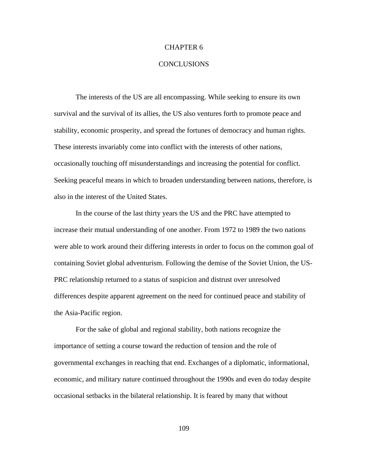# CHAPTER 6

### CONCLUSIONS

The interests of the US are all encompassing. While seeking to ensure its own survival and the survival of its allies, the US also ventures forth to promote peace and stability, economic prosperity, and spread the fortunes of democracy and human rights. These interests invariably come into conflict with the interests of other nations, occasionally touching off misunderstandings and increasing the potential for conflict. Seeking peaceful means in which to broaden understanding between nations, therefore, is also in the interest of the United States.

In the course of the last thirty years the US and the PRC have attempted to increase their mutual understanding of one another. From 1972 to 1989 the two nations were able to work around their differing interests in order to focus on the common goal of containing Soviet global adventurism. Following the demise of the Soviet Union, the US-PRC relationship returned to a status of suspicion and distrust over unresolved differences despite apparent agreement on the need for continued peace and stability of the Asia-Pacific region.

For the sake of global and regional stability, both nations recognize the importance of setting a course toward the reduction of tension and the role of governmental exchanges in reaching that end. Exchanges of a diplomatic, informational, economic, and military nature continued throughout the 1990s and even do today despite occasional setbacks in the bilateral relationship. It is feared by many that without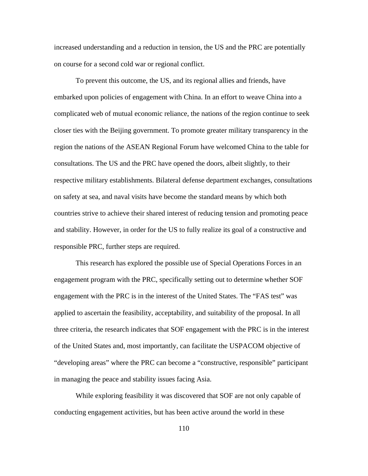increased understanding and a reduction in tension, the US and the PRC are potentially on course for a second cold war or regional conflict.

To prevent this outcome, the US, and its regional allies and friends, have embarked upon policies of engagement with China. In an effort to weave China into a complicated web of mutual economic reliance, the nations of the region continue to seek closer ties with the Beijing government. To promote greater military transparency in the region the nations of the ASEAN Regional Forum have welcomed China to the table for consultations. The US and the PRC have opened the doors, albeit slightly, to their respective military establishments. Bilateral defense department exchanges, consultations on safety at sea, and naval visits have become the standard means by which both countries strive to achieve their shared interest of reducing tension and promoting peace and stability. However, in order for the US to fully realize its goal of a constructive and responsible PRC, further steps are required.

This research has explored the possible use of Special Operations Forces in an engagement program with the PRC, specifically setting out to determine whether SOF engagement with the PRC is in the interest of the United States. The "FAS test" was applied to ascertain the feasibility, acceptability, and suitability of the proposal. In all three criteria, the research indicates that SOF engagement with the PRC is in the interest of the United States and, most importantly, can facilitate the USPACOM objective of "developing areas" where the PRC can become a "constructive, responsible" participant in managing the peace and stability issues facing Asia.

While exploring feasibility it was discovered that SOF are not only capable of conducting engagement activities, but has been active around the world in these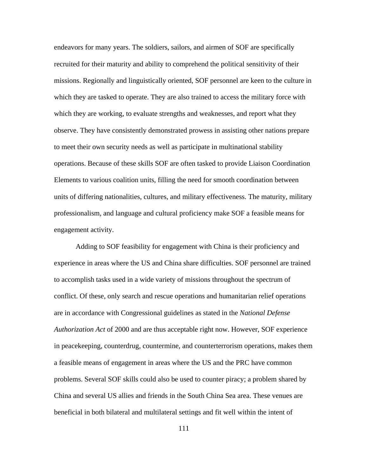endeavors for many years. The soldiers, sailors, and airmen of SOF are specifically recruited for their maturity and ability to comprehend the political sensitivity of their missions. Regionally and linguistically oriented, SOF personnel are keen to the culture in which they are tasked to operate. They are also trained to access the military force with which they are working, to evaluate strengths and weaknesses, and report what they observe. They have consistently demonstrated prowess in assisting other nations prepare to meet their own security needs as well as participate in multinational stability operations. Because of these skills SOF are often tasked to provide Liaison Coordination Elements to various coalition units, filling the need for smooth coordination between units of differing nationalities, cultures, and military effectiveness. The maturity, military professionalism, and language and cultural proficiency make SOF a feasible means for engagement activity.

Adding to SOF feasibility for engagement with China is their proficiency and experience in areas where the US and China share difficulties. SOF personnel are trained to accomplish tasks used in a wide variety of missions throughout the spectrum of conflict. Of these, only search and rescue operations and humanitarian relief operations are in accordance with Congressional guidelines as stated in the *National Defense Authorization Act* of 2000 and are thus acceptable right now. However, SOF experience in peacekeeping, counterdrug, countermine, and counterterrorism operations, makes them a feasible means of engagement in areas where the US and the PRC have common problems. Several SOF skills could also be used to counter piracy; a problem shared by China and several US allies and friends in the South China Sea area. These venues are beneficial in both bilateral and multilateral settings and fit well within the intent of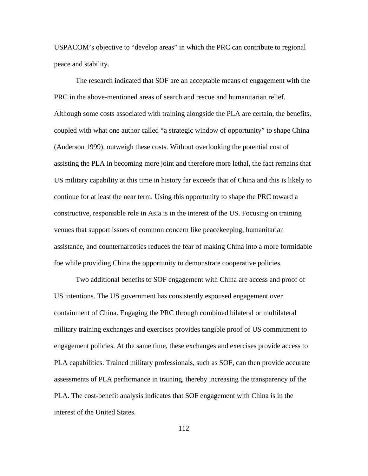USPACOM's objective to "develop areas" in which the PRC can contribute to regional peace and stability.

The research indicated that SOF are an acceptable means of engagement with the PRC in the above-mentioned areas of search and rescue and humanitarian relief. Although some costs associated with training alongside the PLA are certain, the benefits, coupled with what one author called "a strategic window of opportunity" to shape China (Anderson 1999), outweigh these costs. Without overlooking the potential cost of assisting the PLA in becoming more joint and therefore more lethal, the fact remains that US military capability at this time in history far exceeds that of China and this is likely to continue for at least the near term. Using this opportunity to shape the PRC toward a constructive, responsible role in Asia is in the interest of the US. Focusing on training venues that support issues of common concern like peacekeeping, humanitarian assistance, and counternarcotics reduces the fear of making China into a more formidable foe while providing China the opportunity to demonstrate cooperative policies.

Two additional benefits to SOF engagement with China are access and proof of US intentions. The US government has consistently espoused engagement over containment of China. Engaging the PRC through combined bilateral or multilateral military training exchanges and exercises provides tangible proof of US commitment to engagement policies. At the same time, these exchanges and exercises provide access to PLA capabilities. Trained military professionals, such as SOF, can then provide accurate assessments of PLA performance in training, thereby increasing the transparency of the PLA. The cost-benefit analysis indicates that SOF engagement with China is in the interest of the United States.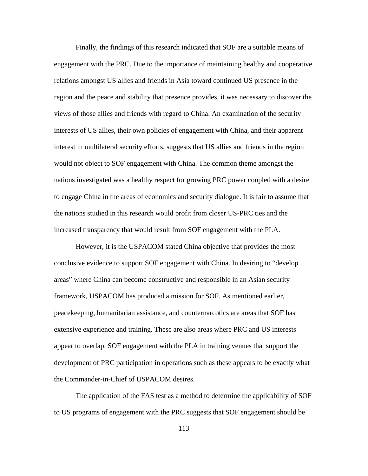Finally, the findings of this research indicated that SOF are a suitable means of engagement with the PRC. Due to the importance of maintaining healthy and cooperative relations amongst US allies and friends in Asia toward continued US presence in the region and the peace and stability that presence provides, it was necessary to discover the views of those allies and friends with regard to China. An examination of the security interests of US allies, their own policies of engagement with China, and their apparent interest in multilateral security efforts, suggests that US allies and friends in the region would not object to SOF engagement with China. The common theme amongst the nations investigated was a healthy respect for growing PRC power coupled with a desire to engage China in the areas of economics and security dialogue. It is fair to assume that the nations studied in this research would profit from closer US-PRC ties and the increased transparency that would result from SOF engagement with the PLA.

However, it is the USPACOM stated China objective that provides the most conclusive evidence to support SOF engagement with China. In desiring to "develop areas" where China can become constructive and responsible in an Asian security framework, USPACOM has produced a mission for SOF. As mentioned earlier, peacekeeping, humanitarian assistance, and counternarcotics are areas that SOF has extensive experience and training. These are also areas where PRC and US interests appear to overlap. SOF engagement with the PLA in training venues that support the development of PRC participation in operations such as these appears to be exactly what the Commander-in-Chief of USPACOM desires.

The application of the FAS test as a method to determine the applicability of SOF to US programs of engagement with the PRC suggests that SOF engagement should be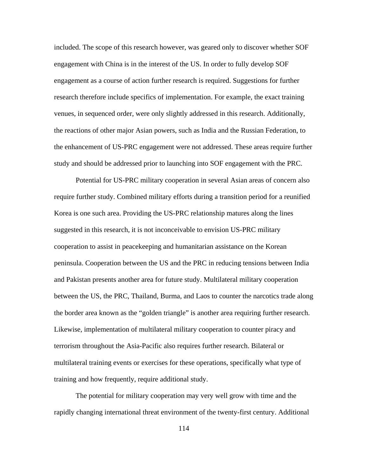included. The scope of this research however, was geared only to discover whether SOF engagement with China is in the interest of the US. In order to fully develop SOF engagement as a course of action further research is required. Suggestions for further research therefore include specifics of implementation. For example, the exact training venues, in sequenced order, were only slightly addressed in this research. Additionally, the reactions of other major Asian powers, such as India and the Russian Federation, to the enhancement of US-PRC engagement were not addressed. These areas require further study and should be addressed prior to launching into SOF engagement with the PRC.

Potential for US-PRC military cooperation in several Asian areas of concern also require further study. Combined military efforts during a transition period for a reunified Korea is one such area. Providing the US-PRC relationship matures along the lines suggested in this research, it is not inconceivable to envision US-PRC military cooperation to assist in peacekeeping and humanitarian assistance on the Korean peninsula. Cooperation between the US and the PRC in reducing tensions between India and Pakistan presents another area for future study. Multilateral military cooperation between the US, the PRC, Thailand, Burma, and Laos to counter the narcotics trade along the border area known as the "golden triangle" is another area requiring further research. Likewise, implementation of multilateral military cooperation to counter piracy and terrorism throughout the Asia-Pacific also requires further research. Bilateral or multilateral training events or exercises for these operations, specifically what type of training and how frequently, require additional study.

The potential for military cooperation may very well grow with time and the rapidly changing international threat environment of the twenty-first century. Additional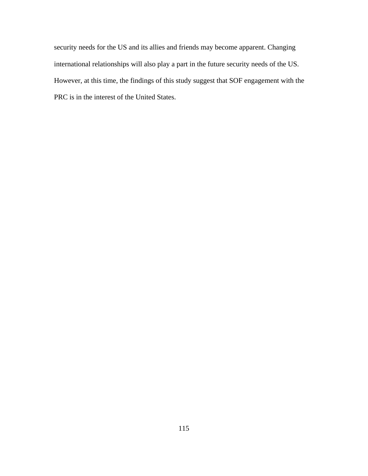security needs for the US and its allies and friends may become apparent. Changing international relationships will also play a part in the future security needs of the US. However, at this time, the findings of this study suggest that SOF engagement with the PRC is in the interest of the United States.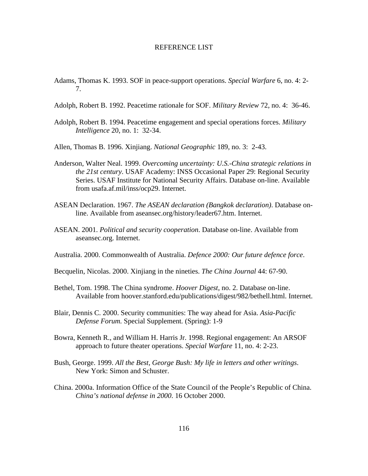#### REFERENCE LIST

- Adams, Thomas K. 1993. SOF in peace-support operations. *Special Warfare* 6, no. 4: 2 7.
- Adolph, Robert B. 1992. Peacetime rationale for SOF. *Military Review* 72, no. 4: 36-46.
- Adolph, Robert B. 1994. Peacetime engagement and special operations forces. *Military Intelligence* 20, no. 1: 32-34.
- Allen, Thomas B. 1996. Xinjiang. *National Geographic* 189, no. 3: 2-43.
- Anderson, Walter Neal. 1999. *Overcoming uncertainty: U.S.-China strategic relations in the 21st century*. USAF Academy: INSS Occasional Paper 29: Regional Security Series. USAF Institute for National Security Affairs. Database on-line. Available from usafa.af.mil/inss/ocp29. Internet.
- ASEAN Declaration. 1967. *The ASEAN declaration (Bangkok declaration)*. Database online. Available from aseansec.org/history/leader67.htm. Internet.
- ASEAN. 2001. *Political and security cooperation*. Database on-line. Available from aseansec.org. Internet.
- Australia. 2000. Commonwealth of Australia. *Defence 2000: Our future defence force*.
- Becquelin, Nicolas. 2000. Xinjiang in the nineties. *The China Journal* 44: 67-90.
- Bethel, Tom. 1998. The China syndrome. *Hoover Digest*, no. 2. Database on-line. Available from hoover.stanford.edu/publications/digest/982/bethell.html. Internet.
- Blair, Dennis C. 2000. Security communities: The way ahead for Asia. *Asia-Pacific Defense Forum.* Special Supplement*.* (Spring): 1-9
- Bowra, Kenneth R., and William H. Harris Jr. 1998. Regional engagement: An ARSOF approach to future theater operations. *Special Warfare* 11, no. 4: 2-23.
- Bush, George. 1999. *All the Best, George Bush: My life in letters and other writings*. New York: Simon and Schuster.
- China. 2000a. Information Office of the State Council of the People's Republic of China. *China's national defense in 2000*. 16 October 2000.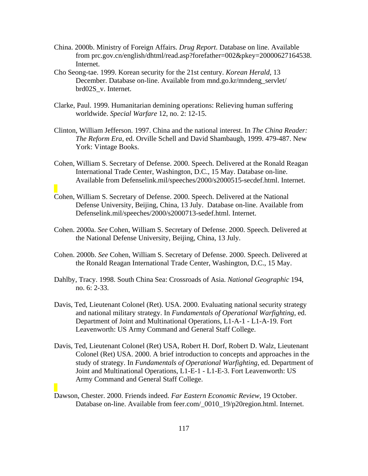- China. 2000b. Ministry of Foreign Affairs. *Drug Report*. Database on line. Available from prc.gov.cn/english/dhtml/read.asp?forefather=002&pkey=20000627164538. Internet.
- Cho Seong-tae. 1999. Korean security for the 21st century. *Korean Herald*, 13 December. Database on-line. Available from mnd.go.kr/mndeng\_servlet/ brd02S\_v. Internet.
- Clarke, Paul. 1999. Humanitarian demining operations: Relieving human suffering worldwide. *Special Warfare* 12, no. 2: 12-15.
- Clinton, William Jefferson. 1997. China and the national interest. In *The China Reader: The Reform Era*, ed. Orville Schell and David Shambaugh, 1999. 479-487. New York: Vintage Books.
- Cohen, William S. Secretary of Defense. 2000. Speech. Delivered at the Ronald Reagan International Trade Center, Washington, D.C., 15 May. Database on-line. Available from Defenselink.mil/speeches/2000/s2000515-secdef.html. Internet.
- Cohen, William S. Secretary of Defense. 2000. Speech. Delivered at the National Defense University, Beijing, China, 13 July. Database on-line. Available from Defenselink.mil/speeches/2000/s2000713-sedef.html. Internet.
- Cohen. 2000a. *See* Cohen, William S. Secretary of Defense. 2000. Speech. Delivered at the National Defense University, Beijing, China, 13 July.
- Cohen. 2000b. *See* Cohen, William S. Secretary of Defense. 2000. Speech. Delivered at the Ronald Reagan International Trade Center, Washington, D.C., 15 May.
- Dahlby, Tracy. 1998. South China Sea: Crossroads of Asia. *National Geographic* 194, no. 6: 2-33.
- Davis, Ted, Lieutenant Colonel (Ret). USA. 2000. Evaluating national security strategy and national military strategy. In *Fundamentals of Operational Warfighting*, ed. Department of Joint and Multinational Operations, L1-A-1 - L1-A-19. Fort Leavenworth: US Army Command and General Staff College.
- Davis, Ted, Lieutenant Colonel (Ret) USA, Robert H. Dorf, Robert D. Walz, Lieutenant Colonel (Ret) USA. 2000. A brief introduction to concepts and approaches in the study of strategy. In *Fundamentals of Operational Warfighting*, ed. Department of Joint and Multinational Operations, L1-E-1 - L1-E-3. Fort Leavenworth: US Army Command and General Staff College.
- Dawson, Chester. 2000. Friends indeed. *Far Eastern Economic Review*, 19 October. Database on-line. Available from feer.com/\_0010\_19/p20region.html. Internet.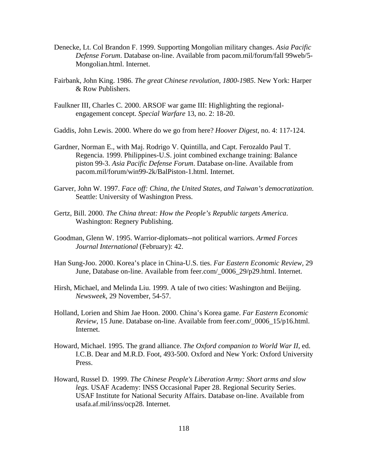- Denecke, Lt. Col Brandon F. 1999. Supporting Mongolian military changes. *Asia Pacific Defense Forum*. Database on-line. Available from pacom.mil/forum/fall 99web/5 Mongolian.html. Internet.
- Fairbank, John King. 1986. *The great Chinese revolution, 1800-1985*. New York: Harper & Row Publishers.
- Faulkner III, Charles C. 2000. ARSOF war game III: Highlighting the regionalengagement concept. *Special Warfare* 13, no. 2: 18-20.

Gaddis, John Lewis. 2000. Where do we go from here? *Hoover Digest*, no. 4: 117-124.

- Gardner, Norman E., with Maj. Rodrigo V. Quintilla, and Capt. Ferozaldo Paul T. Regencia. 1999. Philippines-U.S. joint combined exchange training: Balance piston 99-3. *Asia Pacific Defense Forum*. Database on-line. Available from pacom.mil/forum/win99-2k/BalPiston-1.html. Internet.
- Garver, John W. 1997. *Face off: China, the United States, and Taiwan's democratization*. Seattle: University of Washington Press.
- Gertz, Bill. 2000. *The China threat: How the People's Republic targets America*. Washington: Regnery Publishing.
- Goodman, Glenn W. 1995. Warrior-diplomats--not political warriors. *Armed Forces Journal International* (February): 42.
- Han Sung-Joo. 2000. Korea's place in China-U.S. ties. *Far Eastern Economic Review,* 29 June, Database on-line. Available from feer.com/ 0006 29/p29.html. Internet.
- Hirsh, Michael, and Melinda Liu. 1999. A tale of two cities: Washington and Beijing. *Newsweek*, 29 November, 54-57.
- Holland, Lorien and Shim Jae Hoon. 2000. China's Korea game. *Far Eastern Economic Review,* 15 June. Database on-line. Available from feer.com/\_0006\_15/p16.html. Internet.
- Howard, Michael. 1995. The grand alliance. *The Oxford companion to World War II*, ed. I.C.B. Dear and M.R.D. Foot, 493-500. Oxford and New York: Oxford University Press.
- Howard, Russel D. 1999. *The Chinese People's Liberation Army: Short arms and slow legs.* USAF Academy: INSS Occasional Paper 28. Regional Security Series. USAF Institute for National Security Affairs. Database on-line. Available from usafa.af.mil/inss/ocp28. Internet.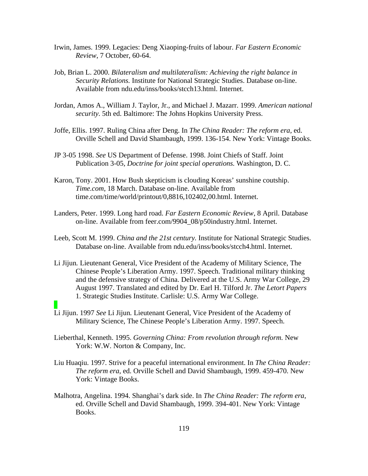- Irwin, James. 1999. Legacies: Deng Xiaoping-fruits of labour. *Far Eastern Economic Review*, 7 October, 60-64.
- Job, Brian L. 2000. *Bilateralism and multilateralism: Achieving the right balance in Security Relations.* Institute for National Strategic Studies. Database on-line. Available from ndu.edu/inss/books/stcch13.html. Internet.
- Jordan, Amos A., William J. Taylor, Jr., and Michael J. Mazarr. 1999. *American national security*. 5th ed. Baltimore: The Johns Hopkins University Press.
- Joffe, Ellis. 1997. Ruling China after Deng. In *The China Reader: The reform era*, ed. Orville Schell and David Shambaugh, 1999. 136-154. New York: Vintage Books.
- JP 3-05 1998. *See* US Department of Defense. 1998. Joint Chiefs of Staff. Joint Publication 3-05, *Doctrine for joint special operations.* Washington, D. C.
- Karon, Tony. 2001. How Bush skepticism is clouding Koreas' sunshine coutship. *Time.com*, 18 March. Database on-line. Available from time.com/time/world/printout/0,8816,102402,00.html. Internet.
- Landers, Peter. 1999. Long hard road. *Far Eastern Economic Review*, 8 April. Database on-line. Available from feer.com/9904\_08/p50industry.html. Internet.
- Leeb, Scott M. 1999. *China and the 21st century.* Institute for National Strategic Studies. Database on-line. Available from ndu.edu/inss/books/stcch4.html. Internet.
- Li Jijun*.* Lieutenant General, Vice President of the Academy of Military Science, The Chinese People's Liberation Army. 1997. Speech. Traditional military thinking and the defensive strategy of China. Delivered at the U.S. Army War College, 29 August 1997. Translated and edited by Dr. Earl H. Tilford Jr. *The Letort Papers*  1. Strategic Studies Institute. Carlisle: U.S. Army War College.
- Li Jijun. 1997 *See* Li Jijun*.* Lieutenant General, Vice President of the Academy of Military Science, The Chinese People's Liberation Army. 1997. Speech.
- Lieberthal, Kenneth. 1995. *Governing China: From revolution through reform.* New York: W.W. Norton & Company, Inc.
- Liu Huaqiu. 1997. Strive for a peaceful international environment. In *The China Reader: The reform era*, ed. Orville Schell and David Shambaugh, 1999. 459-470. New York: Vintage Books.
- Malhotra, Angelina. 1994. Shanghai's dark side. In *The China Reader: The reform era*, ed. Orville Schell and David Shambaugh, 1999. 394-401. New York: Vintage Books.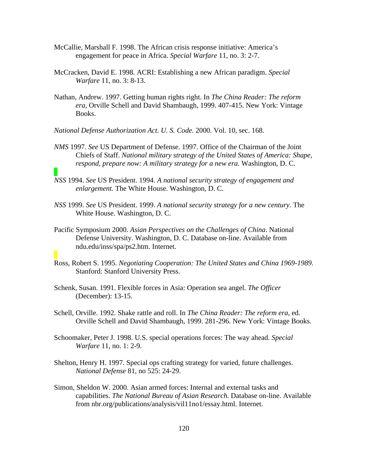- McCallie, Marshall F. 1998. The African crisis response initiative: America's engagement for peace in Africa. *Special Warfare* 11, no. 3: 2-7.
- McCracken, David E. 1998. ACRI: Establishing a new African paradigm. *Special Warfare* 11, no. 3: 8-13.
- Nathan, Andrew. 1997. Getting human rights right. In *The China Reader: The reform era,* Orville Schell and David Shambaugh, 1999. 407-415. New York: Vintage Books.
- *National Defense Authorization Act. U. S. Code.* 2000. Vol. 10, sec. 168.
- *NMS* 1997. *See* US Department of Defense. 1997. Office of the Chairman of the Joint Chiefs of Staff. *National military strategy of the United States of America: Shape, respond, prepare now: A military strategy for a new era.* Washington, D. C.
- *NSS* 1994. *See* US President. 1994. *A national security strategy of engagement and enlargement.* The White House. Washington, D. C.
- *NSS* 1999. *See* US President. 1999. *A national security strategy for a new century.* The White House. Washington, D. C.
- Pacific Symposium 2000. *Asian Perspectives on the Challenges of China*. National Defense University. Washington, D. C. Database on-line. Available from ndu.edu/inss/spa/ps2.htm. Internet.
- Ross, Robert S. 1995. *Negotiating Cooperation: The United States and China 1969-1989.*  Stanford: Stanford University Press.
- Schenk, Susan. 1991. Flexible forces in Asia: Operation sea angel. *The Officer*  (December): 13-15.
- Schell, Orville. 1992. Shake rattle and roll. In *The China Reader: The reform era*, ed. Orville Schell and David Shambaugh, 1999. 281-296. New York: Vintage Books.
- Schoomaker, Peter J. 1998. U.S. special operations forces: The way ahead. *Special Warfare* 11, no. 1: 2-9.
- Shelton, Henry H. 1997. Special ops crafting strategy for varied, future challenges. *National Defense* 81, no 525: 24-29.
- Simon, Sheldon W. 2000. Asian armed forces: Internal and external tasks and capabilities. *The National Bureau of Asian Research.* Database on-line. Available from nbr.org/publications/analysis/vil11no1/essay.html. Internet.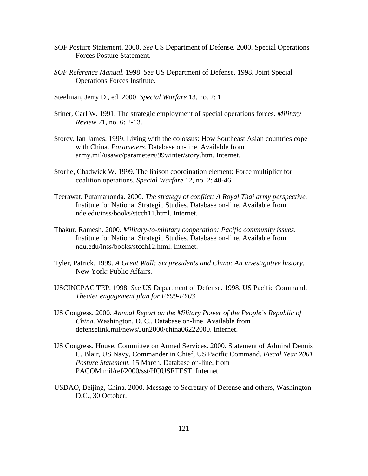- SOF Posture Statement. 2000. *See* US Department of Defense. 2000. Special Operations Forces Posture Statement.
- *SOF Reference Manual*. 1998. *See* US Department of Defense. 1998. Joint Special Operations Forces Institute.
- Steelman, Jerry D., ed. 2000. *Special Warfare* 13, no. 2: 1.
- Stiner, Carl W. 1991. The strategic employment of special operations forces. *Military Review* 71, no. 6: 2-13.
- Storey, Ian James. 1999. Living with the colossus: How Southeast Asian countries cope with China. *Parameters*. Database on-line. Available from army.mil/usawc/parameters/99winter/story.htm. Internet.
- Storlie, Chadwick W. 1999. The liaison coordination element: Force multiplier for coalition operations. *Special Warfare* 12, no. 2: 40-46.
- Teerawat, Putamanonda. 2000. *The strategy of conflict: A Royal Thai army perspective.*  Institute for National Strategic Studies. Database on-line. Available from nde.edu/inss/books/stcch11.html. Internet.
- Thakur, Ramesh. 2000. *Military-to-military cooperation: Pacific community issues*. Institute for National Strategic Studies. Database on-line. Available from ndu.edu/inss/books/stcch12.html. Internet.
- Tyler, Patrick. 1999. *A Great Wall: Six presidents and China: An investigative history*. New York: Public Affairs.
- USCINCPAC TEP. 1998. *See* US Department of Defense. 1998. US Pacific Command. *Theater engagement plan for FY99-FY03*
- US Congress. 2000. *Annual Report on the Military Power of the People's Republic of China.* Washington, D. C., Database on-line. Available from defenselink.mil/news/Jun2000/china06222000. Internet.
- US Congress. House. Committee on Armed Services. 2000. Statement of Admiral Dennis C. Blair, US Navy, Commander in Chief, US Pacific Command. *Fiscal Year 2001 Posture Statement.* 15 March. Database on-line, from PACOM.mil/ref/2000/sst/HOUSETEST. Internet.
- USDAO, Beijing, China. 2000. Message to Secretary of Defense and others, Washington D.C., 30 October.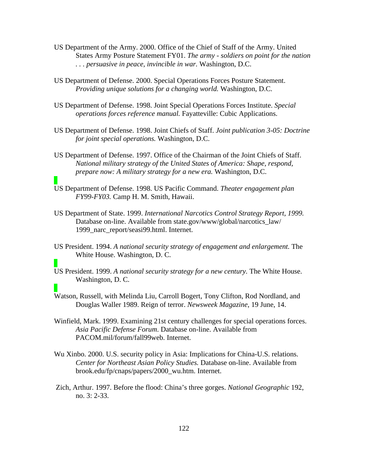- US Department of the Army. 2000. Office of the Chief of Staff of the Army. United States Army Posture Statement FY01. *The army - soldiers on point for the nation . . . persuasive in peace, invincible in war.* Washington, D.C.
- US Department of Defense. 2000. Special Operations Forces Posture Statement. *Providing unique solutions for a changing world.* Washington, D.C.
- US Department of Defense. 1998. Joint Special Operations Forces Institute. *Special operations forces reference manual.* Fayatteville: Cubic Applications.
- US Department of Defense. 1998. Joint Chiefs of Staff. *Joint publication 3-05: Doctrine for joint special operations.* Washington, D.C.
- US Department of Defense. 1997. Office of the Chairman of the Joint Chiefs of Staff. *National military strategy of the United States of America: Shape, respond, prepare now: A military strategy for a new era.* Washington, D.C.
- US Department of Defense. 1998. US Pacific Command. *Theater engagement plan FY99-FY03.* Camp H. M. Smith, Hawaii.
- US Department of State. 1999. *International Narcotics Control Strategy Report, 1999.*  Database on-line. Available from state.gov/www/global/narcotics\_law/ 1999 narc report/seasi99.html. Internet.
- US President. 1994. *A national security strategy of engagement and enlargement.* The White House. Washington, D. C.
- US President. 1999. *A national security strategy for a new century.* The White House. Washington, D. C.
- Watson, Russell, with Melinda Liu, Carroll Bogert, Tony Clifton, Rod Nordland, and Douglas Waller 1989. Reign of terror. *Newsweek Magazine*, 19 June, 14.
- Winfield, Mark. 1999. Examining 21st century challenges for special operations forces. *Asia Pacific Defense Forum*. Database on-line. Available from PACOM.mil/forum/fall99web. Internet.
- Wu Xinbo. 2000. U.S. security policy in Asia: Implications for China-U.S. relations. *Center for Northeast Asian Policy Studies.* Database on-line. Available from brook.edu/fp/cnaps/papers/2000\_wu.htm. Internet.
- Zich, Arthur. 1997. Before the flood: China's three gorges. *National Geographic* 192, no. 3: 2-33.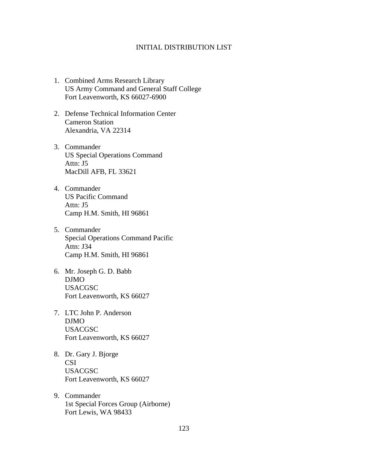# INITIAL DISTRIBUTION LIST

- 1. Combined Arms Research Library US Army Command and General Staff College Fort Leavenworth, KS 66027-6900
- 2. Defense Technical Information Center Cameron Station Alexandria, VA 22314
- 3. Commander US Special Operations Command Attn: J5 MacDill AFB, FL 33621
- 4. Commander US Pacific Command Attn: J5 Camp H.M. Smith, HI 96861
- 5. Commander Special Operations Command Pacific Attn: J34 Camp H.M. Smith, HI 96861
- 6. Mr. Joseph G. D. Babb DJMO USACGSC Fort Leavenworth, KS 66027
- 7. LTC John P. Anderson DJMO USACGSC Fort Leavenworth, KS 66027
- 8. Dr. Gary J. Bjorge CSI USACGSC Fort Leavenworth, KS 66027
- 9. Commander 1st Special Forces Group (Airborne) Fort Lewis, WA 98433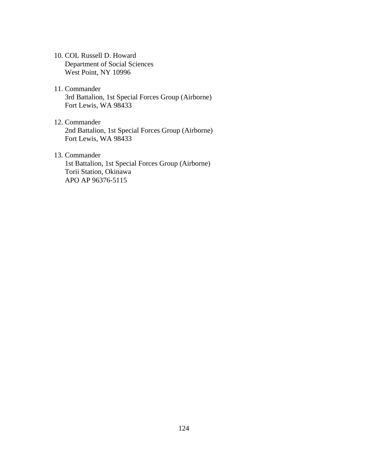- 10. COL Russell D. Howard Department of Social Sciences West Point, NY 10996
- 11. Commander 3rd Battalion, 1st Special Forces Group (Airborne) Fort Lewis, WA 98433
- 12. Commander 2nd Battalion, 1st Special Forces Group (Airborne) Fort Lewis, WA 98433
- 13. Commander 1st Battalion, 1st Special Forces Group (Airborne) Torii Station, Okinawa APO AP 96376-5115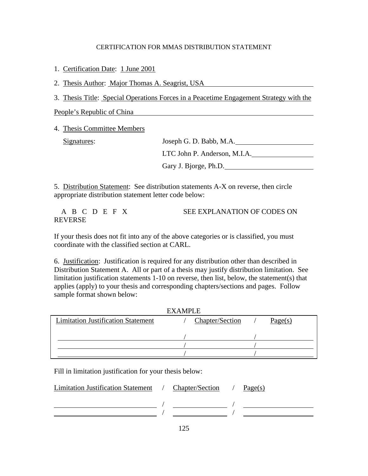# CERTIFICATION FOR MMAS DISTRIBUTION STATEMENT

1. Certification Date: 1 June 2001

2. Thesis Author: Major Thomas A. Seagrist, USA

3. Thesis Title: Special Operations Forces in a Peacetime Engagement Strategy with the

People's Republic of China

4. Thesis Committee Members

Signatures:

| Joseph G. D. Babb, M.A.      |
|------------------------------|
| LTC John P. Anderson, M.I.A. |
| Gary J. Bjorge, Ph.D.        |

5. Distribution Statement: See distribution statements A-X on reverse, then circle appropriate distribution statement letter code below:

A B C D E F X SEE EXPLANATION OF CODES ON REVERSE

If your thesis does not fit into any of the above categories or is classified, you must coordinate with the classified section at CARL.

6. Justification: Justification is required for any distribution other than described in Distribution Statement A. All or part of a thesis may justify distribution limitation. See limitation justification statements 1-10 on reverse, then list, below, the statement(s) that applies (apply) to your thesis and corresponding chapters/sections and pages. Follow sample format shown below:

| <b>EXAMPLE</b>                            |  |                 |  |         |  |  |  |
|-------------------------------------------|--|-----------------|--|---------|--|--|--|
| <b>Limitation Justification Statement</b> |  | Chapter/Section |  | Page(s) |  |  |  |
|                                           |  |                 |  |         |  |  |  |
|                                           |  |                 |  |         |  |  |  |
|                                           |  |                 |  |         |  |  |  |
|                                           |  |                 |  |         |  |  |  |

Fill in limitation justification for your thesis below:

| Limitation Justification Statement / | Chapter/Section / | Page(s) |
|--------------------------------------|-------------------|---------|
|                                      |                   |         |
|                                      |                   |         |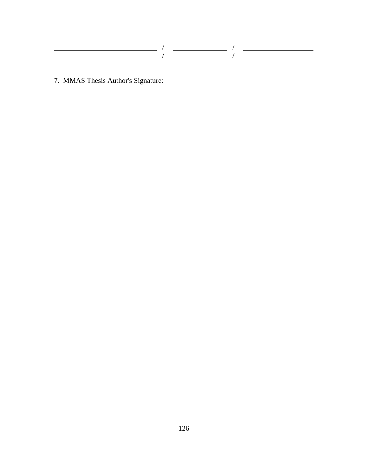7. MMAS Thesis Author's Signature: